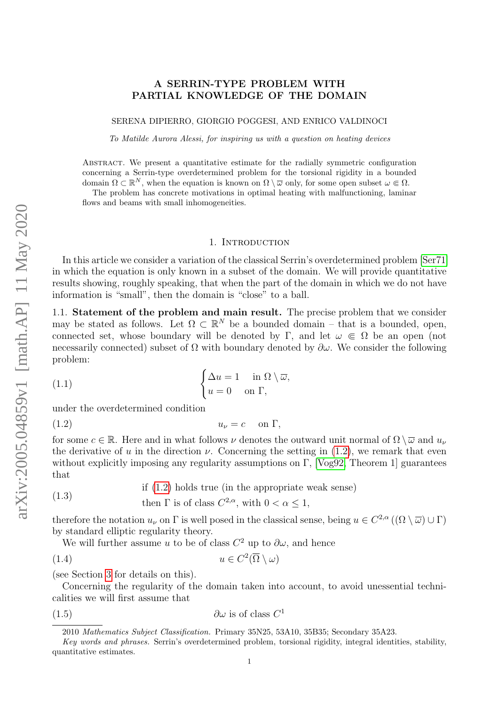# A SERRIN-TYPE PROBLEM WITH PARTIAL KNOWLEDGE OF THE DOMAIN

SERENA DIPIERRO, GIORGIO POGGESI, AND ENRICO VALDINOCI

To Matilde Aurora Alessi, for inspiring us with a question on heating devices

Abstract. We present a quantitative estimate for the radially symmetric configuration concerning a Serrin-type overdetermined problem for the torsional rigidity in a bounded domain  $\Omega \subset \mathbb{R}^N$ , when the equation is known on  $\Omega \setminus \overline{\omega}$  only, for some open subset  $\omega \in \Omega$ .

The problem has concrete motivations in optimal heating with malfunctioning, laminar flows and beams with small inhomogeneities.

# <span id="page-0-2"></span>1. INTRODUCTION

In this article we consider a variation of the classical Serrin's overdetermined problem [\[Ser71\]](#page-41-0) in which the equation is only known in a subset of the domain. We will provide quantitative results showing, roughly speaking, that when the part of the domain in which we do not have information is "small", then the domain is "close" to a ball.

1.1. Statement of the problem and main result. The precise problem that we consider may be stated as follows. Let  $\Omega \subset \mathbb{R}^N$  be a bounded domain – that is a bounded, open, connected set, whose boundary will be denoted by Γ, and let  $\omega \in \Omega$  be an open (not necessarily connected) subset of  $\Omega$  with boundary denoted by  $\partial \omega$ . We consider the following problem:

(1.1) 
$$
\begin{cases} \Delta u = 1 & \text{in } \Omega \setminus \overline{\omega}, \\ u = 0 & \text{on } \Gamma, \end{cases}
$$

under the overdetermined condition

<span id="page-0-0"></span>
$$
(1.2) \t\t u\nu = c \t on  $\Gamma$ ,
$$

for some  $c \in \mathbb{R}$ . Here and in what follows  $\nu$  denotes the outward unit normal of  $\Omega \setminus \overline{\omega}$  and  $u_{\nu}$ the derivative of u in the direction  $\nu$ . Concerning the setting in [\(1.2\)](#page-0-0), we remark that even without explicitly imposing any regularity assumptions on  $\Gamma$ , [\[Vog92,](#page-41-1) Theorem 1] guarantees that

<span id="page-0-4"></span>
$$
(1.3)
$$
 if (1.2) holds true (in the appropriate weak sense)

$$
\text{then } \Gamma \text{ is of class } C^{2,\alpha}, \text{ with } 0 < \alpha \le 1,
$$

therefore the notation  $u_{\nu}$  on  $\Gamma$  is well posed in the classical sense, being  $u \in C^{2,\alpha}((\Omega \setminus \overline{\omega}) \cup \Gamma)$ by standard elliptic regularity theory.

<span id="page-0-3"></span>We will further assume u to be of class  $C^2$  up to  $\partial \omega$ , and hence

$$
(1.4) \t u \in C^2(\overline{\Omega} \setminus \omega)
$$

(see Section [3](#page-9-0) for details on this).

Concerning the regularity of the domain taken into account, to avoid unessential technicalities we will first assume that

$$
(1.5) \t\t \t\t \partial\omega \t{is of class } C^1
$$

<span id="page-0-1"></span><sup>2010</sup> Mathematics Subject Classification. Primary 35N25, 53A10, 35B35; Secondary 35A23.

Key words and phrases. Serrin's overdetermined problem, torsional rigidity, integral identities, stability, quantitative estimates.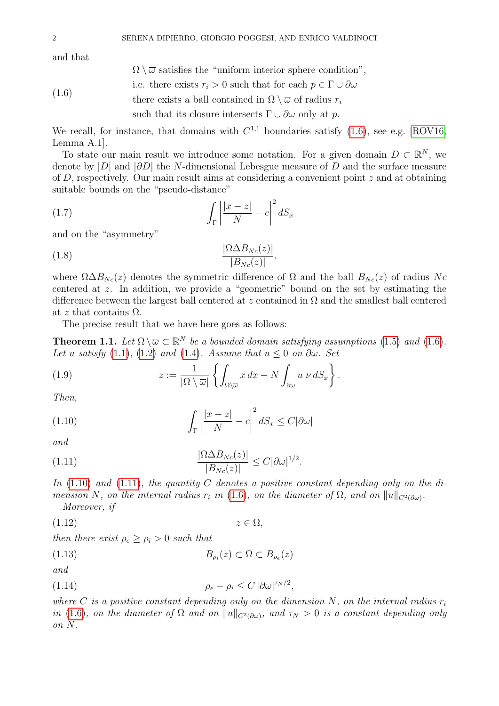and that

 $\Omega \setminus \overline{\omega}$  satisfies the "uniform interior sphere condition",

<span id="page-1-0"></span>(1.6) i.e. there exists 
$$
r_i > 0
$$
 such that for each  $p \in \Gamma \cup \partial \omega$ , there exists a ball contained in  $\Omega \setminus \overline{\omega}$  of radius  $r_i$  such that its closure intersects  $\Gamma \cup \partial \omega$  only at  $p$ .

We recall, for instance, that domains with  $C^{1,1}$  boundaries satisfy [\(1.6\)](#page-1-0), see e.g. [\[ROV16,](#page-41-2) Lemma A.1].

To state our main result we introduce some notation. For a given domain  $D \subset \mathbb{R}^N$ , we denote by |D| and  $|\partial D|$  the N-dimensional Lebesgue measure of D and the surface measure of D, respectively. Our main result aims at considering a convenient point z and at obtaining suitable bounds on the "pseudo-distance"

<span id="page-1-7"></span>
$$
(1.7)\qquad \qquad \int_{\Gamma} \left| \frac{|x-z|}{N} - c \right|^2 dS_x
$$

and on the "asymmetry"

<span id="page-1-8"></span>
$$
\frac{|\Omega \Delta B_{N_c}(z)|}{|B_{N_c}(z)|},
$$

where  $\Omega \Delta B_{N_c}(z)$  denotes the symmetric difference of  $\Omega$  and the ball  $B_{N_c}(z)$  of radius Nc centered at z. In addition, we provide a "geometric" bound on the set by estimating the difference between the largest ball centered at z contained in  $\Omega$  and the smallest ball centered at z that contains  $\Omega$ .

The precise result that we have here goes as follows:

<span id="page-1-3"></span>**Theorem 1.1.** Let  $\Omega \setminus \overline{\omega} \subset \mathbb{R}^N$  be a bounded domain satisfying assumptions [\(1.5\)](#page-0-1) and [\(1.6\)](#page-1-0). Let u satisfy [\(1.1\)](#page-0-2), [\(1.2\)](#page-0-0) and [\(1.4\)](#page-0-3). Assume that  $u \leq 0$  on  $\partial \omega$ . Set

<span id="page-1-9"></span>(1.9) 
$$
z := \frac{1}{|\Omega \setminus \overline{\omega}|} \left\{ \int_{\Omega \setminus \overline{\omega}} x \, dx - N \int_{\partial \omega} u \, \nu \, dS_x \right\}.
$$

Then,

<span id="page-1-1"></span>(1.10) 
$$
\int_{\Gamma} \left| \frac{|x-z|}{N} - c \right|^2 dS_x \leq C |\partial \omega|
$$

and

<span id="page-1-2"></span>(1.11) 
$$
\frac{|\Omega \Delta B_{Nc}(z)|}{|B_{Nc}(z)|} \leq C |\partial \omega|^{1/2}.
$$

In  $(1.10)$  and  $(1.11)$ , the quantity C denotes a positive constant depending only on the dimension N, on the internal radius  $r_i$  in [\(1.6\)](#page-1-0), on the diameter of  $\Omega$ , and on  $||u||_{C^2(\partial\omega)}$ . Moreover, if

<span id="page-1-5"></span> $(1.12)$   $z \in \Omega$ ,

then there exist  $\rho_e \ge \rho_i > 0$  such that

<span id="page-1-6"></span>
$$
(1.13) \t\t B_{\rho_i}(z) \subset \Omega \subset B_{\rho_e}(z)
$$

and

<span id="page-1-4"></span>
$$
(1.14) \t\t \t\t \rho_e - \rho_i \le C \, |\partial \omega|^{\tau_N/2},
$$

where C is a positive constant depending only on the dimension N, on the internal radius  $r_i$ in [\(1.6\)](#page-1-0), on the diameter of  $\Omega$  and on  $||u||_{C^2(\partial\omega)}$ , and  $\tau_N > 0$  is a constant depending only on N.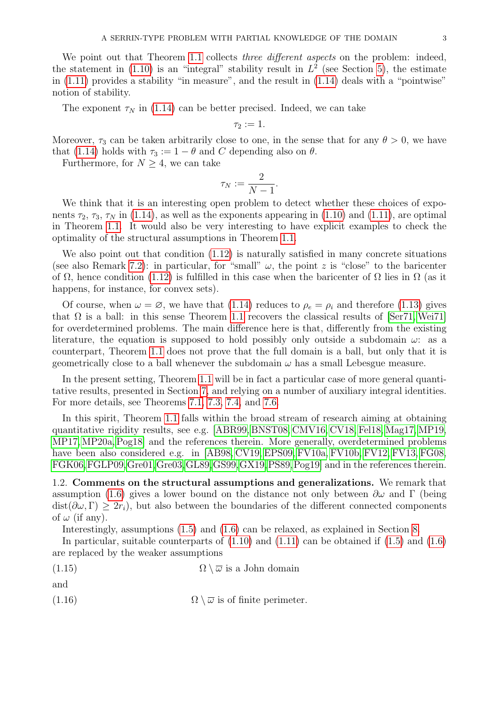We point out that Theorem [1.1](#page-1-3) collects *three different aspects* on the problem: indeed, the statement in  $(1.10)$  is an "integral" stability result in  $L^2$  (see Section [5\)](#page-13-0), the estimate in [\(1.11\)](#page-1-2) provides a stability "in measure", and the result in [\(1.14\)](#page-1-4) deals with a "pointwise" notion of stability.

The exponent  $\tau_N$  in [\(1.14\)](#page-1-4) can be better precised. Indeed, we can take

 $\tau_2 := 1.$ 

Moreover,  $\tau_3$  can be taken arbitrarily close to one, in the sense that for any  $\theta > 0$ , we have that [\(1.14\)](#page-1-4) holds with  $\tau_3 := 1 - \theta$  and C depending also on  $\theta$ .

Furthermore, for  $N \geq 4$ , we can take

$$
\tau_N:=\frac{2}{N-1}.
$$

We think that it is an interesting open problem to detect whether these choices of exponents  $\tau_2$ ,  $\tau_3$ ,  $\tau_N$  in [\(1.14\)](#page-1-4), as well as the exponents appearing in [\(1.10\)](#page-1-1) and [\(1.11\)](#page-1-2), are optimal in Theorem [1.1.](#page-1-3) It would also be very interesting to have explicit examples to check the optimality of the structural assumptions in Theorem [1.1.](#page-1-3)

We also point out that condition [\(1.12\)](#page-1-5) is naturally satisfied in many concrete situations (see also Remark [7.2\)](#page-24-0): in particular, for "small"  $\omega$ , the point z is "close" to the baricenter of  $\Omega$ , hence condition [\(1.12\)](#page-1-5) is fulfilled in this case when the baricenter of  $\Omega$  lies in  $\Omega$  (as it happens, for instance, for convex sets).

Of course, when  $\omega = \varnothing$ , we have that [\(1.14\)](#page-1-4) reduces to  $\rho_e = \rho_i$  and therefore [\(1.13\)](#page-1-6) gives that  $\Omega$  is a ball: in this sense Theorem [1.1](#page-1-3) recovers the classical results of [\[Ser71,](#page-41-0) [Wei71\]](#page-41-3) for overdetermined problems. The main difference here is that, differently from the existing literature, the equation is supposed to hold possibly only outside a subdomain  $\omega$ : as a counterpart, Theorem [1.1](#page-1-3) does not prove that the full domain is a ball, but only that it is geometrically close to a ball whenever the subdomain  $\omega$  has a small Lebesgue measure.

In the present setting, Theorem [1.1](#page-1-3) will be in fact a particular case of more general quantitative results, presented in Section [7,](#page-24-1) and relying on a number of auxiliary integral identities. For more details, see Theorems [7.1,](#page-24-2) [7.3,](#page-24-3) [7.4,](#page-25-0) and [7.6.](#page-26-0)

In this spirit, Theorem [1.1](#page-1-3) falls within the broad stream of research aiming at obtaining quantitative rigidity results, see e.g. [\[ABR99,](#page-39-0) [BNST08,](#page-39-1) [CMV16,](#page-39-2) [CV18,](#page-39-3) [Fel18,](#page-40-0) [Mag17,](#page-41-4) [MP19,](#page-41-5) [MP17,](#page-41-6)[MP20a,](#page-41-7) [Pog18\]](#page-41-8) and the references therein. More generally, overdetermined problems have been also considered e.g. in [\[AB98,](#page-39-4) [CV19,](#page-39-5) [EPS09,](#page-40-1) [FV10a,](#page-40-2) [FV10b,](#page-40-3) [FV12,](#page-40-4) [FV13,](#page-40-5) FG08. [FGK06,](#page-40-7)[FGLP09,](#page-40-8)[Gre01,](#page-40-9)[Gre03,](#page-40-10)[GL89,](#page-40-11)[GS99,](#page-40-12)[GX19,](#page-40-13)[PS89,](#page-41-9)[Pog19\]](#page-41-10) and in the references therein.

1.2. Comments on the structural assumptions and generalizations. We remark that assumption [\(1.6\)](#page-1-0) gives a lower bound on the distance not only between  $\partial\omega$  and Γ (being  $dist(\partial \omega, \Gamma) \geq 2r_i$ , but also between the boundaries of the different connected components of  $\omega$  (if any).

<span id="page-2-0"></span>Interestingly, assumptions [\(1.5\)](#page-0-1) and [\(1.6\)](#page-1-0) can be relaxed, as explained in Section [8.](#page-28-0)

In particular, suitable counterparts of  $(1.10)$  and  $(1.11)$  can be obtained if  $(1.5)$  and  $(1.6)$ are replaced by the weaker assumptions

(1.15) 
$$
\Omega \setminus \overline{\omega} \text{ is a John domain}
$$

and

<span id="page-2-1"></span>(1.16) 
$$
\Omega \setminus \overline{\omega} \text{ is of finite perimeter.}
$$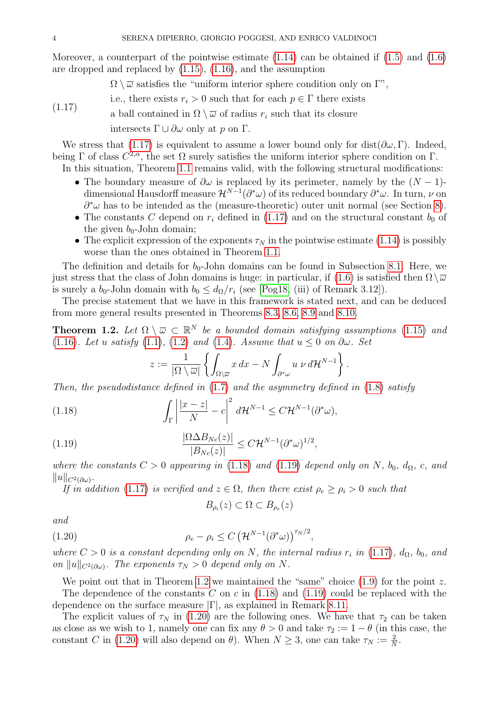Moreover, a counterpart of the pointwise estimate  $(1.14)$  can be obtained if  $(1.5)$  and  $(1.6)$ are dropped and replaced by [\(1.15\)](#page-2-0), [\(1.16\)](#page-2-1), and the assumption

 $\Omega \setminus \overline{\omega}$  satisfies the "uniform interior sphere condition only on  $\Gamma$ ",

i.e., there exists  $r_i > 0$  such that for each  $p \in \Gamma$  there exists

<span id="page-3-0"></span>a ball contained in  $\Omega \setminus \overline{\omega}$  of radius  $r_i$  such that its closure intersects  $\Gamma \cup \partial \omega$  only at p on  $\Gamma$ .  $(1.17)$ 

We stress that [\(1.17\)](#page-3-0) is equivalent to assume a lower bound only for dist( $\partial \omega$ , Γ). Indeed, being  $\Gamma$  of class  $C^{2,\alpha}$ , the set  $\Omega$  surely satisfies the uniform interior sphere condition on  $\Gamma$ .

In this situation, Theorem [1.1](#page-1-3) remains valid, with the following structural modifications:

- The boundary measure of  $\partial\omega$  is replaced by its perimeter, namely by the  $(N-1)$ dimensional Hausdorff measure  $\mathcal{H}^{N-1}(\partial^*\omega)$  of its reduced boundary  $\partial^*\omega$ . In turn,  $\nu$  on  $\partial^*\omega$  has to be intended as the (measure-theoretic) outer unit normal (see Section [8\)](#page-28-0).
- The constants C depend on  $r_i$  defined in [\(1.17\)](#page-3-0) and on the structural constant  $b_0$  of the given  $b_0$ -John domain;
- The explicit expression of the exponents  $\tau_N$  in the pointwise estimate [\(1.14\)](#page-1-4) is possibly worse than the ones obtained in Theorem [1.1.](#page-1-3)

The definition and details for  $b_0$ -John domains can be found in Subsection [8.1.](#page-29-0) Here, we just stress that the class of John domains is huge: in particular, if [\(1.6\)](#page-1-0) is satisfied then  $\Omega \setminus \overline{\omega}$ is surely a  $b_0$ -John domain with  $b_0 \leq d_{\Omega}/r_i$  (see [\[Pog18,](#page-41-8) (iii) of Remark 3.12]).

The precise statement that we have in this framework is stated next, and can be deduced from more general results presented in Theorems [8.3,](#page-30-0) [8.6,](#page-32-0) [8.9](#page-33-0) and [8.10.](#page-34-0)

<span id="page-3-3"></span>**Theorem 1.2.** Let  $\Omega \setminus \overline{\omega} \subset \mathbb{R}^N$  be a bounded domain satisfying assumptions [\(1.15\)](#page-2-0) and [\(1.16\)](#page-2-1). Let u satisfy [\(1.1\)](#page-0-2), [\(1.2\)](#page-0-0) and [\(1.4\)](#page-0-3). Assume that  $u \leq 0$  on  $\partial \omega$ . Set

<span id="page-3-1"></span>
$$
z := \frac{1}{|\Omega \setminus \overline{\omega}|} \left\{ \int_{\Omega \setminus \overline{\omega}} x \, dx - N \int_{\partial^* \omega} u \, \nu \, d\mathcal{H}^{N-1} \right\}
$$

.

Then, the pseudodistance defined in  $(1.7)$  and the asymmetry defined in  $(1.8)$  satisfy

(1.18) 
$$
\int_{\Gamma} \left| \frac{|x-z|}{N} - c \right|^2 d\mathcal{H}^{N-1} \leq C \mathcal{H}^{N-1}(\partial^* \omega),
$$

(1.19) 
$$
\frac{|\Omega \Delta B_{Nc}(z)|}{|B_{Nc}(z)|} \leq C \mathcal{H}^{N-1} (\partial^* \omega)^{1/2},
$$

where the constants  $C > 0$  appearing in [\(1.18\)](#page-3-1) and [\(1.19\)](#page-3-2) depend only on N,  $b_0$ ,  $d_{\Omega}$ , c, and  $||u||_{C^2(\partial \omega)}$ .

If in addition [\(1.17\)](#page-3-0) is verified and  $z \in \Omega$ , then there exist  $\rho_e \ge \rho_i > 0$  such that

<span id="page-3-4"></span><span id="page-3-2"></span>
$$
B_{\rho_i}(z) \subset \Omega \subset B_{\rho_e}(z)
$$

and

(1.20) 
$$
\rho_e - \rho_i \leq C \left( \mathcal{H}^{N-1}(\partial^* \omega) \right)^{\tau_N/2},
$$

where  $C > 0$  is a constant depending only on N, the internal radius  $r_i$  in [\(1.17\)](#page-3-0),  $d_{\Omega}$ ,  $b_0$ , and on  $||u||_{C^2(\partial\omega)}$ . The exponents  $\tau_N > 0$  depend only on N.

We point out that in Theorem [1.2](#page-3-3) we maintained the "same" choice  $(1.9)$  for the point z.

The dependence of the constants C on c in  $(1.18)$  and  $(1.19)$  could be replaced with the dependence on the surface measure  $|\Gamma|$ , as explained in Remark [8.11.](#page-34-1)

The explicit values of  $\tau_N$  in [\(1.20\)](#page-3-4) are the following ones. We have that  $\tau_2$  can be taken as close as we wish to 1, namely one can fix any  $\theta > 0$  and take  $\tau_2 := 1 - \theta$  (in this case, the constant C in [\(1.20\)](#page-3-4) will also depend on  $\theta$ ). When  $N \geq 3$ , one can take  $\tau_N := \frac{2}{N}$ .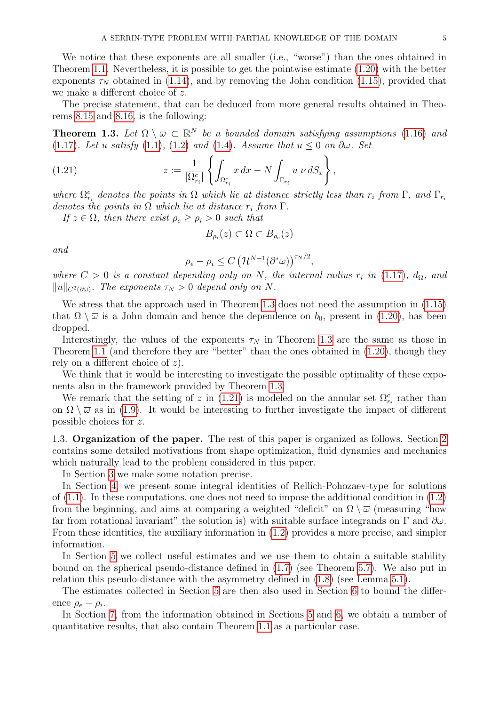We notice that these exponents are all smaller (i.e., "worse") than the ones obtained in Theorem [1.1.](#page-1-3) Nevertheless, it is possible to get the pointwise estimate [\(1.20\)](#page-3-4) with the better exponents  $\tau_N$  obtained in [\(1.14\)](#page-1-4), and by removing the John condition [\(1.15\)](#page-2-0), provided that we make a different choice of z.

The precise statement, that can be deduced from more general results obtained in Theorems [8.15](#page-36-0) and [8.16,](#page-37-0) is the following:

<span id="page-4-0"></span>**Theorem 1.3.** Let  $\Omega \setminus \overline{\omega} \subset \mathbb{R}^N$  be a bounded domain satisfying assumptions [\(1.16\)](#page-2-1) and [\(1.17\)](#page-3-0). Let u satisfy [\(1.1\)](#page-0-2), [\(1.2\)](#page-0-0) and [\(1.4\)](#page-0-3). Assume that  $u \leq 0$  on  $\partial \omega$ . Set

(1.21) 
$$
z := \frac{1}{|\Omega_{r_i}^c|} \left\{ \int_{\Omega_{r_i}^c} x \, dx - N \int_{\Gamma_{r_i}} u \, \nu \, dS_x \right\},
$$

where  $\Omega_{r_i}^c$  denotes the points in  $\Omega$  which lie at distance strictly less than  $r_i$  from  $\Gamma$ , and  $\Gamma_{r_i}$ denotes the points in  $\Omega$  which lie at distance  $r_i$  from  $\Gamma$ .

If  $z \in \Omega$ , then there exist  $\rho_e \ge \rho_i > 0$  such that

<span id="page-4-1"></span>
$$
B_{\rho_i}(z) \subset \Omega \subset B_{\rho_e}(z)
$$

and

$$
\rho_e - \rho_i \le C \left(\mathcal{H}^{N-1}(\partial^*\omega)\right)^{\tau_N/2},
$$

where  $C > 0$  is a constant depending only on N, the internal radius  $r_i$  in [\(1.17\)](#page-3-0),  $d_{\Omega}$ , and  $||u||_{C^2(\partial\omega)}$ . The exponents  $\tau_N > 0$  depend only on N.

We stress that the approach used in Theorem [1.3](#page-4-0) does not need the assumption in [\(1.15\)](#page-2-0) that  $\Omega \setminus \overline{\omega}$  is a John domain and hence the dependence on  $b_0$ , present in [\(1.20\)](#page-3-4), has been dropped.

Interestingly, the values of the exponents  $\tau_N$  in Theorem [1.3](#page-4-0) are the same as those in Theorem [1.1](#page-1-3) (and therefore they are "better" than the ones obtained in [\(1.20\)](#page-3-4), though they rely on a different choice of z).

We think that it would be interesting to investigate the possible optimality of these exponents also in the framework provided by Theorem [1.3.](#page-4-0)

We remark that the setting of z in [\(1.21\)](#page-4-1) is modeled on the annular set  $\Omega_{r_i}^c$  rather than on  $\Omega \setminus \overline{\omega}$  as in [\(1.9\)](#page-1-9). It would be interesting to further investigate the impact of different possible choices for z.

1.3. Organization of the paper. The rest of this paper is organized as follows. Section [2](#page-5-0) contains some detailed motivations from shape optimization, fluid dynamics and mechanics which naturally lead to the problem considered in this paper.

In Section [3](#page-9-0) we make some notation precise.

In Section [4,](#page-9-1) we present some integral identities of Rellich-Pohozaev-type for solutions of  $(1.1)$ . In these computations, one does not need to impose the additional condition in  $(1.2)$ from the beginning, and aims at comparing a weighted "deficit" on  $\Omega \setminus \overline{\omega}$  (measuring "how far from rotational invariant" the solution is) with suitable surface integrands on  $\Gamma$  and  $\partial \omega$ . From these identities, the auxiliary information in [\(1.2\)](#page-0-0) provides a more precise, and simpler information.

In Section [5](#page-13-0) we collect useful estimates and we use them to obtain a suitable stability bound on the spherical pseudo-distance defined in [\(1.7\)](#page-1-7) (see Theorem [5.7\)](#page-18-0). We also put in relation this pseudo-distance with the asymmetry defined in [\(1.8\)](#page-1-8) (see Lemma [5.1\)](#page-13-1).

The estimates collected in Section [5](#page-13-0) are then also used in Section [6](#page-18-1) to bound the difference  $\rho_e - \rho_i$ .

In Section [7,](#page-24-1) from the information obtained in Sections [5](#page-13-0) and [6,](#page-18-1) we obtain a number of quantitative results, that also contain Theorem [1.1](#page-1-3) as a particular case.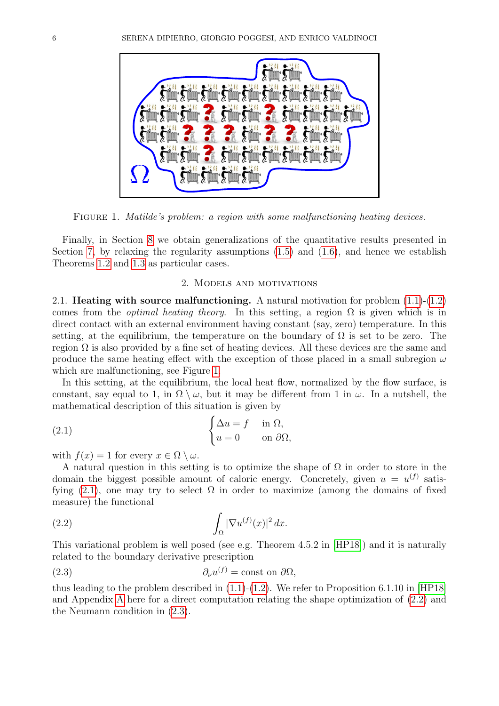

FIGURE 1. Matilde's problem: a region with some malfunctioning heating devices.

<span id="page-5-1"></span>Finally, in Section [8](#page-28-0) we obtain generalizations of the quantitative results presented in Section [7,](#page-24-1) by relaxing the regularity assumptions  $(1.5)$  and  $(1.6)$ , and hence we establish Theorems [1.2](#page-3-3) and [1.3](#page-4-0) as particular cases.

# <span id="page-5-2"></span>2. Models and motivations

<span id="page-5-0"></span>2.1. **Heating with source malfunctioning.** A natural motivation for problem  $(1.1)-(1.2)$  $(1.1)-(1.2)$ comes from the *optimal heating theory*. In this setting, a region  $\Omega$  is given which is in direct contact with an external environment having constant (say, zero) temperature. In this setting, at the equilibrium, the temperature on the boundary of  $\Omega$  is set to be zero. The region  $\Omega$  is also provided by a fine set of heating devices. All these devices are the same and produce the same heating effect with the exception of those placed in a small subregion  $\omega$ which are malfunctioning, see Figure [1.](#page-5-1)

In this setting, at the equilibrium, the local heat flow, normalized by the flow surface, is constant, say equal to 1, in  $\Omega \setminus \omega$ , but it may be different from 1 in  $\omega$ . In a nutshell, the mathematical description of this situation is given by

(2.1) 
$$
\begin{cases} \Delta u = f & \text{in } \Omega, \\ u = 0 & \text{on } \partial \Omega, \end{cases}
$$

with  $f(x) = 1$  for every  $x \in \Omega \setminus \omega$ .

A natural question in this setting is to optimize the shape of  $\Omega$  in order to store in the domain the biggest possible amount of caloric energy. Concretely, given  $u = u^{(f)}$  satis-fying [\(2.1\)](#page-5-2), one may try to select  $\Omega$  in order to maximize (among the domains of fixed measure) the functional

<span id="page-5-3"></span>(2.2) 
$$
\int_{\Omega} |\nabla u^{(f)}(x)|^2 dx.
$$

This variational problem is well posed (see e.g. Theorem 4.5.2 in [\[HP18\]](#page-40-14)) and it is naturally related to the boundary derivative prescription

<span id="page-5-4"></span>(2.3) 
$$
\partial_{\nu}u^{(f)} = \text{const on }\partial\Omega,
$$

thus leading to the problem described in  $(1.1)-(1.2)$  $(1.1)-(1.2)$ . We refer to Proposition 6.1.10 in [\[HP18\]](#page-40-14) and Appendix [A](#page-37-1) here for a direct computation relating the shape optimization of [\(2.2\)](#page-5-3) and the Neumann condition in [\(2.3\)](#page-5-4).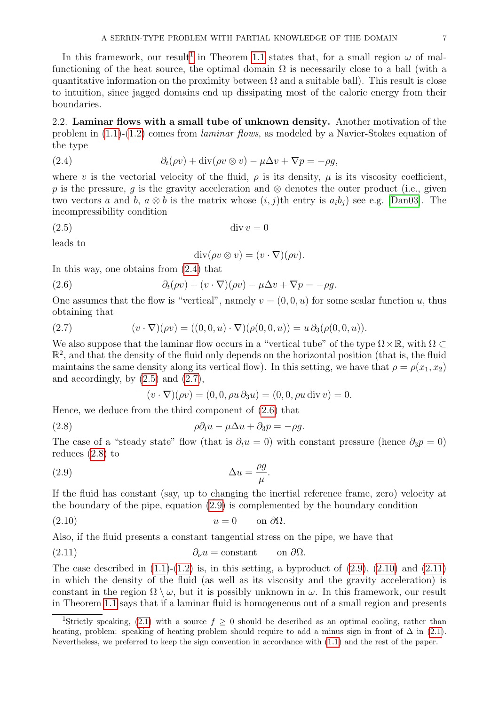In this framework, our result<sup>[1](#page-6-0)</sup> in Theorem [1.1](#page-1-3) states that, for a small region  $\omega$  of malfunctioning of the heat source, the optimal domain  $\Omega$  is necessarily close to a ball (with a quantitative information on the proximity between  $\Omega$  and a suitable ball). This result is close to intuition, since jagged domains end up dissipating most of the caloric energy from their boundaries.

2.2. Laminar flows with a small tube of unknown density. Another motivation of the problem in [\(1.1\)](#page-0-2)-[\(1.2\)](#page-0-0) comes from laminar flows, as modeled by a Navier-Stokes equation of the type

(2.4) 
$$
\partial_t(\rho v) + \operatorname{div}(\rho v \otimes v) - \mu \Delta v + \nabla p = -\rho g,
$$

where v is the vectorial velocity of the fluid,  $\rho$  is its density,  $\mu$  is its viscosity coefficient, p is the pressure, q is the gravity acceleration and  $\otimes$  denotes the outer product (i.e., given two vectors a and b,  $a \otimes b$  is the matrix whose  $(i, j)$ th entry is  $a_i b_j$  see e.g. [\[Dan03\]](#page-39-6). The incompressibility condition

(2.5) div v = 0

leads to

<span id="page-6-4"></span><span id="page-6-2"></span><span id="page-6-1"></span>
$$
\operatorname{div}(\rho v \otimes v) = (v \cdot \nabla)(\rho v).
$$

In this way, one obtains from [\(2.4\)](#page-6-1) that

(2.6) 
$$
\partial_t(\rho v) + (v \cdot \nabla)(\rho v) - \mu \Delta v + \nabla p = -\rho g.
$$

One assumes that the flow is "vertical", namely  $v = (0, 0, u)$  for some scalar function u, thus obtaining that

(2.7) 
$$
(v \cdot \nabla)(\rho v) = ((0, 0, u) \cdot \nabla)(\rho(0, 0, u)) = u \partial_3(\rho(0, 0, u)).
$$

We also suppose that the laminar flow occurs in a "vertical tube" of the type  $\Omega \times \mathbb{R}$ , with  $\Omega \subset$  $\mathbb{R}^2$ , and that the density of the fluid only depends on the horizontal position (that is, the fluid maintains the same density along its vertical flow). In this setting, we have that  $\rho = \rho(x_1, x_2)$ and accordingly, by  $(2.5)$  and  $(2.7)$ ,

<span id="page-6-7"></span><span id="page-6-6"></span><span id="page-6-5"></span><span id="page-6-3"></span>
$$
(v \cdot \nabla)(\rho v) = (0, 0, \rho u \, \partial_3 u) = (0, 0, \rho u \, \text{div} \, v) = 0.
$$

Hence, we deduce from the third component of [\(2.6\)](#page-6-4) that

(2.8) 
$$
\rho \partial_t u - \mu \Delta u + \partial_3 p = -\rho g.
$$

The case of a "steady state" flow (that is  $\partial_t u = 0$ ) with constant pressure (hence  $\partial_3 p = 0$ ) reduces [\(2.8\)](#page-6-5) to

$$
\Delta u = \frac{\rho g}{\mu}.
$$

If the fluid has constant (say, up to changing the inertial reference frame, zero) velocity at the boundary of the pipe, equation [\(2.9\)](#page-6-6) is complemented by the boundary condition

$$
(2.10) \t\t u = 0 \t on \partial\Omega.
$$

Also, if the fluid presents a constant tangential stress on the pipe, we have that

<span id="page-6-8"></span>(2.11) 
$$
\partial_{\nu}u = \text{constant} \qquad \text{on } \partial\Omega.
$$

The case described in  $(1.1)-(1.2)$  $(1.1)-(1.2)$  is, in this setting, a byproduct of  $(2.9)$ ,  $(2.10)$  and  $(2.11)$ in which the density of the fluid (as well as its viscosity and the gravity acceleration) is constant in the region  $\Omega \setminus \overline{\omega}$ , but it is possibly unknown in  $\omega$ . In this framework, our result in Theorem [1.1](#page-1-3) says that if a laminar fluid is homogeneous out of a small region and presents

<span id="page-6-0"></span><sup>&</sup>lt;sup>1</sup>Strictly speaking, [\(2.1\)](#page-5-2) with a source  $f \geq 0$  should be described as an optimal cooling, rather than heating, problem: speaking of heating problem should require to add a minus sign in front of  $\Delta$  in [\(2.1\)](#page-5-2). Nevertheless, we preferred to keep the sign convention in accordance with [\(1.1\)](#page-0-2) and the rest of the paper.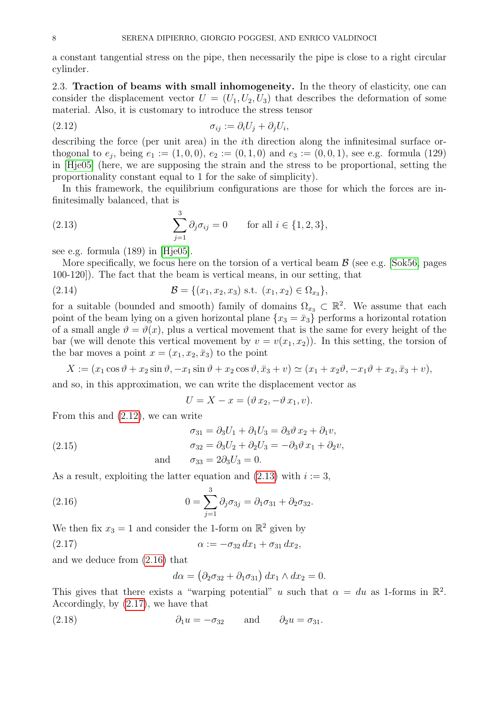a constant tangential stress on the pipe, then necessarily the pipe is close to a right circular cylinder.

2.3. Traction of beams with small inhomogeneity. In the theory of elasticity, one can consider the displacement vector  $U = (U_1, U_2, U_3)$  that describes the deformation of some material. Also, it is customary to introduce the stress tensor

<span id="page-7-0"></span>
$$
\sigma_{ij} := \partial_i U_j + \partial_j U_i,
$$

describing the force (per unit area) in the ith direction along the infinitesimal surface orthogonal to  $e_j$ , being  $e_1 := (1, 0, 0), e_2 := (0, 1, 0)$  and  $e_3 := (0, 0, 1)$ , see e.g. formula (129) in [\[Hje05\]](#page-40-15) (here, we are supposing the strain and the stress to be proportional, setting the proportionality constant equal to 1 for the sake of simplicity).

In this framework, the equilibrium configurations are those for which the forces are infinitesimally balanced, that is

<span id="page-7-1"></span>(2.13) 
$$
\sum_{j=1}^{3} \partial_j \sigma_{ij} = 0 \quad \text{for all } i \in \{1, 2, 3\},
$$

see e.g. formula (189) in [\[Hje05\]](#page-40-15).

More specifically, we focus here on the torsion of a vertical beam  $\beta$  (see e.g. [\[Sok56,](#page-41-11) pages]) 100-120]). The fact that the beam is vertical means, in our setting, that

(2.14) 
$$
\mathcal{B} = \{(x_1, x_2, x_3) \text{ s.t. } (x_1, x_2) \in \Omega_{x_3}\},
$$

for a suitable (bounded and smooth) family of domains  $\Omega_{x_3} \subset \mathbb{R}^2$ . We assume that each point of the beam lying on a given horizontal plane  ${x_3 = \bar{x}_3}$  performs a horizontal rotation of a small angle  $\vartheta = \vartheta(x)$ , plus a vertical movement that is the same for every height of the bar (we will denote this vertical movement by  $v = v(x_1, x_2)$ ). In this setting, the torsion of the bar moves a point  $x = (x_1, x_2, \bar{x}_3)$  to the point

$$
X := (x_1 \cos \vartheta + x_2 \sin \vartheta, -x_1 \sin \vartheta + x_2 \cos \vartheta, \overline{x}_3 + v) \simeq (x_1 + x_2 \vartheta, -x_1 \vartheta + x_2, \overline{x}_3 + v),
$$

and so, in this approximation, we can write the displacement vector as

<span id="page-7-5"></span>
$$
U = X - x = (\vartheta x_2, -\vartheta x_1, v).
$$

From this and [\(2.12\)](#page-7-0), we can write

<span id="page-7-4"></span>(2.15) 
$$
\sigma_{31} = \partial_3 U_1 + \partial_1 U_3 = \partial_3 \vartheta x_2 + \partial_1 v,
$$

$$
\sigma_{32} = \partial_3 U_2 + \partial_2 U_3 = -\partial_3 \vartheta x_1 + \partial_2 v,
$$
and 
$$
\sigma_{33} = 2\partial_3 U_3 = 0.
$$

As a result, exploiting the latter equation and  $(2.13)$  with  $i := 3$ ,

(2.16) 
$$
0 = \sum_{j=1}^{3} \partial_j \sigma_{3j} = \partial_1 \sigma_{31} + \partial_2 \sigma_{32}.
$$

We then fix 
$$
x_3 = 1
$$
 and consider the 1-form on  $\mathbb{R}^2$  given by

(2.17) 
$$
\alpha := -\sigma_{32} dx_1 + \sigma_{31} dx_2,
$$

and we deduce from [\(2.16\)](#page-7-2) that

<span id="page-7-6"></span><span id="page-7-3"></span><span id="page-7-2"></span>
$$
d\alpha = (\partial_2 \sigma_{32} + \partial_1 \sigma_{31}) dx_1 \wedge dx_2 = 0.
$$

This gives that there exists a "warping potential" u such that  $\alpha = du$  as 1-forms in  $\mathbb{R}^2$ . Accordingly, by [\(2.17\)](#page-7-3), we have that

(2.18) 
$$
\partial_1 u = -\sigma_{32} \quad \text{and} \quad \partial_2 u = \sigma_{31}.
$$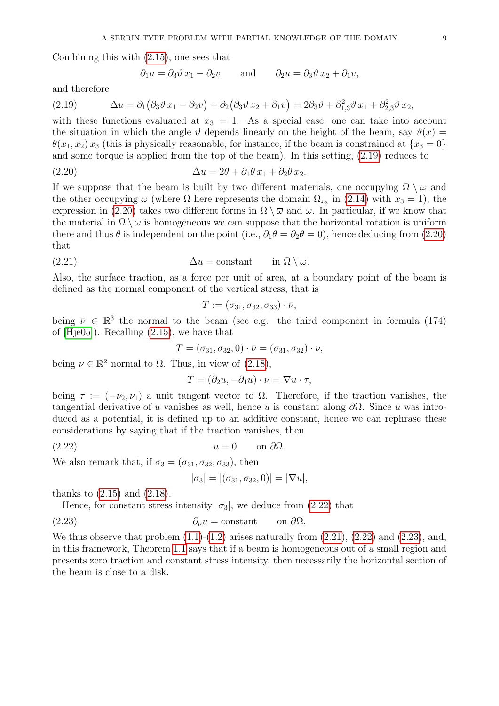Combining this with [\(2.15\)](#page-7-4), one sees that

<span id="page-8-1"></span><span id="page-8-0"></span>
$$
\partial_1 u = \partial_3 \vartheta x_1 - \partial_2 v
$$
 and  $\partial_2 u = \partial_3 \vartheta x_2 + \partial_1 v$ ,

and therefore

(2.19) 
$$
\Delta u = \partial_1 \left( \partial_3 \vartheta x_1 - \partial_2 v \right) + \partial_2 \left( \partial_3 \vartheta x_2 + \partial_1 v \right) = 2 \partial_3 \vartheta + \partial_{1,3}^2 \vartheta x_1 + \partial_{2,3}^2 \vartheta x_2,
$$

with these functions evaluated at  $x_3 = 1$ . As a special case, one can take into account the situation in which the angle  $\vartheta$  depends linearly on the height of the beam, say  $\vartheta(x)$  =  $\theta(x_1, x_2)$  x<sub>3</sub> (this is physically reasonable, for instance, if the beam is constrained at  $\{x_3 = 0\}$ ) and some torque is applied from the top of the beam). In this setting, [\(2.19\)](#page-8-0) reduces to

(2.20) 
$$
\Delta u = 2\theta + \partial_1 \theta x_1 + \partial_2 \theta x_2.
$$

If we suppose that the beam is built by two different materials, one occupying  $\Omega \setminus \overline{\omega}$  and the other occupying  $\omega$  (where  $\Omega$  here represents the domain  $\Omega_{x_3}$  in [\(2.14\)](#page-7-5) with  $x_3 = 1$ ), the expression in [\(2.20\)](#page-8-1) takes two different forms in  $\Omega \setminus \overline{\omega}$  and  $\omega$ . In particular, if we know that the material in  $\Omega \setminus \overline{\omega}$  is homogeneous we can suppose that the horizontal rotation is uniform there and thus  $\theta$  is independent on the point (i.e.,  $\partial_1 \theta = \partial_2 \theta = 0$ ), hence deducing from [\(2.20\)](#page-8-1) that

(2.21) 
$$
\Delta u = \text{constant} \qquad \text{in } \Omega \setminus \overline{\omega}.
$$

Also, the surface traction, as a force per unit of area, at a boundary point of the beam is defined as the normal component of the vertical stress, that is

<span id="page-8-3"></span>
$$
T:=(\sigma_{31},\sigma_{32},\sigma_{33})\cdot\bar{\nu},
$$

being  $\bar{\nu} \in \mathbb{R}^3$  the normal to the beam (see e.g. the third component in formula (174) of [\[Hje05\]](#page-40-15)). Recalling [\(2.15\)](#page-7-4), we have that

$$
T=(\sigma_{31},\sigma_{32},0)\cdot \bar\nu=(\sigma_{31},\sigma_{32})\cdot \nu,
$$

being  $\nu \in \mathbb{R}^2$  normal to  $\Omega$ . Thus, in view of [\(2.18\)](#page-7-6),

$$
T = (\partial_2 u, -\partial_1 u) \cdot \nu = \nabla u \cdot \tau,
$$

being  $\tau := (-\nu_2, \nu_1)$  a unit tangent vector to  $\Omega$ . Therefore, if the traction vanishes, the tangential derivative of u vanishes as well, hence u is constant along  $\partial\Omega$ . Since u was introduced as a potential, it is defined up to an additive constant, hence we can rephrase these considerations by saying that if the traction vanishes, then

$$
(2.22) \t\t u = 0 \t on \partial\Omega.
$$

We also remark that, if  $\sigma_3 = (\sigma_{31}, \sigma_{32}, \sigma_{33})$ , then

<span id="page-8-4"></span><span id="page-8-2"></span>
$$
|\sigma_3| = |(\sigma_{31}, \sigma_{32}, 0)| = |\nabla u|,
$$

thanks to [\(2.15\)](#page-7-4) and [\(2.18\)](#page-7-6).

Hence, for constant stress intensity  $|\sigma_3|$ , we deduce from [\(2.22\)](#page-8-2) that

(2.23) 
$$
\partial_{\nu} u = \text{constant} \qquad \text{on } \partial \Omega.
$$

We thus observe that problem  $(1.1)-(1.2)$  $(1.1)-(1.2)$  arises naturally from  $(2.21)$ ,  $(2.22)$  and  $(2.23)$ , and, in this framework, Theorem [1.1](#page-1-3) says that if a beam is homogeneous out of a small region and presents zero traction and constant stress intensity, then necessarily the horizontal section of the beam is close to a disk.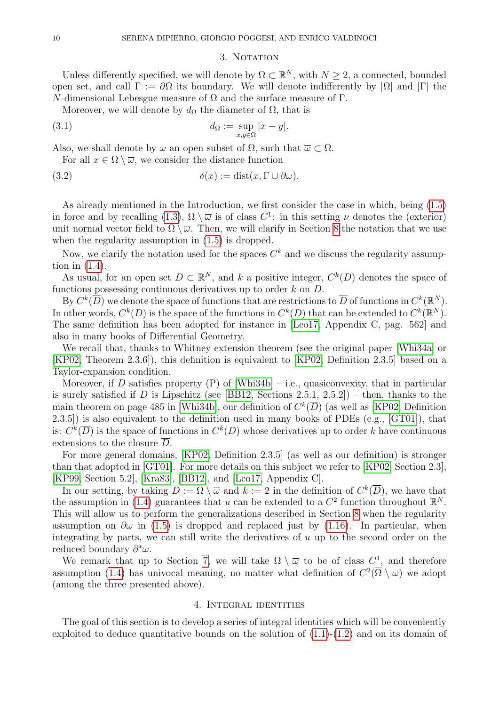#### <span id="page-9-3"></span><span id="page-9-2"></span>3. NOTATION

<span id="page-9-0"></span>Unless differently specified, we will denote by  $\Omega \subset \mathbb{R}^N$ , with  $N \geq 2$ , a connected, bounded open set, and call  $\Gamma := \partial\Omega$  its boundary. We will denote indifferently by  $|\Omega|$  and  $|\Gamma|$  the N-dimensional Lebesgue measure of Ω and the surface measure of Γ.

Moreover, we will denote by  $d_{\Omega}$  the diameter of  $\Omega$ , that is

(3.1) 
$$
d_{\Omega} := \sup_{x,y \in \Omega} |x - y|.
$$

Also, we shall denote by  $\omega$  an open subset of  $\Omega$ , such that  $\overline{\omega} \subset \Omega$ .

For all  $x \in \Omega \setminus \overline{\omega}$ , we consider the distance function

(3.2) 
$$
\delta(x) := \text{dist}(x, \Gamma \cup \partial \omega).
$$

As already mentioned in the Introduction, we first consider the case in which, being [\(1.5\)](#page-0-1) in force and by recalling  $(1.3)$ ,  $\Omega \setminus \overline{\omega}$  is of class  $C^1$ : in this setting  $\nu$  denotes the (exterior) unit normal vector field to  $\Omega \setminus \overline{\omega}$ . Then, we will clarify in Section [8](#page-28-0) the notation that we use when the regularity assumption in  $(1.5)$  is dropped.

Now, we clarify the notation used for the spaces  $C<sup>k</sup>$  and we discuss the regularity assumption in [\(1.4\)](#page-0-3).

As usual, for an open set  $D \subset \mathbb{R}^N$ , and k a positive integer,  $C^k(D)$  denotes the space of functions possessing continuous derivatives up to order  $k$  on  $D$ .

By  $C^k(\overline{D})$  we denote the space of functions that are restrictions to  $\overline{D}$  of functions in  $C^k(\mathbb{R}^N)$ . In other words,  $C^k(\overline{D})$  is the space of the functions in  $C^k(D)$  that can be extended to  $C^k(\mathbb{R}^N)$ . The same definition has been adopted for instance in [\[Leo17,](#page-41-12) Appendix C, pag. 562] and also in many books of Differential Geometry.

We recall that, thanks to Whitney extension theorem (see the original paper [\[Whi34a\]](#page-41-13) or [\[KP02,](#page-40-16) Theorem 2.3.6]), this definition is equivalent to [\[KP02,](#page-40-16) Definition 2.3.5] based on a Taylor-expansion condition.

Moreover, if D satisfies property  $(P)$  of [\[Whi34b\]](#page-41-14) – i.e., quasiconvexity, that in particular is surely satisfied if D is Lipschitz (see [\[BB12,](#page-39-7) Sections 2.5.1, 2.5.2]) – then, thanks to the main theorem on page 485 in [\[Whi34b\]](#page-41-14), our definition of  $C<sup>k</sup>(\overline{D})$  (as well as [\[KP02,](#page-40-16) Definition 2.3.5]) is also equivalent to the definition used in many books of PDEs (e.g., [\[GT01\]](#page-40-17)), that is:  $C^k(\overline{D})$  is the space of functions in  $C^k(D)$  whose derivatives up to order k have continuous extensions to the closure  $\overline{D}$ .

For more general domains, [\[KP02,](#page-40-16) Definition 2.3.5] (as well as our definition) is stronger than that adopted in [\[GT01\]](#page-40-17). For more details on this subject we refer to [\[KP02,](#page-40-16) Section 2.3], [\[KP99,](#page-40-18) Section 5.2], [\[Kra83\]](#page-40-19), [\[BB12\]](#page-39-7), and [\[Leo17,](#page-41-12) Appendix C].

In our setting, by taking  $D := \Omega \setminus \overline{\omega}$  and  $k := 2$  in the definition of  $C^k(\overline{D})$ , we have that the assumption in [\(1.4\)](#page-0-3) guarantees that u can be extended to a  $C^2$  function throughout  $\mathbb{R}^N$ . This will allow us to perform the generalizations described in Section [8](#page-28-0) when the regularity assumption on  $\partial \omega$  in [\(1.5\)](#page-0-1) is dropped and replaced just by [\(1.16\)](#page-2-1). In particular, when integrating by parts, we can still write the derivatives of  $u$  up to the second order on the reduced boundary  $\partial^*\omega$ .

We remark that up to Section [7,](#page-24-1) we will take  $\Omega \setminus \overline{\omega}$  to be of class  $C^1$ , and therefore assumption [\(1.4\)](#page-0-3) has univocal meaning, no matter what definition of  $C^2(\overline{\Omega} \setminus \omega)$  we adopt (among the three presented above).

# 4. Integral identities

<span id="page-9-1"></span>The goal of this section is to develop a series of integral identities which will be conveniently exploited to deduce quantitative bounds on the solution of  $(1.1)-(1.2)$  $(1.1)-(1.2)$  and on its domain of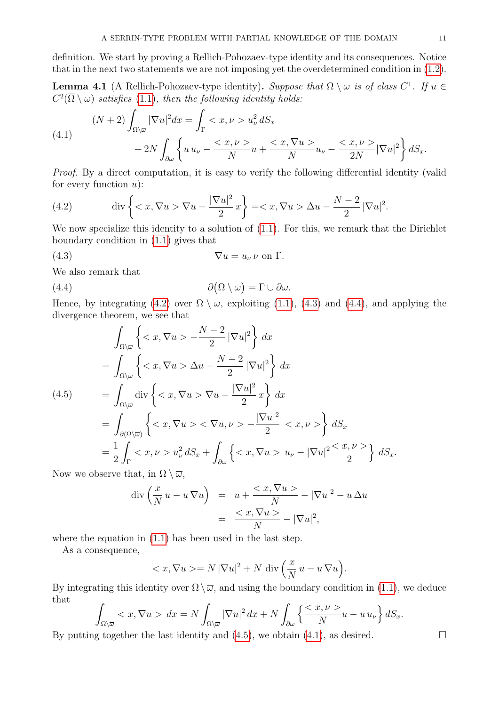definition. We start by proving a Rellich-Pohozaev-type identity and its consequences. Notice that in the next two statements we are not imposing yet the overdetermined condition in [\(1.2\)](#page-0-0).

**Lemma 4.1** (A Rellich-Pohozaev-type identity). Suppose that  $\Omega \setminus \overline{\omega}$  is of class  $C^1$ . If  $u \in$  $C^2(\overline{\Omega}\setminus\omega)$  satisfies [\(1.1\)](#page-0-2), then the following identity holds:

<span id="page-10-4"></span>(4.1)  
\n
$$
(N+2)\int_{\Omega\setminus\overline{\omega}}|\nabla u|^2dx = \int_{\Gamma} u_{\nu}^2 dS_x
$$
\n
$$
+2N\int_{\partial\omega}\left\{u u_{\nu} - \frac{}{N}u + \frac{}{N}u_{\nu} - \frac{}{2N}|\nabla u|^2\right\} dS_x.
$$

Proof. By a direct computation, it is easy to verify the following differential identity (valid for every function  $u$ :

<span id="page-10-0"></span>(4.2) 
$$
\operatorname{div}\left\{ \langle x, \nabla u \rangle \nabla u - \frac{|\nabla u|^2}{2} x \right\} = \langle x, \nabla u \rangle \Delta u - \frac{N-2}{2} |\nabla u|^2.
$$

We now specialize this identity to a solution of  $(1.1)$ . For this, we remark that the Dirichlet boundary condition in [\(1.1\)](#page-0-2) gives that

<span id="page-10-1"></span>
$$
\nabla u = u_{\nu} \nu \text{ on } \Gamma.
$$

We also remark that

<span id="page-10-2"></span>(4.4) 
$$
\partial(\Omega \setminus \overline{\omega}) = \Gamma \cup \partial \omega.
$$

Hence, by integrating [\(4.2\)](#page-10-0) over  $\Omega \setminus \overline{\omega}$ , exploiting [\(1.1\)](#page-0-2), [\(4.3\)](#page-10-1) and [\(4.4\)](#page-10-2), and applying the divergence theorem, we see that

<span id="page-10-3"></span>
$$
\int_{\Omega\setminus\overline{\omega}} \left\{ \langle x, \nabla u \rangle - \frac{N-2}{2} |\nabla u|^2 \right\} dx
$$
\n
$$
= \int_{\Omega\setminus\overline{\omega}} \left\{ \langle x, \nabla u \rangle \Delta u - \frac{N-2}{2} |\nabla u|^2 \right\} dx
$$
\n
$$
(4.5) \qquad = \int_{\Omega\setminus\overline{\omega}} \text{div} \left\{ \langle x, \nabla u \rangle \nabla u - \frac{|\nabla u|^2}{2} x \right\} dx
$$
\n
$$
= \int_{\partial(\Omega\setminus\overline{\omega})} \left\{ \langle x, \nabla u \rangle \langle x, \nabla u \rangle \langle x, \nabla u \rangle \right\} dx
$$
\n
$$
= \frac{1}{2} \int_{\Gamma} \langle x, \nu \rangle u \, du \, du
$$
\n
$$
= \frac{1}{2} \int_{\Gamma} \langle x, \nu \rangle u \, du \, du
$$
\n
$$
= \frac{1}{2} \int_{\Gamma} \langle x, \nu \rangle u \, du \, du
$$
\n
$$
= \frac{1}{2} \int_{\Gamma} \langle x, \nu \rangle u \, du \, du
$$
\n
$$
= \frac{1}{2} \int_{\Gamma} \langle x, \nu \rangle u \, du \, du
$$
\n
$$
= \frac{1}{2} \int_{\Gamma} \langle x, \nu \rangle u \, du \, du
$$
\n
$$
= \frac{1}{2} \int_{\Gamma} \langle x, \nu \rangle u \, du \, du
$$
\n
$$
= \frac{1}{2} \int_{\Gamma} \langle x, \nu \rangle u \, du \, du
$$
\n
$$
= \frac{1}{2} \int_{\Gamma} \langle x, \nu \rangle u \, du \, du
$$
\n
$$
= \frac{1}{2} \int_{\Gamma} \langle x, \nu \rangle u \, du \, du
$$
\n
$$
= \frac{1}{2} \int_{\Gamma} \langle x, \nu \rangle u \, du \, du
$$
\n
$$
= \frac{1}{2} \int_{\Gamma} \langle x, \nu \rangle u \, du \, du
$$
\n
$$
= \frac{1}{2} \int_{\Gamma} \langle x, \
$$

Now we observe that, in  $\Omega \setminus \overline{\omega}$ ,

$$
\operatorname{div}\left(\frac{x}{N}u - u\nabla u\right) = u + \frac{< x, \nabla u >}{N} - |\nabla u|^2 - u \Delta u
$$
\n
$$
= \frac{< x, \nabla u >}{N} - |\nabla u|^2,
$$

where the equation in [\(1.1\)](#page-0-2) has been used in the last step.

As a consequence,

$$
\langle x, \nabla u \rangle = N |\nabla u|^2 + N \operatorname{div} \left( \frac{x}{N} u - u \nabla u \right).
$$

By integrating this identity over  $\Omega \setminus \overline{\omega}$ , and using the boundary condition in [\(1.1\)](#page-0-2), we deduce that

$$
\int_{\Omega\setminus\overline{\omega}}  dx=N\int_{\Omega\setminus\overline{\omega}}|\nabla u|^2 dx+N\int_{\partial\omega}\left\{\frac{}{N}u-u\,u_\nu\right\}dS_x.
$$

By putting together the last identity and  $(4.5)$ , we obtain  $(4.1)$ , as desired.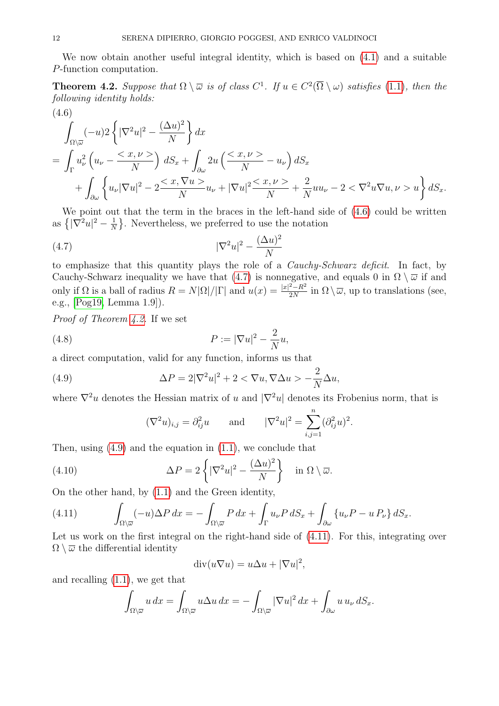We now obtain another useful integral identity, which is based on [\(4.1\)](#page-10-4) and a suitable P-function computation.

<span id="page-11-2"></span>**Theorem 4.2.** Suppose that  $\Omega \setminus \overline{\omega}$  is of class  $C^1$ . If  $u \in C^2(\overline{\Omega} \setminus \omega)$  satisfies [\(1.1\)](#page-0-2), then the following identity holds:  $(4.6)$ 

<span id="page-11-0"></span>
$$
\int_{\Omega\setminus\overline{\omega}}(-u)2\left\{|\nabla^2 u|^2 - \frac{(\Delta u)^2}{N}\right\}dx
$$
\n
$$
= \int_{\Gamma} u_\nu^2 \left(u_\nu - \frac{}{N}\right) dS_x + \int_{\partial\omega} 2u \left(\frac{}{N} - u_\nu\right) dS_x
$$
\n
$$
+ \int_{\partial\omega} \left\{u_\nu |\nabla u|^2 - 2\frac{}{N}u_\nu + |\nabla u|^2 \frac{}{N} + \frac{2}{N}u u_\nu - 2 < \nabla^2 u \nabla u, \nu>u\right\} dS_x.
$$

We point out that the term in the braces in the left-hand side of  $(4.6)$  could be written as  $\sqrt{\nabla^2 u|^2 - \frac{1}{\Delta}}$  $\frac{1}{N}$ . Nevertheless, we preferred to use the notation

<span id="page-11-1"></span>
$$
|\nabla^2 u|^2 - \frac{(\Delta u)^2}{N}
$$

to emphasize that this quantity plays the role of a Cauchy-Schwarz deficit. In fact, by Cauchy-Schwarz inequality we have that [\(4.7\)](#page-11-1) is nonnegative, and equals 0 in  $\Omega \setminus \overline{\omega}$  if and only if  $\Omega$  is a ball of radius  $R = N|\Omega|/|\Gamma|$  and  $u(x) = \frac{|x|^2 - R^2}{2N}$  $\frac{2-K^2}{2N}$  in  $\Omega \setminus \overline{\omega}$ , up to translations (see, e.g., [\[Pog19,](#page-41-10) Lemma 1.9]).

Proof of Theorem [4.2.](#page-11-2) If we set

(4.8) 
$$
P := |\nabla u|^2 - \frac{2}{N}u,
$$

a direct computation, valid for any function, informs us that

(4.9) 
$$
\Delta P = 2|\nabla^2 u|^2 + 2 < \nabla u, \nabla \Delta u > -\frac{2}{N} \Delta u,
$$

where  $\nabla^2 u$  denotes the Hessian matrix of u and  $|\nabla^2 u|$  denotes its Frobenius norm, that is

<span id="page-11-6"></span><span id="page-11-5"></span><span id="page-11-3"></span>
$$
(\nabla^2 u)_{i,j} = \partial_{ij}^2 u \quad \text{and} \quad |\nabla^2 u|^2 = \sum_{i,j=1}^n (\partial_{ij}^2 u)^2.
$$

Then, using  $(4.9)$  and the equation in  $(1.1)$ , we conclude that

(4.10) 
$$
\Delta P = 2 \left\{ |\nabla^2 u|^2 - \frac{(\Delta u)^2}{N} \right\} \quad \text{in } \Omega \setminus \overline{\omega}.
$$

On the other hand, by [\(1.1\)](#page-0-2) and the Green identity,

<span id="page-11-4"></span>(4.11) 
$$
\int_{\Omega\setminus\overline{\omega}}(-u)\Delta P\,dx=-\int_{\Omega\setminus\overline{\omega}}P\,dx+\int_{\Gamma}u_{\nu}P\,dS_x+\int_{\partial\omega}\left\{u_{\nu}P-u\,P_{\nu}\right\}dS_x.
$$

Let us work on the first integral on the right-hand side of  $(4.11)$ . For this, integrating over  $\Omega \setminus \overline{\omega}$  the differential identity

$$
\operatorname{div}(u\nabla u) = u\Delta u + |\nabla u|^2,
$$

and recalling [\(1.1\)](#page-0-2), we get that

$$
\int_{\Omega\setminus\overline{\omega}} u\,dx = \int_{\Omega\setminus\overline{\omega}} u\Delta u\,dx = -\int_{\Omega\setminus\overline{\omega}} |\nabla u|^2\,dx + \int_{\partial\omega} u\,u_{\nu}\,dS_x.
$$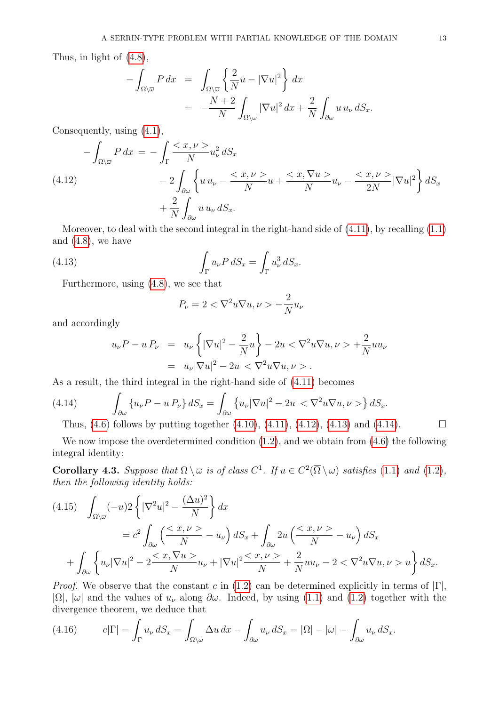Thus, in light of [\(4.8\)](#page-11-5),

$$
-\int_{\Omega\setminus\overline{\omega}} P dx = \int_{\Omega\setminus\overline{\omega}} \left\{ \frac{2}{N} u - |\nabla u|^2 \right\} dx
$$
  
= 
$$
-\frac{N+2}{N} \int_{\Omega\setminus\overline{\omega}} |\nabla u|^2 dx + \frac{2}{N} \int_{\partial\omega} u u_{\nu} dS_x.
$$

Consequently, using [\(4.1\)](#page-10-4),

<span id="page-12-0"></span>
$$
-\int_{\Omega\setminus\overline{\omega}} P dx = -\int_{\Gamma} \frac{}{N} u_{\nu}^{2} dS_{x}
$$
  
(4.12)  

$$
-2\int_{\partial\omega} \left\{ u u_{\nu} - \frac{}{N} u + \frac{}{N} u_{\nu} - \frac{}{2N} |\nabla u|^{2} \right\} dS_{x}
$$

$$
+ \frac{2}{N} \int_{\partial\omega} u u_{\nu} dS_{x}.
$$

Moreover, to deal with the second integral in the right-hand side of [\(4.11\)](#page-11-4), by recalling [\(1.1\)](#page-0-2) and  $(4.8)$ , we have

(4.13) 
$$
\int_{\Gamma} u_{\nu} P \, dS_x = \int_{\Gamma} u_{\nu}^3 \, dS_x.
$$

Furthermore, using [\(4.8\)](#page-11-5), we see that

<span id="page-12-1"></span>
$$
P_{\nu} = 2 < \nabla^2 u \nabla u, \nu > -\frac{2}{N} u_{\nu}
$$

and accordingly

$$
u_{\nu}P - uP_{\nu} = u_{\nu} \left\{ |\nabla u|^2 - \frac{2}{N} u \right\} - 2u < \nabla^2 u \nabla u, \nu > + \frac{2}{N} u u_{\nu}
$$
  
=  $u_{\nu} |\nabla u|^2 - 2u < \nabla^2 u \nabla u, \nu >$ 

As a result, the third integral in the right-hand side of [\(4.11\)](#page-11-4) becomes

(4.14) 
$$
\int_{\partial \omega} \left\{ u_{\nu} P - u P_{\nu} \right\} dS_x = \int_{\partial \omega} \left\{ u_{\nu} |\nabla u|^2 - 2u \right\} \left\{ \nabla^2 u \nabla u, \nu \right\} dS_x.
$$

<span id="page-12-2"></span>Thus,  $(4.6)$  follows by putting together  $(4.10)$ ,  $(4.11)$ ,  $(4.12)$ ,  $(4.13)$  and  $(4.14)$ .

We now impose the overdetermined condition  $(1.2)$ , and we obtain from  $(4.6)$  the following integral identity:

**Corollary 4.3.** Suppose that  $\Omega \setminus \overline{\omega}$  is of class  $C^1$ . If  $u \in C^2(\overline{\Omega} \setminus \omega)$  satisfies [\(1.1\)](#page-0-2) and [\(1.2\)](#page-0-0), then the following identity holds:

<span id="page-12-3"></span>
$$
(4.15) \quad \int_{\Omega\setminus\overline{\omega}} (-u) 2\left\{ |\nabla^2 u|^2 - \frac{(\Delta u)^2}{N} \right\} dx
$$
  

$$
= c^2 \int_{\partial\omega} \left( \frac{}{N} - u_\nu \right) dS_x + \int_{\partial\omega} 2u \left( \frac{}{N} - u_\nu \right) dS_x
$$
  

$$
+ \int_{\partial\omega} \left\{ u_\nu |\nabla u|^2 - 2 \frac{}{N} u_\nu + |\nabla u|^2 \frac{}{N} + \frac{2}{N} u u_\nu - 2 < \nabla^2 u \nabla u, \nu> u \right\} dS_x.
$$

*Proof.* We observe that the constant c in [\(1.2\)](#page-0-0) can be determined explicitly in terms of  $|\Gamma|$ ,  $|\Omega|, |\omega|$  and the values of  $u_{\nu}$  along  $\partial \omega$ . Indeed, by using [\(1.1\)](#page-0-2) and [\(1.2\)](#page-0-0) together with the divergence theorem, we deduce that

<span id="page-12-4"></span>(4.16) 
$$
c|\Gamma| = \int_{\Gamma} u_{\nu} dS_x = \int_{\Omega \setminus \overline{\omega}} \Delta u dx - \int_{\partial \omega} u_{\nu} dS_x = |\Omega| - |\omega| - \int_{\partial \omega} u_{\nu} dS_x.
$$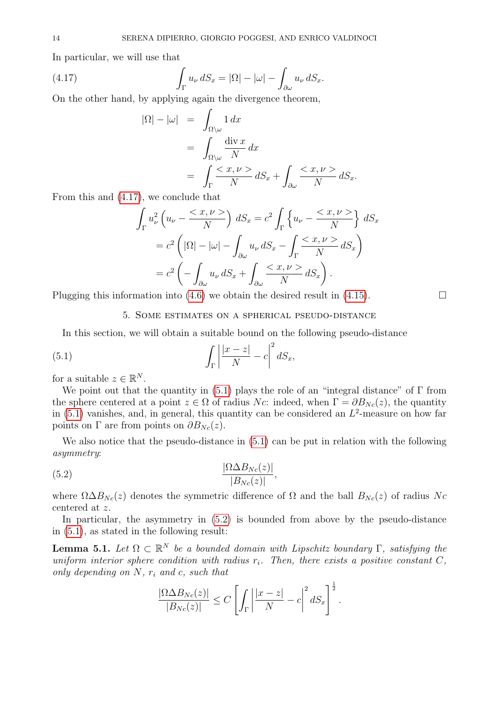In particular, we will use that

(4.17) 
$$
\int_{\Gamma} u_{\nu} dS_x = |\Omega| - |\omega| - \int_{\partial \omega} u_{\nu} dS_x.
$$

On the other hand, by applying again the divergence theorem,

<span id="page-13-2"></span>
$$
|\Omega| - |\omega| = \int_{\Omega \setminus \omega} 1 \, dx
$$
  
= 
$$
\int_{\Omega \setminus \omega} \frac{\text{div } x}{N} \, dx
$$
  
= 
$$
\int_{\Gamma} \frac{}{N} \, dS_x + \int_{\partial \omega} \frac{}{N} \, dS_x.
$$

From this and [\(4.17\)](#page-13-2), we conclude that

$$
\int_{\Gamma} u_{\nu}^{2} \left( u_{\nu} - \frac{\langle x, \nu \rangle}{N} \right) dS_{x} = c^{2} \int_{\Gamma} \left\{ u_{\nu} - \frac{\langle x, \nu \rangle}{N} \right\} dS_{x}
$$

$$
= c^{2} \left( |\Omega| - |\omega| - \int_{\partial \omega} u_{\nu} dS_{x} - \int_{\Gamma} \frac{\langle x, \nu \rangle}{N} dS_{x} \right)
$$

$$
= c^{2} \left( - \int_{\partial \omega} u_{\nu} dS_{x} + \int_{\partial \omega} \frac{\langle x, \nu \rangle}{N} dS_{x} \right).
$$

<span id="page-13-0"></span>Plugging this information into  $(4.6)$  we obtain the desired result in  $(4.15)$ .

<span id="page-13-3"></span>5. Some estimates on a spherical pseudo-distance

In this section, we will obtain a suitable bound on the following pseudo-distance

(5.1) 
$$
\int_{\Gamma} \left| \frac{|x-z|}{N} - c \right|^2 dS_x,
$$

for a suitable  $z \in \mathbb{R}^N$ .

We point out that the quantity in  $(5.1)$  plays the role of an "integral distance" of  $\Gamma$  from the sphere centered at a point  $z \in \Omega$  of radius Nc: indeed, when  $\Gamma = \partial B_{N_c}(z)$ , the quantity in  $(5.1)$  vanishes, and, in general, this quantity can be considered an  $L^2$ -measure on how far points on  $\Gamma$  are from points on  $\partial B_{N_c}(z)$ .

We also notice that the pseudo-distance in  $(5.1)$  can be put in relation with the following asymmetry:

$$
\frac{|\Omega \Delta B_{N_c}(z)|}{|B_{N_c}(z)|},
$$

where  $\Omega \Delta B_{N_c}(z)$  denotes the symmetric difference of  $\Omega$  and the ball  $B_{N_c}(z)$  of radius Nc centered at z.

In particular, the asymmetry in [\(5.2\)](#page-13-4) is bounded from above by the pseudo-distance in [\(5.1\)](#page-13-3), as stated in the following result:

<span id="page-13-1"></span>**Lemma 5.1.** Let  $\Omega \subset \mathbb{R}^N$  be a bounded domain with Lipschitz boundary  $\Gamma$ , satisfying the uniform interior sphere condition with radius  $r_i$ . Then, there exists a positive constant C, only depending on  $N$ ,  $r_i$  and c, such that

<span id="page-13-4"></span>
$$
\frac{|\Omega \Delta B_{Nc}(z)|}{|B_{Nc}(z)|} \leq C \left[ \int_{\Gamma} \left| \frac{|x-z|}{N} - c \right|^2 dS_x \right]^{\frac{1}{2}}.
$$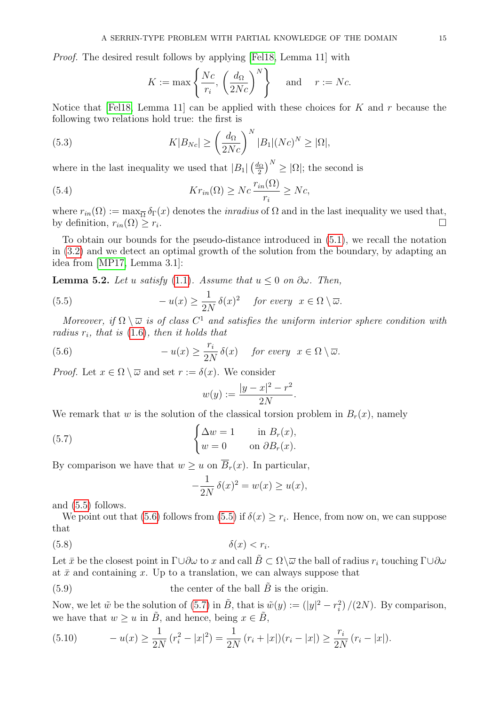Proof. The desired result follows by applying [\[Fel18,](#page-40-0) Lemma 11] with

<span id="page-14-6"></span><span id="page-14-5"></span>
$$
K := \max\left\{\frac{Nc}{r_i}, \left(\frac{d_{\Omega}}{2Nc}\right)^N\right\} \quad \text{and} \quad r := Nc.
$$

Notice that [\[Fel18,](#page-40-0) Lemma 11] can be applied with these choices for K and r because the following two relations hold true: the first is

(5.3) 
$$
K|B_{Nc}| \geq \left(\frac{d_{\Omega}}{2Nc}\right)^N |B_1|(Nc)^N \geq |\Omega|,
$$

where in the last inequality we used that  $|B_1| \left(\frac{d_{\Omega}}{2}\right)$  $\left(\frac{l_{\Omega}}{2}\right)^N \geq |\Omega|$ ; the second is

(5.4) 
$$
Kr_{in}(\Omega) \ge Nc \frac{r_{in}(\Omega)}{r_i} \ge Nc,
$$

where  $r_{in}(\Omega) := \max_{\overline{\Omega}} \delta_{\Gamma}(x)$  denotes the *inradius* of  $\Omega$  and in the last inequality we used that, by definition,  $r_{in}(\Omega) \geq r_i$ . .

To obtain our bounds for the pseudo-distance introduced in [\(5.1\)](#page-13-3), we recall the notation in [\(3.2\)](#page-9-2) and we detect an optimal growth of the solution from the boundary, by adapting an idea from [\[MP17,](#page-41-6) Lemma 3.1]:

<span id="page-14-7"></span>**Lemma 5.2.** Let u satisfy [\(1.1\)](#page-0-2). Assume that  $u \leq 0$  on  $\partial \omega$ . Then,

(5.5) 
$$
-u(x) \ge \frac{1}{2N} \delta(x)^2 \quad \text{for every} \ \ x \in \Omega \setminus \overline{\omega}.
$$

Moreover, if  $\Omega \setminus \overline{\omega}$  is of class  $C^1$  and satisfies the uniform interior sphere condition with radius  $r_i$ , that is  $(1.6)$ , then it holds that

(5.6) 
$$
-u(x) \ge \frac{r_i}{2N} \delta(x) \quad \text{for every} \ \ x \in \Omega \setminus \overline{\omega}.
$$

*Proof.* Let  $x \in \Omega \setminus \overline{\omega}$  and set  $r := \delta(x)$ . We consider

<span id="page-14-1"></span><span id="page-14-0"></span>
$$
w(y) := \frac{|y - x|^2 - r^2}{2N}.
$$

We remark that w is the solution of the classical torsion problem in  $B_r(x)$ , namely

(5.7) 
$$
\begin{cases} \Delta w = 1 & \text{in } B_r(x), \\ w = 0 & \text{on } \partial B_r(x). \end{cases}
$$

By comparison we have that  $w \geq u$  on  $\overline{B}_r(x)$ . In particular,

<span id="page-14-3"></span><span id="page-14-2"></span>
$$
-\frac{1}{2N}\delta(x)^2 = w(x) \ge u(x),
$$

and [\(5.5\)](#page-14-0) follows.

We point out that [\(5.6\)](#page-14-1) follows from [\(5.5\)](#page-14-0) if  $\delta(x) \geq r_i$ . Hence, from now on, we can suppose that

$$
(5.8) \t\t \t\t \delta(x) < r_i.
$$

Let  $\bar{x}$  be the closest point in  $\Gamma \cup \partial \omega$  to x and call  $\tilde{B} \subset \Omega \setminus \overline{\omega}$  the ball of radius  $r_i$  touching  $\Gamma \cup \partial \omega$ at  $\bar{x}$  and containing x. Up to a translation, we can always suppose that

 $(5.9)$  the center of the ball  $B$  is the origin.

Now, we let  $\tilde{w}$  be the solution of [\(5.7\)](#page-14-2) in  $\tilde{B}$ , that is  $\tilde{w}(y) := (|y|^2 - r_i^2)/(2N)$ . By comparison, we have that  $w \geq u$  in  $\tilde{B}$ , and hence, being  $x \in \tilde{B}$ ,

<span id="page-14-4"></span>(5.10) 
$$
-u(x) \ge \frac{1}{2N} (r_i^2 - |x|^2) = \frac{1}{2N} (r_i + |x|)(r_i - |x|) \ge \frac{r_i}{2N} (r_i - |x|).
$$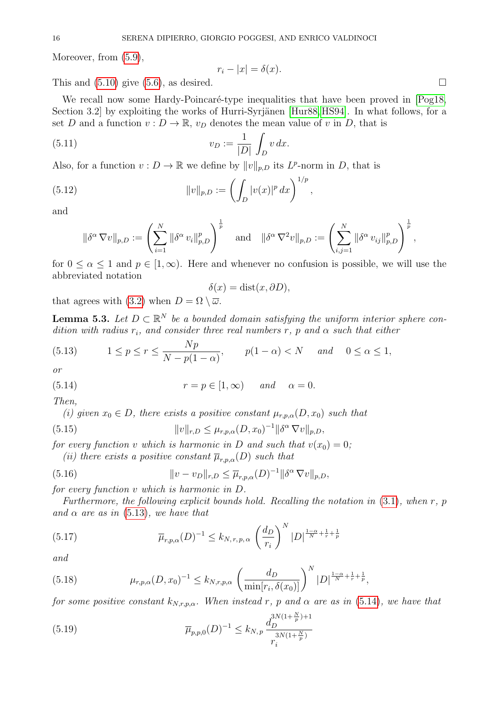Moreover, from  $(5.9)$ ,

<span id="page-15-3"></span>
$$
r_i - |x| = \delta(x).
$$

This and  $(5.10)$  give  $(5.6)$ , as desired.

We recall now some Hardy-Poincaré-type inequalities that have been proved in [\[Pog18,](#page-41-8) Section 3.2 by exploiting the works of Hurri-Syrjänen [\[Hur88,](#page-40-20) [HS94\]](#page-40-21). In what follows, for a set D and a function  $v : D \to \mathbb{R}$ ,  $v_D$  denotes the mean value of v in D, that is

(5.11) 
$$
v_D := \frac{1}{|D|} \int_D v \, dx.
$$

Also, for a function  $v: D \to \mathbb{R}$  we define by  $||v||_{p,D}$  its  $L^p$ -norm in D, that is

(5.12) 
$$
||v||_{p,D} := \left(\int_D |v(x)|^p dx\right)^{1/p},
$$

and

$$
\|\delta^{\alpha} \nabla v\|_{p,D} := \left(\sum_{i=1}^N \|\delta^{\alpha} v_i\|_{p,D}^p\right)^{\frac{1}{p}} \quad \text{and} \quad \|\delta^{\alpha} \nabla^2 v\|_{p,D} := \left(\sum_{i,j=1}^N \|\delta^{\alpha} v_{ij}\|_{p,D}^p\right)^{\frac{1}{p}},
$$

for  $0 \le \alpha \le 1$  and  $p \in [1,\infty)$ . Here and whenever no confusion is possible, we will use the abbreviated notation

<span id="page-15-4"></span><span id="page-15-1"></span>
$$
\delta(x) = \text{dist}(x, \partial D),
$$

that agrees with [\(3.2\)](#page-9-2) when  $D = \Omega \setminus \overline{\omega}$ .

<span id="page-15-2"></span>**Lemma 5.3.** Let  $D \subset \mathbb{R}^N$  be a bounded domain satisfying the uniform interior sphere condition with radius  $r_i$ , and consider three real numbers r, p and  $\alpha$  such that either

<span id="page-15-0"></span>(5.13) 
$$
1 \le p \le r \le \frac{Np}{N - p(1 - \alpha)}, \qquad p(1 - \alpha) < N \quad \text{and} \quad 0 \le \alpha \le 1,
$$

or

(5.14) 
$$
r = p \in [1, \infty) \quad and \quad \alpha = 0.
$$

Then,

(i) given  $x_0 \in D$ , there exists a positive constant  $\mu_{r,p,\alpha}(D,x_0)$  such that

(5.15) 
$$
||v||_{r,D} \leq \mu_{r,p,\alpha}(D,x_0)^{-1} ||\delta^{\alpha} \nabla v||_{p,D},
$$

for every function v which is harmonic in D and such that  $v(x_0) = 0$ ;

<span id="page-15-5"></span>(ii) there exists a positive constant  $\overline{\mu}_{r,n,\alpha}(D)$  such that

(5.16) 
$$
||v - v_D||_{r,D} \leq \overline{\mu}_{r,p,\alpha}(D)^{-1} ||\delta^{\alpha} \nabla v||_{p,D},
$$

for every function v which is harmonic in D.

Furthermore, the following explicit bounds hold. Recalling the notation in  $(3.1)$ , when r, p and  $\alpha$  are as in [\(5.13\)](#page-15-0), we have that

<span id="page-15-6"></span>(5.17) 
$$
\overline{\mu}_{r,p,\alpha}(D)^{-1} \leq k_{N,r,p,\alpha} \left(\frac{d_D}{r_i}\right)^N |D|^{\frac{1-\alpha}{N} + \frac{1}{r} + \frac{1}{p}}
$$

and

<span id="page-15-8"></span>(5.18) 
$$
\mu_{r,p,\alpha}(D,x_0)^{-1} \leq k_{N,r,p,\alpha} \left(\frac{d_D}{\min[r_i,\delta(x_0)]}\right)^N |D|^{\frac{1-\alpha}{N} + \frac{1}{r} + \frac{1}{p}},
$$

for some positive constant  $k_{N,r,p,\alpha}$ . When instead r, p and  $\alpha$  are as in [\(5.14\)](#page-15-1), we have that

<span id="page-15-7"></span>(5.19) 
$$
\overline{\mu}_{p,p,0}(D)^{-1} \leq k_{N,p} \frac{d_{D}^{3N(1+\frac{N}{p})+1}}{r_{i}^{3N(1+\frac{N}{p})}}
$$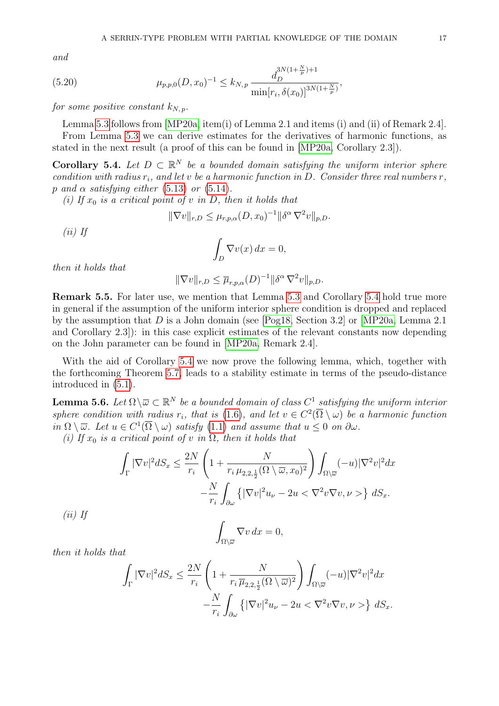and

(5.20) 
$$
\mu_{p,p,0}(D,x_0)^{-1} \leq k_{N,p} \frac{d_D^{3N(1+\frac{N}{p})+1}}{\min[r_i,\delta(x_0)]^{3N(1+\frac{N}{p})}},
$$

for some positive constant  $k_{N,n}$ .

Lemma [5.3](#page-15-2) follows from [\[MP20a,](#page-41-7) item(i) of Lemma 2.1 and items (i) and (ii) of Remark 2.4].

From Lemma [5.3](#page-15-2) we can derive estimates for the derivatives of harmonic functions, as stated in the next result (a proof of this can be found in [\[MP20a,](#page-41-7) Corollary 2.3]).

<span id="page-16-0"></span>**Corollary 5.4.** Let  $D \subset \mathbb{R}^N$  be a bounded domain satisfying the uniform interior sphere condition with radius  $r_i$ , and let v be a harmonic function in D. Consider three real numbers  $r$ , p and  $\alpha$  satisfying either [\(5.13\)](#page-15-0) or [\(5.14\)](#page-15-1).

(i) If  $x_0$  is a critical point of v in D, then it holds that

$$
\|\nabla v\|_{r,D} \le \mu_{r,p,\alpha}(D,x_0)^{-1} \|\delta^{\alpha} \nabla^2 v\|_{p,D}.
$$
  
(*ii*) If  

$$
\int_D \nabla v(x) dx = 0,
$$

then it holds that

 $\|\nabla v\|_{r,D} \leq \overline{\mu}_{r,p,\alpha}(D)^{-1} \|\delta^{\alpha} \nabla^2 v\|_{p,D}.$ 

<span id="page-16-2"></span>Remark 5.5. For later use, we mention that Lemma [5.3](#page-15-2) and Corollary [5.4](#page-16-0) hold true more in general if the assumption of the uniform interior sphere condition is dropped and replaced by the assumption that D is a John domain (see [\[Pog18,](#page-41-8) Section 3.2] or [\[MP20a,](#page-41-7) Lemma 2.1] and Corollary 2.3]): in this case explicit estimates of the relevant constants now depending on the John parameter can be found in [\[MP20a,](#page-41-7) Remark 2.4].

With the aid of Corollary [5.4](#page-16-0) we now prove the following lemma, which, together with the forthcoming Theorem [5.7,](#page-18-0) leads to a stability estimate in terms of the pseudo-distance introduced in [\(5.1\)](#page-13-3).

<span id="page-16-1"></span>**Lemma 5.6.** Let  $\Omega \setminus \overline{\omega} \subset \mathbb{R}^N$  be a bounded domain of class  $C^1$  satisfying the uniform interior sphere condition with radius  $r_i$ , that is [\(1.6\)](#page-1-0), and let  $v \in C^2(\overline{\Omega} \setminus \omega)$  be a harmonic function in  $\Omega \setminus \overline{\omega}$ . Let  $u \in C^1(\overline{\Omega} \setminus \omega)$  satisfy  $(1.1)$  and assume that  $u \leq 0$  on  $\partial \omega$ .

(i) If  $x_0$  is a critical point of v in  $\Omega$ , then it holds that

$$
\int_{\Gamma} |\nabla v|^2 dS_x \le \frac{2N}{r_i} \left( 1 + \frac{N}{r_i \mu_{2,2,\frac{1}{2}}(\Omega \setminus \overline{\omega}, x_0)^2} \right) \int_{\Omega \setminus \overline{\omega}} (-u) |\nabla^2 v|^2 dx
$$

$$
- \frac{N}{r_i} \int_{\partial \omega} \left\{ |\nabla v|^2 u_\nu - 2u < \nabla^2 v \nabla v, \nu > \right\} dS_x.
$$
If
$$
\int_{\Omega \setminus \overline{\omega}} \nabla v \, dx = 0,
$$

then it holds that

 $(ii)$ 

$$
\int_{\Gamma} |\nabla v|^2 dS_x \leq \frac{2N}{r_i} \left( 1 + \frac{N}{r_i \overline{\mu}_{2,2,\frac{1}{2}}(\Omega \setminus \overline{\omega})^2} \right) \int_{\Omega \setminus \overline{\omega}} (-u) |\nabla^2 v|^2 dx
$$

$$
- \frac{N}{r_i} \int_{\partial \omega} \left\{ |\nabla v|^2 u_\nu - 2u < \nabla^2 v \nabla v, \nu > \right\} dS_x.
$$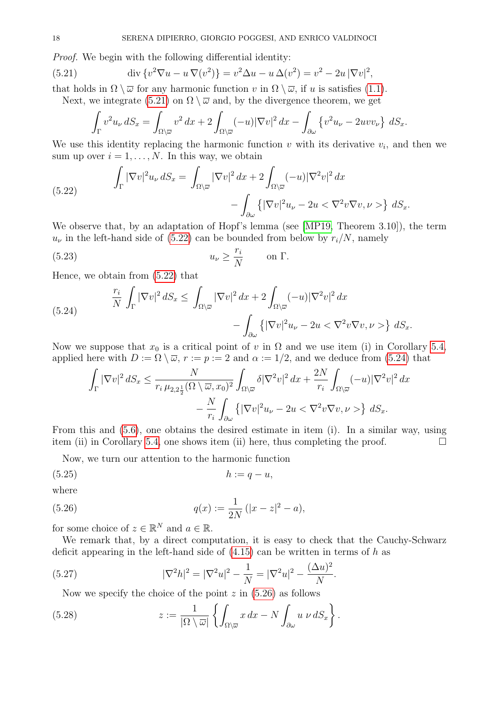Proof. We begin with the following differential identity:

(5.21) 
$$
\operatorname{div} \{v^2 \nabla u - u \nabla (v^2) \} = v^2 \Delta u - u \Delta (v^2) = v^2 - 2u |\nabla v|^2,
$$

that holds in  $\Omega \setminus \overline{\omega}$  for any harmonic function v in  $\Omega \setminus \overline{\omega}$ , if u is satisfies [\(1.1\)](#page-0-2).

Next, we integrate [\(5.21\)](#page-17-0) on  $\Omega \setminus \overline{\omega}$  and, by the divergence theorem, we get

<span id="page-17-0"></span>
$$
\int_{\Gamma} v^2 u_{\nu} dS_x = \int_{\Omega \backslash \overline{\omega}} v^2 dx + 2 \int_{\Omega \backslash \overline{\omega}} (-u) |\nabla v|^2 dx - \int_{\partial \omega} \left\{ v^2 u_{\nu} - 2uv v_{\nu} \right\} dS_x.
$$

We use this identity replacing the harmonic function  $v$  with its derivative  $v_i$ , and then we sum up over  $i = 1, \ldots, N$ . In this way, we obtain

<span id="page-17-1"></span>(5.22) 
$$
\int_{\Gamma} |\nabla v|^2 u_{\nu} dS_x = \int_{\Omega \setminus \overline{\omega}} |\nabla v|^2 dx + 2 \int_{\Omega \setminus \overline{\omega}} (-u) |\nabla^2 v|^2 dx - \int_{\partial \omega} \left\{ |\nabla v|^2 u_{\nu} - 2u < \nabla^2 v \nabla v, \nu > \right\} dS_x.
$$

We observe that, by an adaptation of Hopf's lemma (see [\[MP19,](#page-41-5) Theorem 3.10]), the term  $u_{\nu}$  in the left-hand side of [\(5.22\)](#page-17-1) can be bounded from below by  $r_i/N$ , namely

<span id="page-17-7"></span>(5.23) 
$$
u_{\nu} \ge \frac{r_i}{N} \quad \text{on } \Gamma.
$$

Hence, we obtain from [\(5.22\)](#page-17-1) that

<span id="page-17-2"></span>(5.24) 
$$
\frac{r_i}{N} \int_{\Gamma} |\nabla v|^2 dS_x \le \int_{\Omega \setminus \overline{\omega}} |\nabla v|^2 dx + 2 \int_{\Omega \setminus \overline{\omega}} (-u) |\nabla^2 v|^2 dx - \int_{\partial \omega} \{ |\nabla v|^2 u_{\nu} - 2u < \nabla^2 v \nabla v, \nu > \} dS_x.
$$

Now we suppose that  $x_0$  is a critical point of v in  $\Omega$  and we use item (i) in Corollary [5.4,](#page-16-0) applied here with  $D := \Omega \setminus \overline{\omega}$ ,  $r := p := 2$  and  $\alpha := 1/2$ , and we deduce from [\(5.24\)](#page-17-2) that

$$
\int_{\Gamma} |\nabla v|^2 \, dS_x \le \frac{N}{r_i \mu_{2,2\frac{1}{2}}(\Omega \setminus \overline{\omega}, x_0)^2} \int_{\Omega \setminus \overline{\omega}} \delta |\nabla^2 v|^2 \, dx + \frac{2N}{r_i} \int_{\Omega \setminus \overline{\omega}} (-u) |\nabla^2 v|^2 \, dx \n- \frac{N}{r_i} \int_{\partial \omega} \left\{ |\nabla v|^2 u_\nu - 2u < \nabla^2 v \nabla v, \nu \right\} \, dS_x.
$$

From this and [\(5.6\)](#page-14-1), one obtains the desired estimate in item (i). In a similar way, using item (ii) in Corollary [5.4,](#page-16-0) one shows item (ii) here, thus completing the proof.  $\Box$ 

<span id="page-17-6"></span><span id="page-17-3"></span>Now, we turn our attention to the harmonic function

$$
(5.25) \t\t\t h := q - u,
$$

where

(5.26) 
$$
q(x) := \frac{1}{2N} (|x - z|^2 - a),
$$

for some choice of  $z \in \mathbb{R}^N$  and  $a \in \mathbb{R}$ .

We remark that, by a direct computation, it is easy to check that the Cauchy-Schwarz deficit appearing in the left-hand side of  $(4.15)$  can be written in terms of h as

(5.27) 
$$
|\nabla^2 h|^2 = |\nabla^2 u|^2 - \frac{1}{N} = |\nabla^2 u|^2 - \frac{(\Delta u)^2}{N}.
$$

<span id="page-17-5"></span><span id="page-17-4"></span>Now we specify the choice of the point  $z$  in  $(5.26)$  as follows

(5.28) 
$$
z := \frac{1}{|\Omega \setminus \overline{\omega}|} \left\{ \int_{\Omega \setminus \overline{\omega}} x \, dx - N \int_{\partial \omega} u \, \nu \, dS_x \right\}.
$$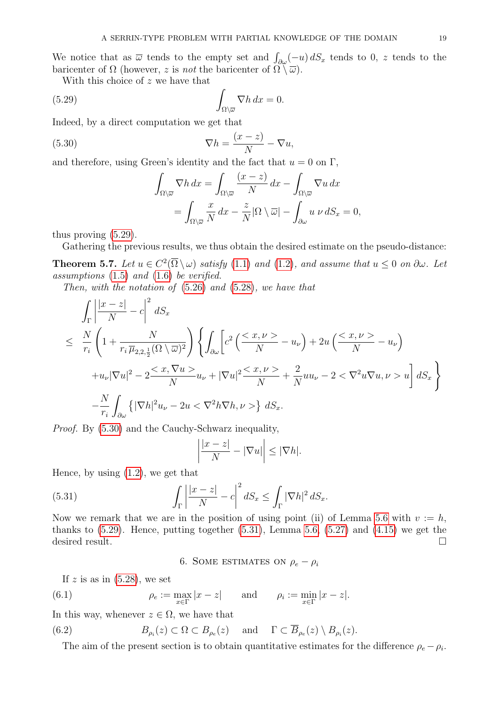We notice that as  $\overline{\omega}$  tends to the empty set and  $\int_{\partial\omega}(-u)\,dS_x$  tends to 0, z tends to the baricenter of  $\Omega$  (however, z is not the baricenter of  $\Omega \setminus \overline{\omega}$ ).

With this choice of z we have that

(5.29) 
$$
\int_{\Omega \backslash \overline{\omega}} \nabla h \, dx = 0.
$$

Indeed, by a direct computation we get that

(5.30) 
$$
\nabla h = \frac{(x-z)}{N} - \nabla u,
$$

and therefore, using Green's identity and the fact that  $u = 0$  on  $\Gamma$ ,

<span id="page-18-3"></span><span id="page-18-2"></span>
$$
\int_{\Omega\setminus\overline{\omega}}\nabla h\,dx = \int_{\Omega\setminus\overline{\omega}}\frac{(x-z)}{N}\,dx - \int_{\Omega\setminus\overline{\omega}}\nabla u\,dx
$$

$$
= \int_{\Omega\setminus\overline{\omega}}\frac{x}{N}\,dx - \frac{z}{N}|\Omega\setminus\overline{\omega}| - \int_{\partial\omega}u\,\nu\,dS_x = 0,
$$

thus proving [\(5.29\)](#page-18-2).

Gathering the previous results, we thus obtain the desired estimate on the pseudo-distance:

<span id="page-18-0"></span>**Theorem 5.7.** Let  $u \in C^2(\overline{\Omega} \setminus \omega)$  satisfy [\(1.1\)](#page-0-2) and [\(1.2\)](#page-0-0), and assume that  $u \leq 0$  on  $\partial \omega$ . Let assumptions [\(1.5\)](#page-0-1) and [\(1.6\)](#page-1-0) be verified.

Then, with the notation of [\(5.26\)](#page-17-3) and [\(5.28\)](#page-17-4), we have that

$$
\int_{\Gamma} \left| \frac{|x-z|}{N} - c \right|^2 dS_x
$$
\n
$$
\leq \frac{N}{r_i} \left( 1 + \frac{N}{r_i \overline{\mu}_{2,2,\frac{1}{2}}(\Omega \setminus \overline{\omega})^2} \right) \left\{ \int_{\partial \omega} \left[ c^2 \left( \frac{}{N} - u_{\nu} \right) + 2u \left( \frac{}{N} - u_{\nu} \right) \right. \right.
$$
\n
$$
+ u_{\nu} |\nabla u|^2 - 2 \frac{}{N} u_{\nu} + |\nabla u|^2 \frac{}{N} + \frac{2}{N} u u_{\nu} - 2 < \nabla^2 u \nabla u, \nu> u \right] dS_x \right\}
$$
\n
$$
- \frac{N}{r_i} \int_{\partial \omega} \left\{ |\nabla h|^2 u_{\nu} - 2u < \nabla^2 h \nabla h, \nu> \right\} dS_x.
$$

Proof. By [\(5.30\)](#page-18-3) and the Cauchy-Schwarz inequality,

<span id="page-18-4"></span>
$$
\left|\frac{|x-z|}{N}-|\nabla u|\right|\leq |\nabla h|.
$$

Hence, by using [\(1.2\)](#page-0-0), we get that

(5.31) 
$$
\int_{\Gamma} \left| \frac{|x-z|}{N} - c \right|^2 dS_x \le \int_{\Gamma} |\nabla h|^2 dS_x.
$$

Now we remark that we are in the position of using point (ii) of Lemma [5.6](#page-16-1) with  $v := h$ , thanks to  $(5.29)$ . Hence, putting together  $(5.31)$ , Lemma [5.6,](#page-16-1)  $(5.27)$  and  $(4.15)$  we get the desired result.

<span id="page-18-5"></span>6. SOME ESTIMATES ON  $\rho_e - \rho_i$ 

<span id="page-18-1"></span>If z is as in  $(5.28)$ , we set

(6.1) 
$$
\rho_e := \max_{x \in \Gamma} |x - z|
$$
 and  $\rho_i := \min_{x \in \Gamma} |x - z|$ .

In this way, whenever  $z \in \Omega$ , we have that

(6.2) 
$$
B_{\rho_i}(z) \subset \Omega \subset B_{\rho_e}(z) \quad \text{and} \quad \Gamma \subset \overline{B}_{\rho_e}(z) \setminus B_{\rho_i}(z).
$$

The aim of the present section is to obtain quantitative estimates for the difference  $\rho_e - \rho_i$ .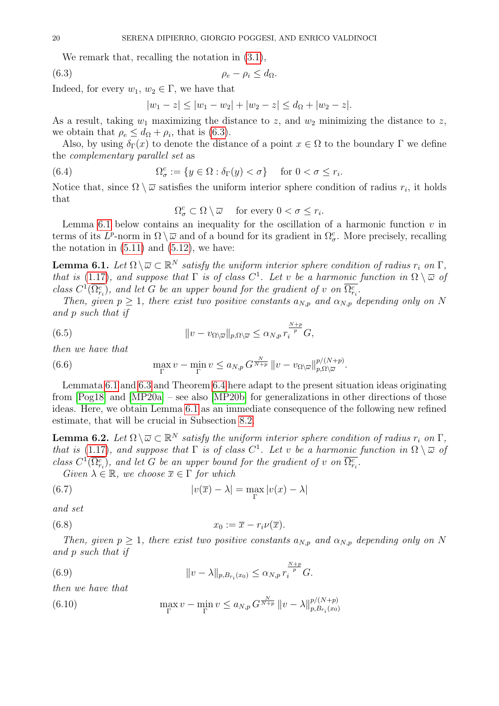We remark that, recalling the notation in  $(3.1)$ ,

$$
(6.3) \t\t \t\t \rho_e - \rho_i \leq d_{\Omega}.
$$

Indeed, for every  $w_1, w_2 \in \Gamma$ , we have that

<span id="page-19-0"></span>
$$
|w_1 - z| \le |w_1 - w_2| + |w_2 - z| \le d_{\Omega} + |w_2 - z|.
$$

As a result, taking  $w_1$  maximizing the distance to z, and  $w_2$  minimizing the distance to z, we obtain that  $\rho_e \leq d_{\Omega} + \rho_i$ , that is [\(6.3\)](#page-19-0).

Also, by using  $\delta_{\Gamma}(x)$  to denote the distance of a point  $x \in \Omega$  to the boundary  $\Gamma$  we define the complementary parallel set as

(6.4) 
$$
\Omega_{\sigma}^{c} := \{ y \in \Omega : \delta_{\Gamma}(y) < \sigma \} \quad \text{for } 0 < \sigma \leq r_{i}.
$$

Notice that, since  $\Omega \setminus \overline{\omega}$  satisfies the uniform interior sphere condition of radius  $r_i$ , it holds that

<span id="page-19-7"></span> $\Omega_{\sigma}^{c} \subset \Omega \setminus \overline{\omega}$  for every  $0 < \sigma \leq r_{i}$ .

Lemma [6.1](#page-19-1) below contains an inequality for the oscillation of a harmonic function  $v$  in terms of its  $L^p$ -norm in  $\Omega \setminus \overline{\omega}$  and of a bound for its gradient in  $\Omega^c_\sigma$ . More precisely, recalling the notation in  $(5.11)$  and  $(5.12)$ , we have:

<span id="page-19-1"></span>**Lemma 6.1.** Let  $\Omega \setminus \overline{\omega} \subset \mathbb{R}^N$  satisfy the uniform interior sphere condition of radius  $r_i$  on  $\Gamma$ , that is [\(1.17\)](#page-3-0), and suppose that  $\Gamma$  is of class  $C^1$ . Let v be a harmonic function in  $\Omega \setminus \overline{\omega}$  of class  $C^1(\overline{\Omega_{r_i}^c})$ , and let G be an upper bound for the gradient of v on  $\overline{\Omega_{r_i}^c}$ .

Then, given  $p \geq 1$ , there exist two positive constants  $a_{N,p}$  and  $\alpha_{N,p}$  depending only on N and p such that if

(6.5) 
$$
||v - v_{\Omega \setminus \overline{\omega}}||_{p,\Omega \setminus \overline{\omega}} \le \alpha_{N,p} r_i^{\frac{N+p}{p}} G,
$$

then we have that

(6.6) 
$$
\max_{\Gamma} v - \min_{\Gamma} v \le a_{N,p} G^{\frac{N}{N+p}} ||v - v_{\Omega \setminus \overline{\omega}}||_{p,\Omega \setminus \overline{\omega}}^{p/(N+p)}.
$$

Lemmata [6.1](#page-19-1) and [6.3](#page-21-0) and Theorem [6.4](#page-22-0) here adapt to the present situation ideas originating from [\[Pog18\]](#page-41-8) and [\[MP20a\]](#page-41-7) – see also [\[MP20b\]](#page-41-15) for generalizations in other directions of those ideas. Here, we obtain Lemma [6.1](#page-19-1) as an immediate consequence of the following new refined estimate, that will be crucial in Subsection [8.2.](#page-35-0)

<span id="page-19-6"></span>**Lemma 6.2.** Let  $\Omega \setminus \overline{\omega} \subset \mathbb{R}^N$  satisfy the uniform interior sphere condition of radius  $r_i$  on  $\Gamma$ , that is [\(1.17\)](#page-3-0), and suppose that  $\Gamma$  is of class  $C^1$ . Let v be a harmonic function in  $\Omega \setminus \overline{\omega}$  of class  $C^1(\overline{\Omega_{r_i}^c})$ , and let G be an upper bound for the gradient of v on  $\overline{\Omega_{r_i}^c}$ .

<span id="page-19-3"></span><span id="page-19-2"></span>Given  $\lambda \in \mathbb{R}$ , we choose  $\overline{x} \in \Gamma$  for which

(6.7) 
$$
|v(\overline{x}) - \lambda| = \max_{\Gamma} |v(x) - \lambda|
$$

and set

$$
(6.8) \t\t x_0 := \overline{x} - r_i \nu(\overline{x}).
$$

Then, given  $p \geq 1$ , there exist two positive constants  $a_{N,p}$  and  $\alpha_{N,p}$  depending only on N and p such that if

<span id="page-19-5"></span>(6.9) 
$$
||v - \lambda||_{p, B_{r_i}(x_0)} \leq \alpha_{N, p} r_i^{\frac{N+p}{p}} G.
$$

then we have that

<span id="page-19-4"></span>(6.10) 
$$
\max_{\Gamma} v - \min_{\Gamma} v \le a_{N,p} G^{\frac{N}{N+p}} \|v - \lambda\|_{p, B_{r_i}(x_0)}^{p/(N+p)}
$$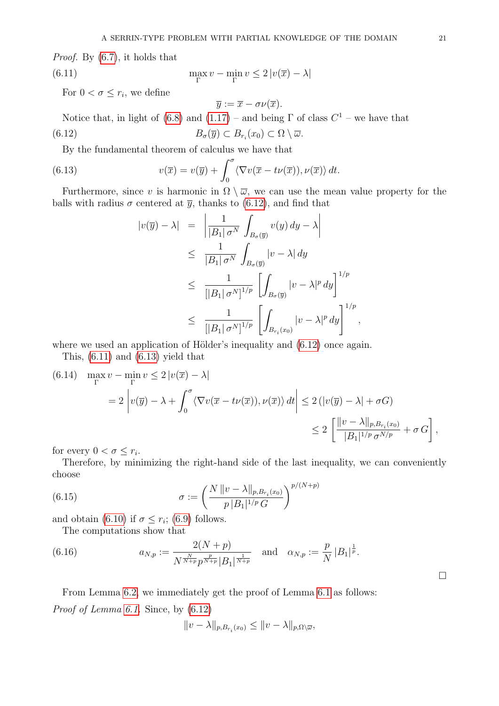Proof. By [\(6.7\)](#page-19-2), it holds that

(6.11) 
$$
\max_{\Gamma} v - \min_{\Gamma} v \le 2 |v(\overline{x}) - \lambda|
$$

For  $0 < \sigma \leq r_i$ , we define

<span id="page-20-1"></span><span id="page-20-0"></span>
$$
\overline{y} := \overline{x} - \sigma \nu(\overline{x}).
$$

Notice that, in light of [\(6.8\)](#page-19-3) and  $(1.17)$  – and being  $\Gamma$  of class  $C^1$  – we have that (6.12)  $B_{\sigma}(\overline{y}) \subset B_{r_i}(x_0) \subset \Omega \setminus \overline{\omega}.$ 

By the fundamental theorem of calculus we have that

(6.13) 
$$
v(\overline{x}) = v(\overline{y}) + \int_0^{\sigma} \langle \nabla v(\overline{x} - t\nu(\overline{x})), \nu(\overline{x}) \rangle dt.
$$

Furthermore, since v is harmonic in  $\Omega \setminus \overline{\omega}$ , we can use the mean value property for the balls with radius  $\sigma$  centered at  $\bar{y}$ , thanks to [\(6.12\)](#page-20-0), and find that

<span id="page-20-2"></span>
$$
|v(\overline{y}) - \lambda| = \left| \frac{1}{|B_1| \sigma^N} \int_{B_{\sigma}(\overline{y})} v(y) dy - \lambda \right|
$$
  
\n
$$
\leq \frac{1}{|B_1| \sigma^N} \int_{B_{\sigma}(\overline{y})} |v - \lambda| dy
$$
  
\n
$$
\leq \frac{1}{[|B_1| \sigma^N]^{1/p}} \left[ \int_{B_{\sigma}(\overline{y})} |v - \lambda|^p dy \right]^{1/p}
$$
  
\n
$$
\leq \frac{1}{[|B_1| \sigma^N]^{1/p}} \left[ \int_{B_{r_i}(x_0)} |v - \lambda|^p dy \right]^{1/p}
$$

,

where we used an application of Hölder's inequality and  $(6.12)$  once again.

This, [\(6.11\)](#page-20-1) and [\(6.13\)](#page-20-2) yield that

(6.14) 
$$
\max_{\Gamma} v - \min_{\Gamma} v \le 2 |v(\overline{x}) - \lambda|
$$
  
=  $2 \left| v(\overline{y}) - \lambda + \int_0^{\sigma} \langle \nabla v(\overline{x} - t\nu(\overline{x})), \nu(\overline{x}) \rangle dt \right| \le 2 (|v(\overline{y}) - \lambda| + \sigma G)$   
 $\le 2 \left[ \frac{||v - \lambda||_{p, B_{r_i}(x_0)}}{|B_1|^{1/p} \sigma^{N/p}} + \sigma G \right],$ 

for every  $0 < \sigma \leq r_i$ .

Therefore, by minimizing the right-hand side of the last inequality, we can conveniently choose

(6.15) 
$$
\sigma := \left(\frac{N \|v - \lambda\|_{p, B_{r_i}(x_0)}}{p |B_1|^{1/p} G}\right)^{p/(N+p)}
$$

and obtain [\(6.10\)](#page-19-4) if  $\sigma \leq r_i$ ; [\(6.9\)](#page-19-5) follows.

<span id="page-20-3"></span>The computations show that

(6.16) 
$$
a_{N,p} := \frac{2(N+p)}{N^{\frac{N}{N+p}} p^{\frac{p}{N+p}} |B_1|^{\frac{1}{N+p}}} \text{ and } \alpha_{N,p} := \frac{p}{N} |B_1|^{\frac{1}{p}}.
$$

From Lemma 6.2, we immediately get the proof of Lemma 6.1 as follows: *Proof of Lemma 6.1*. Since, by 
$$
(6.12)
$$

$$
||v - \lambda||_{p, B_{r_i}(x_0)} \le ||v - \lambda||_{p, \Omega \setminus \overline{\omega}},
$$

 $\Box$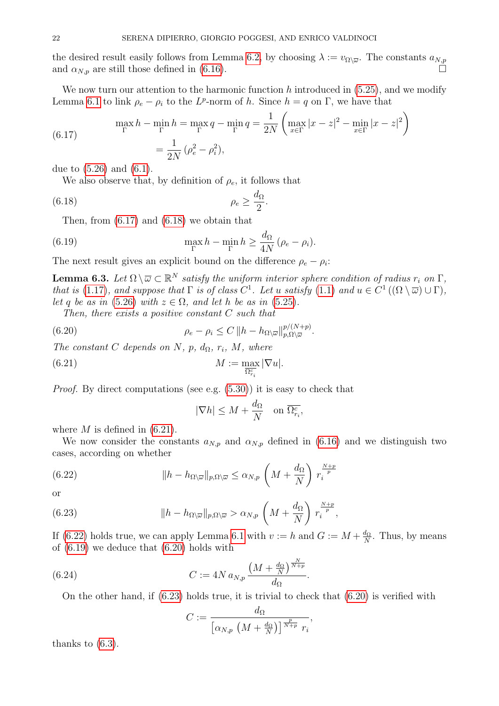the desired result easily follows from Lemma [6.2,](#page-19-6) by choosing  $\lambda := v_{\Omega \setminus \overline{\omega}}$ . The constants  $a_{N,p}$ and  $\alpha_{N,p}$  are still those defined in [\(6.16\)](#page-20-3).

We now turn our attention to the harmonic function h introduced in  $(5.25)$ , and we modify Lemma [6.1](#page-19-1) to link  $\rho_e - \rho_i$  to the L<sup>p</sup>-norm of h. Since  $h = q$  on  $\Gamma$ , we have that

<span id="page-21-1"></span>(6.17) 
$$
\max_{\Gamma} h - \min_{\Gamma} h = \max_{\Gamma} q - \min_{\Gamma} q = \frac{1}{2N} \left( \max_{x \in \Gamma} |x - z|^2 - \min_{x \in \Gamma} |x - z|^2 \right)
$$

$$
= \frac{1}{2N} \left( \rho_e^2 - \rho_i^2 \right),
$$

due to [\(5.26\)](#page-17-3) and [\(6.1\)](#page-18-5).

We also observe that, by definition of  $\rho_e$ , it follows that

$$
\rho_e \ge \frac{d_{\Omega}}{2}.
$$

<span id="page-21-5"></span>Then, from [\(6.17\)](#page-21-1) and [\(6.18\)](#page-21-2) we obtain that

(6.19) 
$$
\max_{\Gamma} h - \min_{\Gamma} h \ge \frac{d_{\Omega}}{4N} (\rho_e - \rho_i).
$$

The next result gives an explicit bound on the difference  $\rho_e - \rho_i$ :

<span id="page-21-0"></span>**Lemma 6.3.** Let  $\Omega \setminus \overline{\omega} \subset \mathbb{R}^N$  satisfy the uniform interior sphere condition of radius  $r_i$  on  $\Gamma$ , that is [\(1.17\)](#page-3-0), and suppose that  $\Gamma$  is of class  $C^1$ . Let u satisfy [\(1.1\)](#page-0-2) and  $u \in C^1((\Omega \setminus \overline{\omega}) \cup \Gamma)$ , let q be as in [\(5.26\)](#page-17-3) with  $z \in \Omega$ , and let h be as in [\(5.25\)](#page-17-6).

<span id="page-21-2"></span> $\overline{p}$ 

Then, there exists a positive constant  $C$  such that

(6.20) 
$$
\rho_e - \rho_i \leq C \left\| h - h_{\Omega \setminus \overline{\omega}} \right\|_{p,\Omega \setminus \overline{\omega}}^{p/(N+p)}.
$$

The constant C depends on N, p,  $d_{\Omega}$ ,  $r_i$ , M, where

(6.21) 
$$
M := \max_{\overline{\Omega_{r_i}^c}} |\nabla u|.
$$

Proof. By direct computations (see e.g. [\(5.30\)](#page-18-3)) it is easy to check that

<span id="page-21-6"></span><span id="page-21-4"></span><span id="page-21-3"></span>
$$
|\nabla h|\leq M+\frac{d_{\Omega}}{N}\quad \text{on } \overline{\Omega_{r_i}^c},
$$

where  $M$  is defined in  $(6.21)$ .

We now consider the constants  $a_{N,p}$  and  $\alpha_{N,p}$  defined in [\(6.16\)](#page-20-3) and we distinguish two cases, according on whether

(6.22) 
$$
\|h - h_{\Omega \backslash \overline{\omega}}\|_{p, \Omega \backslash \overline{\omega}} \le \alpha_{N, p} \left(M + \frac{d_{\Omega}}{N}\right) r_i^{\frac{N+p}{p}}
$$

or

(6.23) 
$$
\|h - h_{\Omega \setminus \overline{\omega}}\|_{p, \Omega \setminus \overline{\omega}} > \alpha_{N, p} \left(M + \frac{d_{\Omega}}{N}\right) r_i^{\frac{N+p}{p}},
$$

If [\(6.22\)](#page-21-4) holds true, we can apply Lemma [6.1](#page-19-1) with  $v := h$  and  $G := M + \frac{d_{\Omega}}{N}$  $\frac{d_{\Omega}}{N}$ . Thus, by means of [\(6.19\)](#page-21-5) we deduce that [\(6.20\)](#page-21-6) holds with

(6.24) 
$$
C := 4N a_{N,p} \frac{\left(M + \frac{d_{\Omega}}{N}\right)^{\frac{N}{N+p}}}{d_{\Omega}}.
$$

On the other hand, if [\(6.23\)](#page-21-7) holds true, it is trivial to check that [\(6.20\)](#page-21-6) is verified with

<span id="page-21-8"></span><span id="page-21-7"></span>
$$
C := \frac{d_{\Omega}}{\left[\alpha_{N,p}\,\left(M + \frac{d_{\Omega}}{N}\right)\right]^{\frac{p}{N+p}}\,r_i},
$$

thanks to [\(6.3\)](#page-19-0).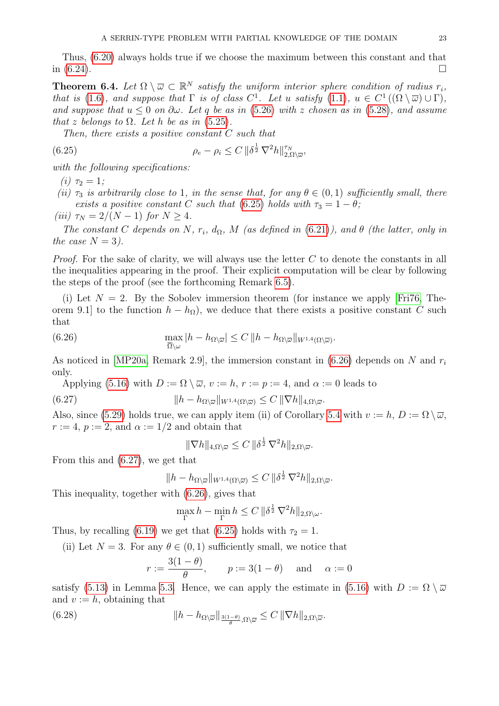Thus, [\(6.20\)](#page-21-6) always holds true if we choose the maximum between this constant and that in  $(6.24)$ .

<span id="page-22-0"></span>**Theorem 6.4.** Let  $\Omega \setminus \overline{\omega} \subset \mathbb{R}^N$  satisfy the uniform interior sphere condition of radius  $r_i$ , that is [\(1.6\)](#page-1-0), and suppose that  $\Gamma$  is of class  $C^1$ . Let u satisfy [\(1.1\)](#page-0-2),  $u \in C^1((\Omega \setminus \overline{\omega}) \cup \Gamma)$ , and suppose that  $u \leq 0$  on  $\partial \omega$ . Let q be as in [\(5.26\)](#page-17-3) with z chosen as in [\(5.28\)](#page-17-4), and assume that z belongs to  $\Omega$ . Let h be as in [\(5.25\)](#page-17-6).

<span id="page-22-1"></span>Then, there exists a positive constant C such that

(6.25) 
$$
\rho_e - \rho_i \leq C \|\delta^{\frac{1}{2}} \nabla^2 h\|_{2,\Omega\setminus\overline{\omega}}^{\tau_N},
$$

with the following specifications:

(*i*)  $\tau_2 = 1$ ;

- (ii)  $\tau_3$  is arbitrarily close to 1, in the sense that, for any  $\theta \in (0,1)$  sufficiently small, there exists a positive constant C such that [\(6.25\)](#page-22-1) holds with  $\tau_3 = 1 - \theta$ ;
- (iii)  $\tau_N = 2/(N-1)$  for  $N \geq 4$ .

The constant C depends on N,  $r_i$ ,  $d_{\Omega}$ , M (as defined in [\(6.21\)](#page-21-3)), and  $\theta$  (the latter, only in the case  $N = 3$ ).

*Proof.* For the sake of clarity, we will always use the letter  $C$  to denote the constants in all the inequalities appearing in the proof. Their explicit computation will be clear by following the steps of the proof (see the forthcoming Remark [6.5\)](#page-23-0).

(i) Let  $N = 2$ . By the Sobolev immersion theorem (for instance we apply [\[Fri76,](#page-40-22) Theorem 9.1] to the function  $h - h_{\Omega}$ , we deduce that there exists a positive constant C such that

(6.26) 
$$
\max_{\overline{\Omega}\setminus\omega}|h-h_{\Omega\setminus\overline{\omega}}|\leq C\,||h-h_{\Omega\setminus\overline{\omega}}||_{W^{1,4}(\Omega\setminus\overline{\omega})}.
$$

As noticed in [\[MP20a,](#page-41-7) Remark 2.9], the immersion constant in  $(6.26)$  depends on N and  $r_i$ only.

Applying [\(5.16\)](#page-15-5) with  $D := \Omega \setminus \overline{\omega}$ ,  $v := h$ ,  $r := p := 4$ , and  $\alpha := 0$  leads to (6.27)  $\|h - h_{\Omega\setminus\overline{\omega}}\|_{W^{1,4}(\Omega\setminus\overline{\omega})} \leq C \|\nabla h\|_{4,\Omega\setminus\overline{\omega}}.$ 

Also, since [\(5.29\)](#page-18-2) holds true, we can apply item (ii) of Corollary [5.4](#page-16-0) with  $v := h, D := \Omega \setminus \overline{\omega}$ ,  $r := 4$ ,  $p := 2$ , and  $\alpha := 1/2$  and obtain that

<span id="page-22-3"></span><span id="page-22-2"></span>
$$
\|\nabla h\|_{4,\Omega\setminus\overline{\omega}}\leq C\,\|\delta^{\frac{1}{2}}\,\nabla^2 h\|_{2,\Omega\setminus\overline{\omega}}.
$$

From this and [\(6.27\)](#page-22-3), we get that

$$
||h - h_{\Omega \setminus \overline{\omega}}||_{W^{1,4}(\Omega \setminus \overline{\omega})} \leq C ||\delta^{\frac{1}{2}} \nabla^2 h||_{2,\Omega \setminus \overline{\omega}}.
$$

This inequality, together with [\(6.26\)](#page-22-2), gives that

$$
\max_{\Gamma} h - \min_{\Gamma} h \le C \, \|\delta^{\frac{1}{2}} \, \nabla^2 h\|_{2, \Omega \setminus \omega}.
$$

Thus, by recalling [\(6.19\)](#page-21-5) we get that [\(6.25\)](#page-22-1) holds with  $\tau_2 = 1$ .

(ii) Let  $N = 3$ . For any  $\theta \in (0, 1)$  sufficiently small, we notice that

<span id="page-22-4"></span>
$$
r := \frac{3(1-\theta)}{\theta}
$$
,  $p := 3(1-\theta)$  and  $\alpha := 0$ 

satisfy [\(5.13\)](#page-15-0) in Lemma [5.3.](#page-15-2) Hence, we can apply the estimate in [\(5.16\)](#page-15-5) with  $D := \Omega \setminus \overline{\omega}$ and  $v := h$ , obtaining that

(6.28) 
$$
\|h - h_{\Omega \setminus \overline{\omega}}\|_{\frac{3(1-\theta)}{\theta}, \Omega \setminus \overline{\omega}} \leq C \|\nabla h\|_{2, \Omega \setminus \overline{\omega}}.
$$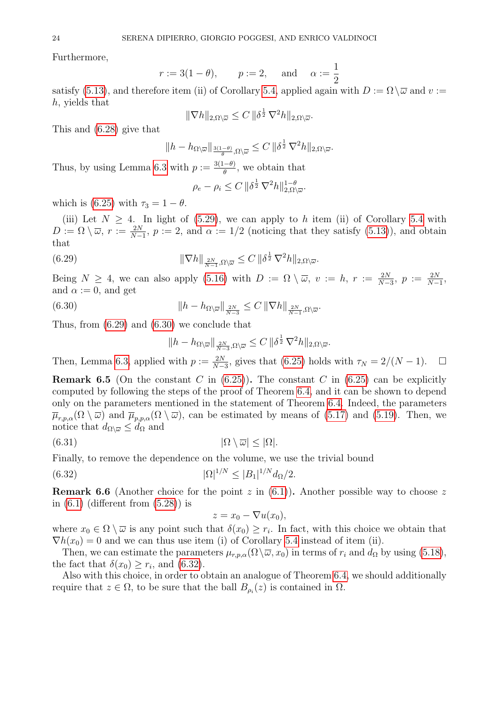Furthermore,

$$
r := 3(1 - \theta),
$$
  $p := 2,$  and  $\alpha := \frac{1}{2}$ 

satisfy [\(5.13\)](#page-15-0), and therefore item (ii) of Corollary [5.4,](#page-16-0) applied again with  $D := \Omega \setminus \overline{\omega}$  and  $v :=$ h, yields that

$$
\|\nabla h\|_{2,\Omega\setminus\overline{\omega}}\leq C\,\|\delta^{\frac{1}{2}}\,\nabla^2 h\|_{2,\Omega\setminus\overline{\omega}}.
$$

This and [\(6.28\)](#page-22-4) give that

$$
||h - h_{\Omega \setminus \overline{\omega}}||_{\frac{3(1-\theta)}{\theta}, \Omega \setminus \overline{\omega}} \leq C ||\delta^{\frac{1}{2}} \nabla^2 h||_{2, \Omega \setminus \overline{\omega}}.
$$

Thus, by using Lemma [6.3](#page-21-0) with  $p := \frac{3(1-\theta)}{\theta}$  $\frac{(-\theta)}{\theta}$ , we obtain that

<span id="page-23-1"></span>
$$
\rho_e - \rho_i \le C \, \|\delta^{\frac{1}{2}} \, \nabla^2 h\|_{2,\Omega\setminus\overline{\omega}}^{1-\theta}.
$$

which is [\(6.25\)](#page-22-1) with  $\tau_3 = 1 - \theta$ .

(iii) Let  $N \geq 4$ . In light of [\(5.29\)](#page-18-2), we can apply to h item (ii) of Corollary [5.4](#page-16-0) with  $D := \Omega \setminus \overline{\omega}, r := \frac{2N}{N-1}, p := 2$ , and  $\alpha := 1/2$  (noticing that they satisfy [\(5.13\)](#page-15-0)), and obtain that

(6.29) 
$$
\|\nabla h\|_{\frac{2N}{N-1},\Omega\setminus\overline{\omega}} \leq C \|\delta^{\frac{1}{2}}\nabla^2 h\|_{2,\Omega\setminus\overline{\omega}}.
$$

Being  $N \geq 4$ , we can also apply [\(5.16\)](#page-15-5) with  $D := \Omega \setminus \overline{\omega}$ ,  $v := h$ ,  $r := \frac{2N}{N-3}$ ,  $p := \frac{2N}{N-1}$ , and  $\alpha := 0$ , and get

(6.30) 
$$
\|h - h_{\Omega \setminus \overline{\omega}}\|_{\frac{2N}{N-3}} \leq C \|\nabla h\|_{\frac{2N}{N-1}, \Omega \setminus \overline{\omega}}.
$$

Thus, from [\(6.29\)](#page-23-1) and [\(6.30\)](#page-23-2) we conclude that

<span id="page-23-2"></span>
$$
||h - h_{\Omega \setminus \overline{\omega}}||_{\frac{2N}{N-3}, \Omega \setminus \overline{\omega}} \leq C ||\delta^{\frac{1}{2}} \nabla^2 h||_{2, \Omega \setminus \overline{\omega}}.
$$

Then, Lemma [6.3,](#page-21-0) applied with  $p := \frac{2N}{N-3}$ , gives that [\(6.25\)](#page-22-1) holds with  $\tau_N = 2/(N-1)$ .  $\Box$ 

<span id="page-23-0"></span>**Remark 6.5** (On the constant C in  $(6.25)$ ). The constant C in  $(6.25)$  can be explicitly computed by following the steps of the proof of Theorem [6.4,](#page-22-0) and it can be shown to depend only on the parameters mentioned in the statement of Theorem [6.4.](#page-22-0) Indeed, the parameters  $\overline{\mu}_{r,p,\alpha}(\Omega \setminus \overline{\omega})$  and  $\overline{\mu}_{p,p,\alpha}(\Omega \setminus \overline{\omega})$ , can be estimated by means of [\(5.17\)](#page-15-6) and [\(5.19\)](#page-15-7). Then, we notice that  $d_{\Omega \backslash \overline{\omega}} \leq d_{\Omega}$  and

$$
(6.31) \t\t |\Omega \setminus \overline{\omega}| \le |\Omega|.
$$

Finally, to remove the dependence on the volume, we use the trivial bound

(6.32) 
$$
|\Omega|^{1/N} \le |B_1|^{1/N} d_{\Omega}/2.
$$

**Remark 6.6** (Another choice for the point z in  $(6.1)$ ). Another possible way to choose z in  $(6.1)$  (different from  $(5.28)$ ) is

<span id="page-23-4"></span><span id="page-23-3"></span>
$$
z = x_0 - \nabla u(x_0),
$$

where  $x_0 \in \Omega \setminus \overline{\omega}$  is any point such that  $\delta(x_0) \geq r_i$ . In fact, with this choice we obtain that  $\nabla h(x_0) = 0$  and we can thus use item (i) of Corollary [5.4](#page-16-0) instead of item (ii).

Then, we can estimate the parameters  $\mu_{r,p,\alpha}(\Omega \setminus \overline{\omega}, x_0)$  in terms of  $r_i$  and  $d_{\Omega}$  by using [\(5.18\)](#page-15-8), the fact that  $\delta(x_0) \geq r_i$ , and [\(6.32\)](#page-23-3).

Also with this choice, in order to obtain an analogue of Theorem [6.4,](#page-22-0) we should additionally require that  $z \in \Omega$ , to be sure that the ball  $B_{\rho_i}(z)$  is contained in  $\Omega$ .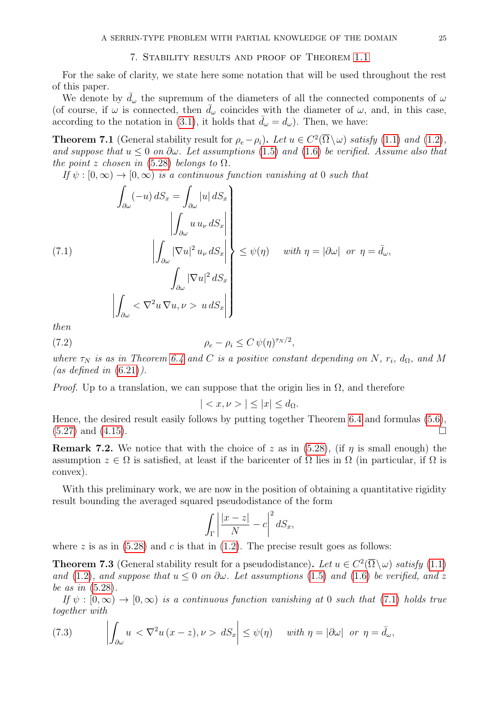<span id="page-24-1"></span>For the sake of clarity, we state here some notation that will be used throughout the rest of this paper.

We denote by  $\bar{d}_{\omega}$  the supremum of the diameters of all the connected components of  $\omega$ (of course, if  $\omega$  is connected, then  $\bar{d}_{\omega}$  coincides with the diameter of  $\omega$ , and, in this case, according to the notation in [\(3.1\)](#page-9-3), it holds that  $\bar{d}_{\omega} = d_{\omega}$ ). Then, we have:

<span id="page-24-2"></span>**Theorem 7.1** (General stability result for  $\rho_e - \rho_i$ ). Let  $u \in C^2(\overline{\Omega} \setminus \omega)$  satisfy [\(1.1\)](#page-0-2) and [\(1.2\)](#page-0-0), and suppose that  $u \leq 0$  on  $\partial \omega$ . Let assumptions [\(1.5\)](#page-0-1) and [\(1.6\)](#page-1-0) be verified. Assume also that the point z chosen in [\(5.28\)](#page-17-4) belongs to  $\Omega$ .

If  $\psi : [0, \infty) \to [0, \infty)$  is a continuous function vanishing at 0 such that

<span id="page-24-4"></span>
$$
\int_{\partial \omega} (-u) dS_x = \int_{\partial \omega} |u| dS_x
$$
\n
$$
\left| \int_{\partial \omega} u u_{\nu} dS_x \right|
$$
\n(7.1)\n
$$
\left| \int_{\partial \omega} |\nabla u|^2 u_{\nu} dS_x \right| \geq \psi(\eta) \quad \text{with } \eta = |\partial \omega| \text{ or } \eta = \bar{d}_{\omega},
$$
\n
$$
\int_{\partial \omega} |\nabla u|^2 dS_x
$$
\n
$$
\left| \int_{\partial \omega} < \nabla^2 u \nabla u, \nu > u dS_x \right|
$$

then

(7.2) 
$$
\rho_e - \rho_i \le C \psi(\eta)^{\tau_N/2},
$$

where  $\tau_N$  is as in Theorem [6.4](#page-22-0) and C is a positive constant depending on N,  $r_i$ ,  $d_{\Omega}$ , and M (as defined in  $(6.21)$ ).

*Proof.* Up to a translation, we can suppose that the origin lies in  $\Omega$ , and therefore

<span id="page-24-6"></span>
$$
||\leq|x|\leq d_{\Omega}.
$$

Hence, the desired result easily follows by putting together Theorem [6.4](#page-22-0) and formulas [\(5.6\)](#page-14-1),  $(5.27)$  and  $(4.15)$ .

<span id="page-24-0"></span>**Remark 7.2.** We notice that with the choice of z as in [\(5.28\)](#page-17-4), (if  $\eta$  is small enough) the assumption  $z \in \Omega$  is satisfied, at least if the baricenter of  $\Omega$  lies in  $\Omega$  (in particular, if  $\Omega$  is convex).

With this preliminary work, we are now in the position of obtaining a quantitative rigidity result bounding the averaged squared pseudodistance of the form

$$
\int_{\Gamma} \left| \frac{|x-z|}{N} - c \right|^2 dS_x,
$$

where z is as in  $(5.28)$  and c is that in  $(1.2)$ . The precise result goes as follows:

<span id="page-24-3"></span>**Theorem 7.3** (General stability result for a pseudodistance). Let  $u \in C^2(\overline{\Omega} \setminus \omega)$  satisfy [\(1.1\)](#page-0-2) and [\(1.2\)](#page-0-0), and suppose that  $u \leq 0$  on  $\partial \omega$ . Let assumptions [\(1.5\)](#page-0-1) and [\(1.6\)](#page-1-0) be verified, and z be as in [\(5.28\)](#page-17-4).

If  $\psi : [0, \infty) \to [0, \infty)$  is a continuous function vanishing at 0 such that [\(7.1\)](#page-24-4) holds true together with

<span id="page-24-5"></span>(7.3) 
$$
\left| \int_{\partial \omega} u < \nabla^2 u \, (x - z), \nu > dS_x \right| \leq \psi(\eta) \quad \text{with } \eta = |\partial \omega| \text{ or } \eta = \bar{d}_{\omega},
$$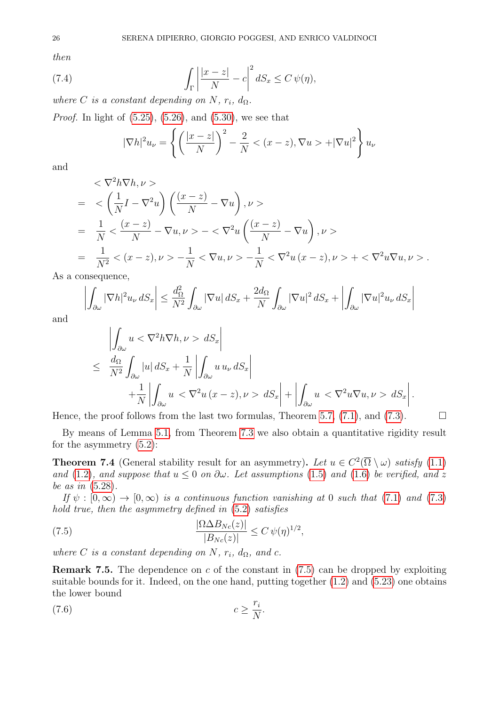then

(7.4) 
$$
\int_{\Gamma} \left| \frac{|x-z|}{N} - c \right|^2 dS_x \leq C \psi(\eta),
$$

where C is a constant depending on N,  $r_i$ ,  $d_{\Omega}$ .

*Proof.* In light of  $(5.25)$ ,  $(5.26)$ , and  $(5.30)$ , we see that

$$
|\nabla h|^2 u_\nu = \left\{ \left( \frac{|x-z|}{N} \right)^2 - \frac{2}{N} < (x-z), \nabla u > +|\nabla u|^2 \right\} u_\nu
$$

and

$$
\langle \nabla^2 h \nabla h, \nu \rangle
$$
\n
$$
= \langle \left( \frac{1}{N} I - \nabla^2 u \right) \left( \frac{(x - z)}{N} - \nabla u \right), \nu \rangle
$$
\n
$$
= \frac{1}{N} \langle \frac{(x - z)}{N} - \nabla u, \nu \rangle - \langle \nabla^2 u \left( \frac{(x - z)}{N} - \nabla u \right), \nu \rangle
$$
\n
$$
= \frac{1}{N^2} \langle (x - z), \nu \rangle - \frac{1}{N} \langle \nabla u, \nu \rangle - \frac{1}{N} \langle \nabla^2 u (x - z), \nu \rangle + \langle \nabla^2 u \nabla u, \nu \rangle.
$$
\nconsequence.

As a consequence,

$$
\left| \int_{\partial \omega} |\nabla h|^2 u_{\nu} \, dS_x \right| \leq \frac{d_{\Omega}^2}{N^2} \int_{\partial \omega} |\nabla u| \, dS_x + \frac{2d_{\Omega}}{N} \int_{\partial \omega} |\nabla u|^2 \, dS_x + \left| \int_{\partial \omega} |\nabla u|^2 u_{\nu} \, dS_x \right|
$$

and

$$
\left| \int_{\partial \omega} u < \nabla^2 h \nabla h, \nu > dS_x \right|
$$
\n
$$
\leq \frac{d_{\Omega}}{N^2} \int_{\partial \omega} |u| \, dS_x + \frac{1}{N} \left| \int_{\partial \omega} u \, u_{\nu} \, dS_x \right|
$$
\n
$$
+ \frac{1}{N} \left| \int_{\partial \omega} u < \nabla^2 u \, (x - z), \nu > dS_x \right| + \left| \int_{\partial \omega} u < \nabla^2 u \nabla u, \nu > dS_x \right|.
$$

Hence, the proof follows from the last two formulas, Theorem [5.7,](#page-18-0) [\(7.1\)](#page-24-4), and [\(7.3\)](#page-24-5).  $\Box$ 

By means of Lemma [5.1,](#page-13-1) from Theorem [7.3](#page-24-3) we also obtain a quantitative rigidity result for the asymmetry [\(5.2\)](#page-13-4):

<span id="page-25-0"></span>**Theorem 7.4** (General stability result for an asymmetry). Let  $u \in C^2(\overline{\Omega} \setminus \omega)$  satisfy [\(1.1\)](#page-0-2) and [\(1.2\)](#page-0-0), and suppose that  $u \leq 0$  on  $\partial \omega$ . Let assumptions [\(1.5\)](#page-0-1) and [\(1.6\)](#page-1-0) be verified, and z be as in [\(5.28\)](#page-17-4).

If  $\psi : [0, \infty) \to [0, \infty)$  is a continuous function vanishing at 0 such that [\(7.1\)](#page-24-4) and [\(7.3\)](#page-24-5) hold true, then the asymmetry defined in  $(5.2)$  satisfies

<span id="page-25-1"></span>(7.5) 
$$
\frac{|\Omega \Delta B_{Nc}(z)|}{|B_{Nc}(z)|} \leq C \,\psi(\eta)^{1/2},
$$

where C is a constant depending on N,  $r_i$ ,  $d_{\Omega}$ , and c.

**Remark 7.5.** The dependence on c of the constant in  $(7.5)$  can be dropped by exploiting suitable bounds for it. Indeed, on the one hand, putting together  $(1.2)$  and  $(5.23)$  one obtains the lower bound

<span id="page-25-2"></span>
$$
(7.6) \t\t c \ge \frac{r_i}{N}.
$$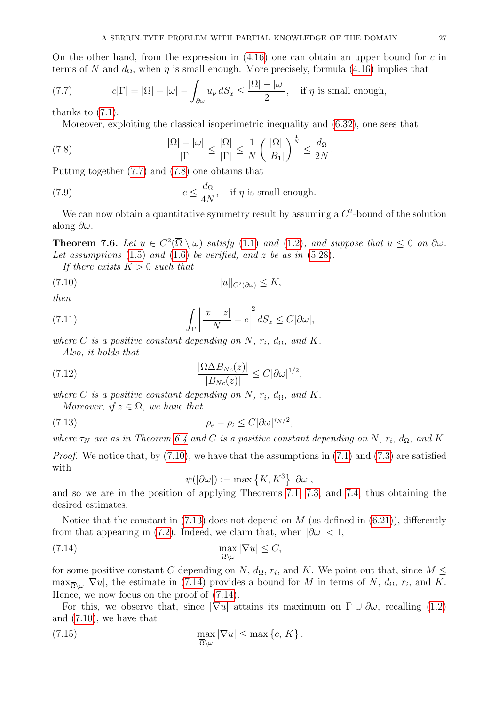On the other hand, from the expression in  $(4.16)$  one can obtain an upper bound for c in terms of N and  $d_{\Omega}$ , when  $\eta$  is small enough. More precisely, formula [\(4.16\)](#page-12-4) implies that

<span id="page-26-1"></span>(7.7) 
$$
c|\Gamma| = |\Omega| - |\omega| - \int_{\partial \omega} u_{\nu} dS_x \le \frac{|\Omega| - |\omega|}{2}, \text{ if } \eta \text{ is small enough,}
$$

thanks to [\(7.1\)](#page-24-4).

<span id="page-26-2"></span>Moreover, exploiting the classical isoperimetric inequality and [\(6.32\)](#page-23-3), one sees that

(7.8) 
$$
\frac{|\Omega| - |\omega|}{|\Gamma|} \le \frac{|\Omega|}{|\Gamma|} \le \frac{1}{N} \left(\frac{|\Omega|}{|B_1|}\right)^{\frac{1}{N}} \le \frac{d_{\Omega}}{2N}.
$$

Putting together [\(7.7\)](#page-26-1) and [\(7.8\)](#page-26-2) one obtains that

<span id="page-26-8"></span>(7.9) 
$$
c \leq \frac{d_{\Omega}}{4N}, \quad \text{if } \eta \text{ is small enough.}
$$

We can now obtain a quantitative symmetry result by assuming a  $C^2$ -bound of the solution along  $\partial \omega$ :

<span id="page-26-0"></span>**Theorem 7.6.** Let  $u \in C^2(\overline{\Omega} \setminus \omega)$  satisfy [\(1.1\)](#page-0-2) and [\(1.2\)](#page-0-0), and suppose that  $u \leq 0$  on  $\partial \omega$ . Let assumptions  $(1.5)$  and  $(1.6)$  be verified, and z be as in  $(5.28)$ .

<span id="page-26-3"></span>If there exists  $K > 0$  such that

(7.10) kukC2(∂ω) ≤ K,

then

(7.11) 
$$
\int_{\Gamma} \left| \frac{|x-z|}{N} - c \right|^2 dS_x \leq C |\partial \omega|,
$$

where C is a positive constant depending on N,  $r_i$ ,  $d_{\Omega}$ , and K. Also, it holds that

(7.12) 
$$
\frac{|\Omega \Delta B_{N_c}(z)|}{|B_{N_c}(z)|} \leq C |\partial \omega|^{1/2},
$$

where C is a positive constant depending on N,  $r_i$ ,  $d_{\Omega}$ , and K.

Moreover, if  $z \in \Omega$ , we have that

$$
\rho_e - \rho_i \le C |\partial \omega|^{\tau_N/2},
$$

where  $\tau_N$  are as in Theorem [6.4](#page-22-0) and C is a positive constant depending on N,  $r_i$ ,  $d_{\Omega}$ , and K.

*Proof.* We notice that, by  $(7.10)$ , we have that the assumptions in  $(7.1)$  and  $(7.3)$  are satisfied with

<span id="page-26-7"></span><span id="page-26-5"></span><span id="page-26-4"></span>
$$
\psi(|\partial \omega|) := \max\left\{K, K^3\right\} |\partial \omega|,
$$

and so we are in the position of applying Theorems [7.1,](#page-24-2) [7.3,](#page-24-3) and [7.4,](#page-25-0) thus obtaining the desired estimates.

Notice that the constant in  $(7.13)$  does not depend on M (as defined in  $(6.21)$ ), differently from that appearing in [\(7.2\)](#page-24-6). Indeed, we claim that, when  $|\partial \omega| < 1$ ,

(7.14) 
$$
\max_{\overline{\Omega}\setminus\omega}|\nabla u|\leq C,
$$

for some positive constant C depending on N,  $d_{\Omega}$ ,  $r_i$ , and K. We point out that, since  $M \leq$  $\max_{\overline{\Omega}\setminus\omega}|\nabla u|$ , the estimate in [\(7.14\)](#page-26-5) provides a bound for M in terms of N,  $d_{\Omega}$ ,  $r_i$ , and K. Hence, we now focus on the proof of [\(7.14\)](#page-26-5).

For this, we observe that, since  $|\nabla u|$  attains its maximum on  $\Gamma \cup \partial \omega$ , recalling [\(1.2\)](#page-0-0) and [\(7.10\)](#page-26-3), we have that

<span id="page-26-6"></span>(7.15) 
$$
\max_{\overline{\Omega}\setminus\omega}|\nabla u|\leq \max\left\{c,\,K\right\}.
$$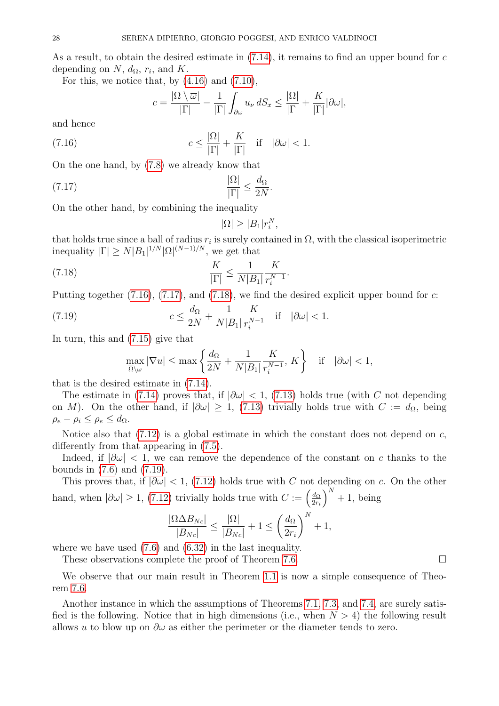As a result, to obtain the desired estimate in  $(7.14)$ , it remains to find an upper bound for c depending on  $N$ ,  $d_{\Omega}$ ,  $r_i$ , and  $K$ .

For this, we notice that, by  $(4.16)$  and  $(7.10)$ ,

<span id="page-27-0"></span>
$$
c = \frac{|\Omega \setminus \overline{\omega}|}{|\Gamma|} - \frac{1}{|\Gamma|} \int_{\partial \omega} u_{\nu} dS_x \le \frac{|\Omega|}{|\Gamma|} + \frac{K}{|\Gamma|} |\partial \omega|,
$$

and hence

(7.16) 
$$
c \leq \frac{|\Omega|}{|\Gamma|} + \frac{K}{|\Gamma|} \quad \text{if} \quad |\partial \omega| < 1.
$$

On the one hand, by [\(7.8\)](#page-26-2) we already know that

$$
\frac{|\Omega|}{|\Gamma|} \le \frac{d_{\Omega}}{2N}.
$$

On the other hand, by combining the inequality

<span id="page-27-2"></span><span id="page-27-1"></span>
$$
|\Omega| \ge |B_1|r_i^N,
$$

that holds true since a ball of radius  $r_i$  is surely contained in  $\Omega$ , with the classical isoperimetric inequality  $|\Gamma| \ge N |B_1|^{1/N} |\Omega|^{(N-1)/N}$ , we get that

(7.18) 
$$
\frac{K}{|\Gamma|} \le \frac{1}{N|B_1|} \frac{K}{r_i^{N-1}}.
$$

Putting together  $(7.16)$ ,  $(7.17)$ , and  $(7.18)$ , we find the desired explicit upper bound for c:

(7.19) 
$$
c \le \frac{d_{\Omega}}{2N} + \frac{1}{N|B_1|} \frac{K}{r_i^{N-1}} \quad \text{if} \quad |\partial \omega| < 1.
$$

In turn, this and [\(7.15\)](#page-26-6) give that

<span id="page-27-3"></span>
$$
\max_{\overline{\Omega}\setminus\omega} |\nabla u| \le \max\left\{\frac{d_{\Omega}}{2N} + \frac{1}{N|B_1|} \frac{K}{r_i^{N-1}}, K\right\} \quad \text{if} \quad |\partial\omega| < 1,
$$

that is the desired estimate in [\(7.14\)](#page-26-5).

The estimate in [\(7.14\)](#page-26-5) proves that, if  $|\partial \omega|$  < 1, [\(7.13\)](#page-26-4) holds true (with C not depending on M). On the other hand, if  $|\partial \omega| \geq 1$ , [\(7.13\)](#page-26-4) trivially holds true with  $C := d_{\Omega}$ , being  $\rho_e - \rho_i \leq \rho_e \leq d_{\Omega}.$ 

Notice also that  $(7.12)$  is a global estimate in which the constant does not depend on c, differently from that appearing in [\(7.5\)](#page-25-1).

Indeed, if  $|\partial \omega|$  < 1, we can remove the dependence of the constant on c thanks to the bounds in [\(7.6\)](#page-25-2) and [\(7.19\)](#page-27-3).

This proves that, if  $|\partial \omega|$  < 1, [\(7.12\)](#page-26-7) holds true with C not depending on c. On the other hand, when  $|\partial \omega| \geq 1$ , [\(7.12\)](#page-26-7) trivially holds true with  $C := \left(\frac{d_{\Omega}}{2r}\right)$  $2r_i$  $\big)^{N}+1$ , being

$$
\frac{|\Omega \Delta B_{Nc}|}{|B_{Nc}|} \le \frac{|\Omega|}{|B_{Nc}|} + 1 \le \left(\frac{d_{\Omega}}{2r_i}\right)^N + 1,
$$

where we have used [\(7.6\)](#page-25-2) and [\(6.32\)](#page-23-3) in the last inequality.

These observations complete the proof of Theorem [7.6.](#page-26-0)

We observe that our main result in Theorem [1.1](#page-1-3) is now a simple consequence of Theorem [7.6.](#page-26-0)

Another instance in which the assumptions of Theorems [7.1,](#page-24-2) [7.3,](#page-24-3) and [7.4,](#page-25-0) are surely satisfied is the following. Notice that in high dimensions (i.e., when  $N > 4$ ) the following result allows u to blow up on  $\partial \omega$  as either the perimeter or the diameter tends to zero.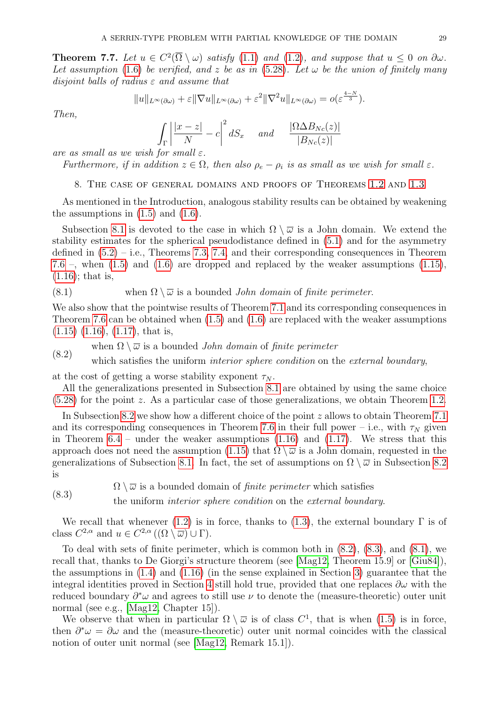<span id="page-28-4"></span>**Theorem 7.7.** Let  $u \in C^2(\overline{\Omega} \setminus \omega)$  satisfy [\(1.1\)](#page-0-2) and [\(1.2\)](#page-0-0), and suppose that  $u \leq 0$  on  $\partial \omega$ . Let assumption [\(1.6\)](#page-1-0) be verified, and z be as in [\(5.28\)](#page-17-4). Let  $\omega$  be the union of finitely many disjoint balls of radius  $\varepsilon$  and assume that

$$
||u||_{L^{\infty}(\partial\omega)} + \varepsilon ||\nabla u||_{L^{\infty}(\partial\omega)} + \varepsilon^{2} ||\nabla^{2} u||_{L^{\infty}(\partial\omega)} = o(\varepsilon^{\frac{4-N}{3}}).
$$

Then,

$$
\int_{\Gamma} \left| \frac{|x-z|}{N} - c \right|^2 dS_x \quad and \quad \frac{|\Omega \Delta B_{Nc}(z)|}{|B_{Nc}(z)|}
$$

are as small as we wish for small  $\varepsilon$ .

<span id="page-28-0"></span>Furthermore, if in addition  $z \in \Omega$ , then also  $\rho_e - \rho_i$  is as small as we wish for small  $\varepsilon$ .

8. The case of general domains and proofs of Theorems [1.2](#page-3-3) and [1.3](#page-4-0)

As mentioned in the Introduction, analogous stability results can be obtained by weakening the assumptions in  $(1.5)$  and  $(1.6)$ .

Subsection [8.1](#page-29-0) is devoted to the case in which  $\Omega \setminus \overline{\omega}$  is a John domain. We extend the stability estimates for the spherical pseudodistance defined in [\(5.1\)](#page-13-3) and for the asymmetry defined in  $(5.2)$  – i.e., Theorems [7.3,](#page-24-3) [7.4,](#page-25-0) and their corresponding consequences in Theorem [7.6](#page-26-0) –, when  $(1.5)$  and  $(1.6)$  are dropped and replaced by the weaker assumptions  $(1.15)$ ,  $(1.16)$ ; that is,

<span id="page-28-3"></span>(8.1) when 
$$
\Omega \setminus \overline{\omega}
$$
 is a bounded *John domain* of *finite perimeter*.

We also show that the pointwise results of Theorem [7.1](#page-24-2) and its corresponding consequences in Theorem [7.6](#page-26-0) can be obtained when [\(1.5\)](#page-0-1) and [\(1.6\)](#page-1-0) are replaced with the weaker assumptions  $(1.15)$   $(1.16)$ ,  $(1.17)$ , that is,

<span id="page-28-1"></span>when  $\Omega \setminus \overline{\omega}$  is a bounded *John domain* of *finite perimeter* (8.2)

which satisfies the uniform *interior sphere condition* on the *external boundary*,

at the cost of getting a worse stability exponent  $\tau_N$ .

All the generalizations presented in Subsection [8.1](#page-29-0) are obtained by using the same choice [\(5.28\)](#page-17-4) for the point z. As a particular case of those generalizations, we obtain Theorem [1.2.](#page-3-3)

In Subsection [8.2](#page-35-0) we show how a different choice of the point z allows to obtain Theorem [7.1](#page-24-2) and its corresponding consequences in Theorem [7.6](#page-26-0) in their full power – i.e., with  $\tau_N$  given in Theorem  $6.4$  – under the weaker assumptions  $(1.16)$  and  $(1.17)$ . We stress that this approach does not need the assumption [\(1.15\)](#page-2-0) that  $\Omega \setminus \overline{\omega}$  is a John domain, requested in the generalizations of Subsection [8.1.](#page-29-0) In fact, the set of assumptions on  $\Omega \setminus \overline{\omega}$  in Subsection [8.2](#page-35-0) is

<span id="page-28-2"></span> $\Omega \setminus \overline{\omega}$  is a bounded domain of *finite perimeter* which satisfies the uniform interior sphere condition on the external boundary. (8.3)

We recall that whenever [\(1.2\)](#page-0-0) is in force, thanks to [\(1.3\)](#page-0-4), the external boundary  $\Gamma$  is of class  $C^{2,\alpha}$  and  $u \in C^{2,\alpha}((\Omega \setminus \overline{\omega}) \cup \Gamma).$ 

To deal with sets of finite perimeter, which is common both in [\(8.2\)](#page-28-1), [\(8.3\)](#page-28-2), and [\(8.1\)](#page-28-3), we recall that, thanks to De Giorgi's structure theorem (see [\[Mag12,](#page-41-16) Theorem 15.9] or [\[Giu84\]](#page-40-23)), the assumptions in [\(1.4\)](#page-0-3) and [\(1.16\)](#page-2-1) (in the sense explained in Section [3\)](#page-9-0) guarantee that the integral identities proved in Section [4](#page-9-1) still hold true, provided that one replaces  $\partial\omega$  with the reduced boundary  $\partial^*\omega$  and agrees to still use  $\nu$  to denote the (measure-theoretic) outer unit normal (see e.g., [\[Mag12,](#page-41-16) Chapter 15]).

We observe that when in particular  $\Omega \setminus \overline{\omega}$  is of class  $C^1$ , that is when  $(1.5)$  is in force, then  $\partial^*\omega = \partial\omega$  and the (measure-theoretic) outer unit normal coincides with the classical notion of outer unit normal (see [\[Mag12,](#page-41-16) Remark 15.1]).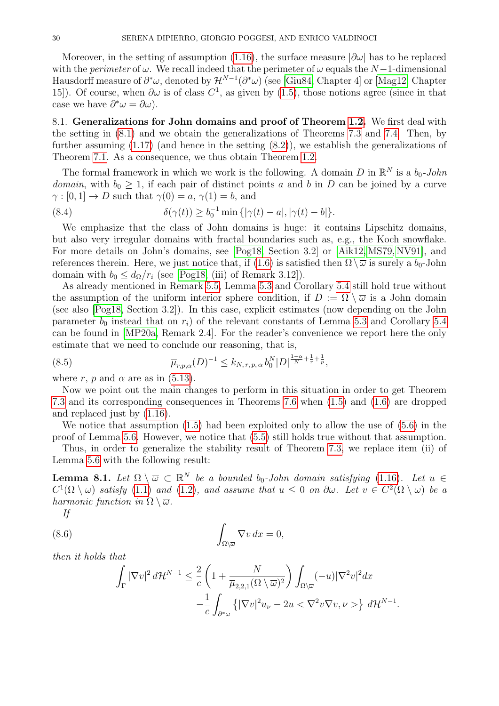Moreover, in the setting of assumption [\(1.16\)](#page-2-1), the surface measure  $|\partial \omega|$  has to be replaced with the *perimeter* of  $\omega$ . We recall indeed that the perimeter of  $\omega$  equals the N-1-dimensional Hausdorff measure of  $\partial^*\omega$ , denoted by  $\mathcal{H}^{N-1}(\partial^*\omega)$  (see [\[Giu84,](#page-40-23) Chapter 4] or [\[Mag12,](#page-41-16) Chapter 15). Of course, when  $\partial\omega$  is of class  $C^1$ , as given by [\(1.5\)](#page-0-1), those notions agree (since in that case we have  $\partial^* \omega = \partial \omega$ .

<span id="page-29-0"></span>8.1. Generalizations for John domains and proof of Theorem [1.2.](#page-3-3) We first deal with the setting in [\(8.1\)](#page-28-3) and we obtain the generalizations of Theorems [7.3](#page-24-3) and [7.4.](#page-25-0) Then, by further assuming  $(1.17)$  (and hence in the setting  $(8.2)$ ), we establish the generalizations of Theorem [7.1.](#page-24-2) As a consequence, we thus obtain Theorem [1.2.](#page-3-3)

The formal framework in which we work is the following. A domain D in  $\mathbb{R}^N$  is a  $b_0$ -John domain, with  $b_0 \geq 1$ , if each pair of distinct points a and b in D can be joined by a curve  $\gamma : [0, 1] \to D$  such that  $\gamma(0) = a, \gamma(1) = b$ , and

<span id="page-29-4"></span>(8.4) 
$$
\delta(\gamma(t)) \ge b_0^{-1} \min \{ |\gamma(t) - a|, |\gamma(t) - b| \}.
$$

We emphasize that the class of John domains is huge: it contains Lipschitz domains, but also very irregular domains with fractal boundaries such as, e.g., the Koch snowflake. For more details on John's domains, see [\[Pog18,](#page-41-8) Section 3.2] or [\[Aik12,](#page-39-8) [MS79,](#page-41-17) [NV91\]](#page-41-18), and references therein. Here, we just notice that, if [\(1.6\)](#page-1-0) is satisfied then  $\Omega \setminus \overline{\omega}$  is surely a  $b_0$ -John domain with  $b_0 \leq d_{\Omega}/r_i$  (see [\[Pog18,](#page-41-8) (iii) of Remark 3.12]).

As already mentioned in Remark [5.5,](#page-16-2) Lemma [5.3](#page-15-2) and Corollary [5.4](#page-16-0) still hold true without the assumption of the uniform interior sphere condition, if  $D := \Omega \setminus \overline{\omega}$  is a John domain (see also [\[Pog18,](#page-41-8) Section 3.2]). In this case, explicit estimates (now depending on the John parameter  $b_0$  instead that on  $r_i$ ) of the relevant constants of Lemma [5.3](#page-15-2) and Corollary [5.4](#page-16-0) can be found in [\[MP20a,](#page-41-7) Remark 2.4]. For the reader's convenience we report here the only estimate that we need to conclude our reasoning, that is,

<span id="page-29-3"></span>(8.5) 
$$
\overline{\mu}_{r,p,\alpha}(D)^{-1} \leq k_{N,r,p,\alpha} b_0^N |D|^{\frac{1-\alpha}{N} + \frac{1}{r} + \frac{1}{p}},
$$

where r, p and  $\alpha$  are as in [\(5.13\)](#page-15-0).

Now we point out the main changes to perform in this situation in order to get Theorem [7.3](#page-24-3) and its corresponding consequences in Theorems [7.6](#page-26-0) when [\(1.5\)](#page-0-1) and [\(1.6\)](#page-1-0) are dropped and replaced just by [\(1.16\)](#page-2-1).

We notice that assumption  $(1.5)$  had been exploited only to allow the use of  $(5.6)$  in the proof of Lemma [5.6.](#page-16-1) However, we notice that [\(5.5\)](#page-14-0) still holds true without that assumption.

Thus, in order to generalize the stability result of Theorem [7.3,](#page-24-3) we replace item (ii) of Lemma [5.6](#page-16-1) with the following result:

<span id="page-29-2"></span>**Lemma 8.1.** Let  $\Omega \setminus \overline{\omega} \subset \mathbb{R}^N$  be a bounded b<sub>0</sub>-John domain satisfying [\(1.16\)](#page-2-1). Let  $u \in$  $C^1(\overline{\Omega}\setminus\omega)$  satisfy [\(1.1\)](#page-0-2) and [\(1.2\)](#page-0-0), and assume that  $u \leq 0$  on  $\partial\omega$ . Let  $v \in C^2(\overline{\Omega}\setminus\omega)$  be a harmonic function in  $\Omega \setminus \overline{\omega}$ .

If

(8.6) 
$$
\int_{\Omega \backslash \overline{\omega}} \nabla v \, dx = 0,
$$

then it holds that

<span id="page-29-1"></span>
$$
\int_{\Gamma} |\nabla v|^2 d\mathcal{H}^{N-1} \leq \frac{2}{c} \left( 1 + \frac{N}{\overline{\mu}_{2,2,1}(\Omega \setminus \overline{\omega})^2} \right) \int_{\Omega \setminus \overline{\omega}} (-u) |\nabla^2 v|^2 dx
$$

$$
- \frac{1}{c} \int_{\partial^* \omega} \left\{ |\nabla v|^2 u_\nu - 2u < \nabla^2 v \nabla v, \nu > \right\} d\mathcal{H}^{N-1}
$$

.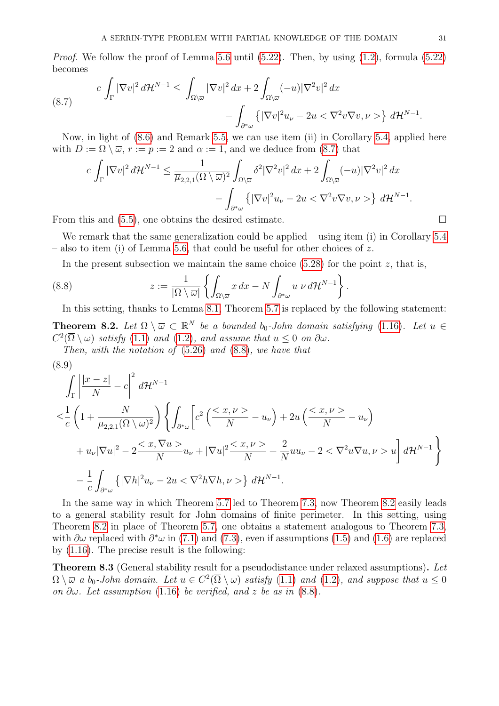*Proof.* We follow the proof of Lemma [5.6](#page-16-1) until  $(5.22)$ . Then, by using  $(1.2)$ , formula  $(5.22)$ becomes

<span id="page-30-1"></span>(8.7) 
$$
c \int_{\Gamma} |\nabla v|^2 d\mathcal{H}^{N-1} \leq \int_{\Omega \setminus \overline{\omega}} |\nabla v|^2 dx + 2 \int_{\Omega \setminus \overline{\omega}} (-u) |\nabla^2 v|^2 dx - \int_{\partial^* \omega} \left\{ |\nabla v|^2 u_\nu - 2u < \nabla^2 v \nabla v, \nu > \right\} d\mathcal{H}^{N-1}.
$$

Now, in light of [\(8.6\)](#page-29-1) and Remark [5.5,](#page-16-2) we can use item (ii) in Corollary [5.4,](#page-16-0) applied here with  $D := \Omega \setminus \overline{\omega}$ ,  $r := p := 2$  and  $\alpha := 1$ , and we deduce from [\(8.7\)](#page-30-1) that

$$
c\int_{\Gamma} |\nabla v|^2 d\mathcal{H}^{N-1} \leq \frac{1}{\overline{\mu}_{2,2,1}(\Omega \setminus \overline{\omega})^2} \int_{\Omega \setminus \overline{\omega}} \delta^2 |\nabla^2 v|^2 dx + 2 \int_{\Omega \setminus \overline{\omega}} (-u) |\nabla^2 v|^2 dx - \int_{\partial^* \omega} \left\{ |\nabla v|^2 u_\nu - 2u < \nabla^2 v \nabla v, \nu > \right\} d\mathcal{H}^{N-1}.
$$

From this and  $(5.5)$ , one obtains the desired estimate.

We remark that the same generalization could be applied – using item (i) in Corollary [5.4](#page-16-0) – also to item (i) of Lemma [5.6,](#page-16-1) that could be useful for other choices of z.

<span id="page-30-2"></span>In the present subsection we maintain the same choice  $(5.28)$  for the point z, that is,

(8.8) 
$$
z := \frac{1}{|\Omega \setminus \overline{\omega}|} \left\{ \int_{\Omega \setminus \overline{\omega}} x \, dx - N \int_{\partial^* \omega} u \, \nu \, d\mathcal{H}^{N-1} \right\}.
$$

In this setting, thanks to Lemma [8.1,](#page-29-2) Theorem [5.7](#page-18-0) is replaced by the following statement:

<span id="page-30-3"></span>**Theorem 8.2.** Let  $\Omega \setminus \overline{\omega} \subset \mathbb{R}^N$  be a bounded b<sub>0</sub>-John domain satisfying [\(1.16\)](#page-2-1). Let  $u \in$  $C^2(\overline{\Omega}\setminus\omega)$  satisfy [\(1.1\)](#page-0-2) and [\(1.2\)](#page-0-0), and assume that  $u \leq 0$  on  $\partial\omega$ .

Then, with the notation of [\(5.26\)](#page-17-3) and [\(8.8\)](#page-30-2), we have that

<span id="page-30-4"></span>
$$
(8.9)
$$
\n
$$
\int_{\Gamma} \left| \frac{|x-z|}{N} - c \right|^2 d\mathcal{H}^{N-1}
$$
\n
$$
\leq \frac{1}{c} \left( 1 + \frac{N}{\overline{\mu}_{2,2,1}(\Omega \setminus \overline{\omega})^2} \right) \left\{ \int_{\partial^*\omega} \left[ c^2 \left( \frac{}{N} - u_{\nu} \right) + 2u \left( \frac{}{N} - u_{\nu} \right) \right. \right.
$$
\n
$$
+ u_{\nu} |\nabla u|^2 - 2 \frac{}{N} u_{\nu} + |\nabla u|^2 \frac{}{N} + \frac{2}{N} u u_{\nu} - 2 < \nabla^2 u \nabla u, \nu> u \right] d\mathcal{H}^{N-1}
$$
\n
$$
- \frac{1}{c} \int_{\partial^*\omega} \left\{ |\nabla h|^2 u_{\nu} - 2u < \nabla^2 h \nabla h, \nu> \right\} d\mathcal{H}^{N-1}.
$$

In the same way in which Theorem [5.7](#page-18-0) led to Theorem [7.3,](#page-24-3) now Theorem [8.2](#page-30-3) easily leads to a general stability result for John domains of finite perimeter. In this setting, using Theorem [8.2](#page-30-3) in place of Theorem [5.7,](#page-18-0) one obtains a statement analogous to Theorem [7.3,](#page-24-3) with  $\partial\omega$  replaced with  $\partial^*\omega$  in [\(7.1\)](#page-24-4) and [\(7.3\)](#page-24-5), even if assumptions [\(1.5\)](#page-0-1) and [\(1.6\)](#page-1-0) are replaced by [\(1.16\)](#page-2-1). The precise result is the following:

<span id="page-30-0"></span>Theorem 8.3 (General stability result for a pseudodistance under relaxed assumptions). Let  $\Omega \setminus \overline{\omega}$  a  $b_0$ -John domain. Let  $u \in C^2(\overline{\Omega} \setminus \omega)$  satisfy  $(1.1)$  and  $(1.2)$ , and suppose that  $u \leq 0$ on  $\partial \omega$ . Let assumption [\(1.16\)](#page-2-1) be verified, and z be as in [\(8.8\)](#page-30-2).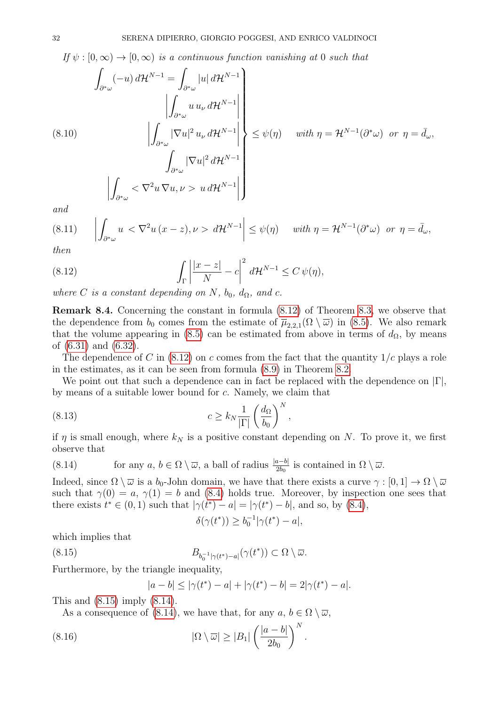If  $\psi : [0, \infty) \to [0, \infty)$  is a continuous function vanishing at 0 such that

<span id="page-31-4"></span>
$$
\int_{\partial^*\omega} (-u) d\mathcal{H}^{N-1} = \int_{\partial^*\omega} |u| d\mathcal{H}^{N-1}
$$
\n
$$
\left| \int_{\partial^*\omega} u u_{\nu} d\mathcal{H}^{N-1} \right|
$$
\n(8.10)\n
$$
\left| \int_{\partial^*\omega} |\nabla u|^2 u_{\nu} d\mathcal{H}^{N-1} \right| \leq \psi(\eta) \quad \text{with } \eta = \mathcal{H}^{N-1}(\partial^*\omega) \text{ or } \eta = \bar{d}_{\omega},
$$
\n
$$
\left| \int_{\partial^*\omega} |\nabla u|^2 d\mathcal{H}^{N-1} \right|
$$
\n
$$
\left| \int_{\partial^*\omega} < \nabla^2 u \nabla u, \nu > u d\mathcal{H}^{N-1} \right|
$$

and

<span id="page-31-6"></span>
$$
(8.11) \qquad \left| \int_{\partial^*\omega} u < \nabla^2 u \, (x-z), \nu > d\mathcal{H}^{N-1} \right| \le \psi(\eta) \qquad with \ \eta = \mathcal{H}^{N-1}(\partial^*\omega) \ \text{ or } \ \eta = \bar{d}_\omega,
$$

then

<span id="page-31-0"></span>(8.12) 
$$
\int_{\Gamma} \left| \frac{|x-z|}{N} - c \right|^2 d\mathcal{H}^{N-1} \leq C \psi(\eta),
$$

where C is a constant depending on N,  $b_0$ ,  $d_{\Omega}$ , and c.

Remark 8.4. Concerning the constant in formula [\(8.12\)](#page-31-0) of Theorem [8.3,](#page-30-0) we observe that the dependence from  $b_0$  comes from the estimate of  $\overline{\mu}_{2,2,1}(\Omega \setminus \overline{\omega})$  in [\(8.5\)](#page-29-3). We also remark that the volume appearing in [\(8.5\)](#page-29-3) can be estimated from above in terms of  $d_{\Omega}$ , by means of [\(6.31\)](#page-23-4) and [\(6.32\)](#page-23-3).

The dependence of C in  $(8.12)$  on c comes from the fact that the quantity  $1/c$  plays a role in the estimates, as it can be seen from formula [\(8.9\)](#page-30-4) in Theorem [8.2.](#page-30-3)

We point out that such a dependence can in fact be replaced with the dependence on  $|\Gamma|$ , by means of a suitable lower bound for c. Namely, we claim that

(8.13) 
$$
c \geq k_N \frac{1}{|\Gamma|} \left(\frac{d_{\Omega}}{b_0}\right)^N
$$

if  $\eta$  is small enough, where  $k_N$  is a positive constant depending on N. To prove it, we first observe that

<span id="page-31-5"></span>,

<span id="page-31-2"></span>(8.14) for any  $a, b \in \Omega \setminus \overline{\omega}$ , a ball of radius  $\frac{|a-b|}{2b_0}$  is contained in  $\Omega \setminus \overline{\omega}$ .

Indeed, since  $\Omega \setminus \overline{\omega}$  is a  $b_0$ -John domain, we have that there exists a curve  $\gamma : [0, 1] \to \Omega \setminus \overline{\omega}$ such that  $\gamma(0) = a, \gamma(1) = b$  and [\(8.4\)](#page-29-4) holds true. Moreover, by inspection one sees that there exists  $t^* \in (0,1)$  such that  $|\gamma(t^*) - a| = |\gamma(t^*) - b|$ , and so, by [\(8.4\)](#page-29-4),

<span id="page-31-1"></span>
$$
\delta(\gamma(t^*))\geq b_0^{-1}|\gamma(t^*)-a|,
$$

which implies that

 $(8.15)$  $_{0}^{-1}|\gamma(t^{*})-a|\big(\gamma(t^{*})\big) \subset \Omega \setminus \overline{\omega}.$ 

Furthermore, by the triangle inequality,

<span id="page-31-3"></span>
$$
|a - b| \le |\gamma(t^*) - a| + |\gamma(t^*) - b| = 2|\gamma(t^*) - a|.
$$

This and [\(8.15\)](#page-31-1) imply [\(8.14\)](#page-31-2).

As a consequence of [\(8.14\)](#page-31-2), we have that, for any  $a, b \in \Omega \setminus \overline{\omega}$ ,

(8.16) 
$$
|\Omega \setminus \overline{\omega}| \ge |B_1| \left(\frac{|a-b|}{2b_0}\right)^N.
$$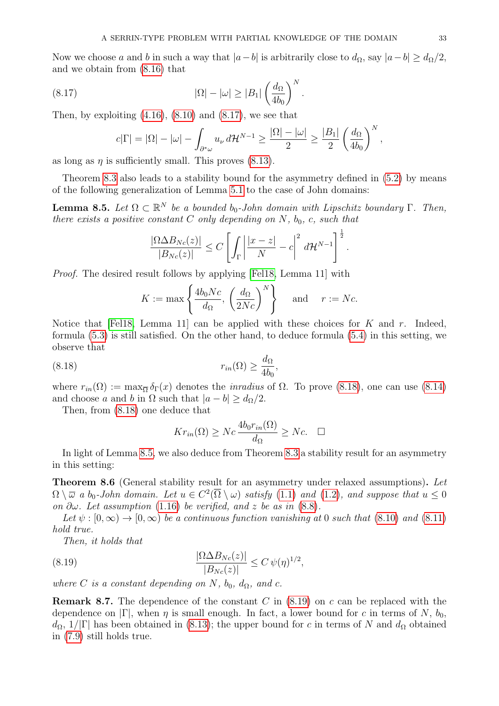Now we choose a and b in such a way that  $|a-b|$  is arbitrarily close to  $d_{\Omega}$ , say  $|a-b| \geq d_{\Omega}/2$ , and we obtain from [\(8.16\)](#page-31-3) that

(8.17) 
$$
|\Omega| - |\omega| \ge |B_1| \left(\frac{d_{\Omega}}{4b_0}\right)^N.
$$

Then, by exploiting  $(4.16)$ ,  $(8.10)$  and  $(8.17)$ , we see that

<span id="page-32-1"></span>
$$
c|\Gamma| = |\Omega| - |\omega| - \int_{\partial^*\omega} u_\nu d\mathcal{H}^{N-1} \ge \frac{|\Omega| - |\omega|}{2} \ge \frac{|B_1|}{2} \left(\frac{d_{\Omega}}{4b_0}\right)^N,
$$

as long as  $\eta$  is sufficiently small. This proves [\(8.13\)](#page-31-5).

Theorem [8.3](#page-30-0) also leads to a stability bound for the asymmetry defined in [\(5.2\)](#page-13-4) by means of the following generalization of Lemma [5.1](#page-13-1) to the case of John domains:

<span id="page-32-3"></span>**Lemma 8.5.** Let  $\Omega \subset \mathbb{R}^N$  be a bounded b<sub>0</sub>-John domain with Lipschitz boundary  $\Gamma$ . Then, there exists a positive constant C only depending on N,  $b_0$ , c, such that

$$
\frac{|\Omega \Delta B_{Nc}(z)|}{|B_{Nc}(z)|} \leq C \left[ \int_{\Gamma} \left| \frac{|x-z|}{N} - c \right|^2 d\mathcal{H}^{N-1} \right]^{\frac{1}{2}}.
$$

*Proof.* The desired result follows by applying [\[Fel18,](#page-40-0) Lemma 11] with

$$
K := \max\left\{\frac{4b_0Nc}{d_{\Omega}}, \left(\frac{d_{\Omega}}{2Nc}\right)^N\right\} \quad \text{and} \quad r := Nc.
$$

Notice that [\[Fel18,](#page-40-0) Lemma 11] can be applied with these choices for K and r. Indeed, formula [\(5.3\)](#page-14-5) is still satisfied. On the other hand, to deduce formula [\(5.4\)](#page-14-6) in this setting, we observe that

(8.18) 
$$
r_{in}(\Omega) \ge \frac{d_{\Omega}}{4b_0},
$$

where  $r_{in}(\Omega) := \max_{\overline{\Omega}} \delta_{\Gamma}(x)$  denotes the *inradius* of  $\Omega$ . To prove [\(8.18\)](#page-32-2), one can use [\(8.14\)](#page-31-2) and choose a and b in  $\Omega$  such that  $|a - b| > d_{\Omega}/2$ .

Then, from [\(8.18\)](#page-32-2) one deduce that

<span id="page-32-2"></span>
$$
Kr_{in}(\Omega) \ge Nc \frac{4b_0r_{in}(\Omega)}{d_{\Omega}} \ge Nc. \quad \Box
$$

In light of Lemma [8.5,](#page-32-3) we also deduce from Theorem [8.3](#page-30-0) a stability result for an asymmetry in this setting:

<span id="page-32-0"></span>Theorem 8.6 (General stability result for an asymmetry under relaxed assumptions). Let  $\Omega \setminus \overline{\omega}$  a  $b_0$ -John domain. Let  $u \in C^2(\overline{\Omega} \setminus \omega)$  satisfy  $(1.1)$  and  $(1.2)$ , and suppose that  $u \leq 0$ on  $\partial \omega$ . Let assumption [\(1.16\)](#page-2-1) be verified, and z be as in [\(8.8\)](#page-30-2).

Let  $\psi : [0, \infty) \to [0, \infty)$  be a continuous function vanishing at 0 such that [\(8.10\)](#page-31-4) and [\(8.11\)](#page-31-6) hold true.

<span id="page-32-4"></span>Then, it holds that

(8.19) 
$$
\frac{|\Omega \Delta B_{Nc}(z)|}{|B_{Nc}(z)|} \leq C \,\psi(\eta)^{1/2},
$$

where C is a constant depending on N,  $b_0$ ,  $d_{\Omega}$ , and c.

**Remark 8.7.** The dependence of the constant C in  $(8.19)$  on c can be replaced with the dependence on  $|\Gamma|$ , when  $\eta$  is small enough. In fact, a lower bound for c in terms of N,  $b_0$ ,  $d_{\Omega}$ , 1/|Γ| has been obtained in [\(8.13\)](#page-31-5); the upper bound for c in terms of N and  $d_{\Omega}$  obtained in [\(7.9\)](#page-26-8) still holds true.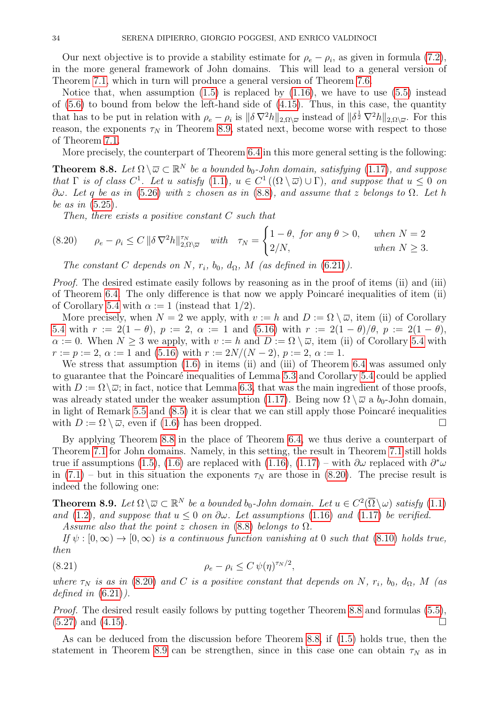Our next objective is to provide a stability estimate for  $\rho_e - \rho_i$ , as given in formula [\(7.2\)](#page-24-6), in the more general framework of John domains. This will lead to a general version of Theorem [7.1,](#page-24-2) which in turn will produce a general version of Theorem [7.6.](#page-26-0)

Notice that, when assumption  $(1.5)$  is replaced by  $(1.16)$ , we have to use  $(5.5)$  instead of [\(5.6\)](#page-14-1) to bound from below the left-hand side of [\(4.15\)](#page-12-3). Thus, in this case, the quantity that has to be put in relation with  $\rho_e - \rho_i$  is  $\|\delta \nabla^2 h\|_{2,\Omega\setminus\overline{\omega}}$  instead of  $\|\delta^{\frac{1}{2}} \nabla^2 h\|_{2,\Omega\setminus\overline{\omega}}$ . For this reason, the exponents  $\tau_N$  in Theorem [8.9,](#page-33-0) stated next, become worse with respect to those of Theorem [7.1.](#page-24-2)

More precisely, the counterpart of Theorem [6.4](#page-22-0) in this more general setting is the following:

<span id="page-33-1"></span>**Theorem 8.8.** Let  $\Omega \setminus \overline{\omega} \subset \mathbb{R}^N$  be a bounded  $b_0$ -John domain, satisfying [\(1.17\)](#page-3-0), and suppose that  $\Gamma$  is of class  $C^1$ . Let u satisfy  $(1.1)$ ,  $u \in C^1((\Omega \setminus \overline{\omega}) \cup \Gamma)$ , and suppose that  $u \leq 0$  on  $\partial\omega$ . Let q be as in [\(5.26\)](#page-17-3) with z chosen as in [\(8.8\)](#page-30-2), and assume that z belongs to  $\Omega$ . Let h be as in [\(5.25\)](#page-17-6).

<span id="page-33-2"></span>Then, there exists a positive constant C such that

$$
(8.20) \qquad \rho_e - \rho_i \le C \|\delta \nabla^2 h\|_{2,\Omega\setminus\overline{\omega}}^{\tau_N} \quad with \quad \tau_N = \begin{cases} 1-\theta, & \text{for any } \theta > 0, \quad \text{when } N = 2 \\ 2/N, & \text{when } N \ge 3. \end{cases}
$$

The constant C depends on N,  $r_i$ ,  $b_0$ ,  $d_{\Omega}$ , M (as defined in [\(6.21\)](#page-21-3)).

Proof. The desired estimate easily follows by reasoning as in the proof of items (ii) and (iii) of Theorem [6.4.](#page-22-0) The only difference is that now we apply Poincaré inequalities of item  $(ii)$ of Corollary [5.4](#page-16-0) with  $\alpha := 1$  (instead that 1/2).

More precisely, when  $N = 2$  we apply, with  $v := h$  and  $D := \Omega \setminus \overline{\omega}$ , item (ii) of Corollary [5.4](#page-16-0) with  $r := 2(1 - \theta)$ ,  $p := 2$ ,  $\alpha := 1$  and [\(5.16\)](#page-15-5) with  $r := 2(1 - \theta)/\theta$ ,  $p := 2(1 - \theta)$ ,  $\alpha := 0$ . When  $N \geq 3$  we apply, with  $v := h$  and  $D := \Omega \setminus \overline{\omega}$ , item (ii) of Corollary [5.4](#page-16-0) with  $r := p := 2, \alpha := 1$  and [\(5.16\)](#page-15-5) with  $r := 2N/(N-2), p := 2, \alpha := 1$ .

We stress that assumption  $(1.6)$  in items (ii) and (iii) of Theorem [6.4](#page-22-0) was assumed only to guarantee that the Poincaré inequalities of Lemma [5.3](#page-15-2) and Corollary [5.4](#page-16-0) could be applied with  $D := \Omega \setminus \overline{\omega}$ ; in fact, notice that Lemma [6.3,](#page-21-0) that was the main ingredient of those proofs, was already stated under the weaker assumption [\(1.17\)](#page-3-0). Being now  $\Omega \setminus \overline{\omega}$  a  $b_0$ -John domain, in light of Remark [5.5](#page-16-2) and  $(8.5)$  it is clear that we can still apply those Poincaré inequalities with  $D := \Omega \setminus \overline{\omega}$ , even if [\(1.6\)](#page-1-0) has been dropped.

By applying Theorem [8.8](#page-33-1) in the place of Theorem [6.4,](#page-22-0) we thus derive a counterpart of Theorem [7.1](#page-24-2) for John domains. Namely, in this setting, the result in Theorem [7.1](#page-24-2) still holds true if assumptions [\(1.5\)](#page-0-1), [\(1.6\)](#page-1-0) are replaced with [\(1.16\)](#page-2-1), [\(1.17\)](#page-3-0) – with  $\partial\omega$  replaced with  $\partial^*\omega$ in  $(7.1)$  – but in this situation the exponents  $\tau_N$  are those in  $(8.20)$ . The precise result is indeed the following one:

<span id="page-33-0"></span>**Theorem 8.9.** Let  $\Omega \setminus \overline{\omega} \subset \mathbb{R}^N$  be a bounded b<sub>0</sub>-John domain. Let  $u \in C^2(\overline{\Omega} \setminus \omega)$  satisfy  $(1.1)$ and [\(1.2\)](#page-0-0), and suppose that  $u \leq 0$  on  $\partial \omega$ . Let assumptions [\(1.16\)](#page-2-1) and [\(1.17\)](#page-3-0) be verified.

<span id="page-33-3"></span>Assume also that the point z chosen in  $(8.8)$  belongs to  $\Omega$ .

If  $\psi : [0, \infty) \to [0, \infty)$  is a continuous function vanishing at 0 such that [\(8.10\)](#page-31-4) holds true, then

$$
\rho_e - \rho_i \le C \,\psi(\eta)^{\tau_N/2},
$$

where  $\tau_N$  is as in [\(8.20\)](#page-33-2) and C is a positive constant that depends on N,  $r_i$ ,  $b_0$ ,  $d_{\Omega}$ , M (as defined in  $(6.21)$ ).

Proof. The desired result easily follows by putting together Theorem [8.8](#page-33-1) and formulas [\(5.5\)](#page-14-0),  $(5.27)$  and  $(4.15)$ .

As can be deduced from the discussion before Theorem [8.8,](#page-33-1) if [\(1.5\)](#page-0-1) holds true, then the statement in Theorem [8.9](#page-33-0) can be strengthen, since in this case one can obtain  $\tau_N$  as in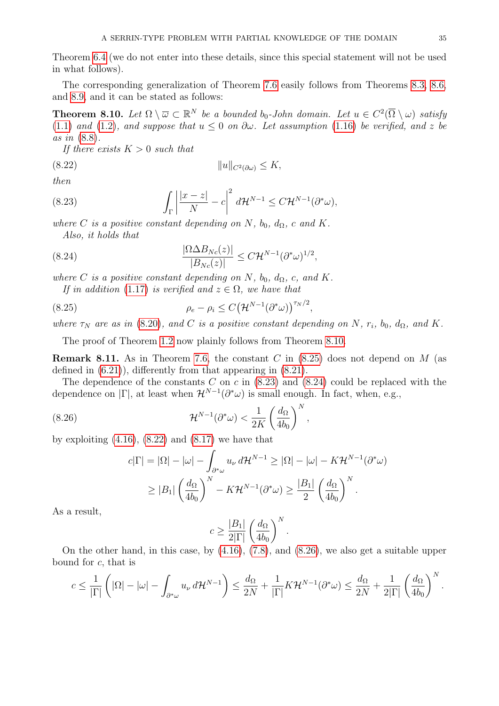Theorem [6.4](#page-22-0) (we do not enter into these details, since this special statement will not be used in what follows).

The corresponding generalization of Theorem [7.6](#page-26-0) easily follows from Theorems [8.3,](#page-30-0) [8.6,](#page-32-0) and [8.9,](#page-33-0) and it can be stated as follows:

<span id="page-34-0"></span>**Theorem 8.10.** Let  $\Omega \setminus \overline{\omega} \subset \mathbb{R}^N$  be a bounded b<sub>0</sub>-John domain. Let  $u \in C^2(\overline{\Omega} \setminus \omega)$  satisfy [\(1.1\)](#page-0-2) and [\(1.2\)](#page-0-0), and suppose that  $u \leq 0$  on  $\partial \omega$ . Let assumption [\(1.16\)](#page-2-1) be verified, and z be as in [\(8.8\)](#page-30-2).

<span id="page-34-5"></span>If there exists  $K > 0$  such that

(8.22) kukC2(∂ω) ≤ K,

then

<span id="page-34-3"></span>(8.23) 
$$
\int_{\Gamma} \left| \frac{|x-z|}{N} - c \right|^2 d\mathcal{H}^{N-1} \leq C \mathcal{H}^{N-1}(\partial^* \omega),
$$

where C is a positive constant depending on N,  $b_0$ ,  $d_{\Omega}$ , c and K. Also, it holds that

(8.24) 
$$
\frac{|\Omega \Delta B_{Nc}(z)|}{|B_{Nc}(z)|} \leq C \mathcal{H}^{N-1} (\partial^* \omega)^{1/2},
$$

where C is a positive constant depending on N,  $b_0$ ,  $d_{\Omega}$ , c, and K.

<span id="page-34-4"></span><span id="page-34-2"></span>If in addition [\(1.17\)](#page-3-0) is verified and  $z \in \Omega$ , we have that

(8.25) 
$$
\rho_e - \rho_i \leq C \left(\mathcal{H}^{N-1}(\partial^* \omega)\right)^{\tau_N/2},
$$

where  $\tau_N$  are as in [\(8.20\)](#page-33-2), and C is a positive constant depending on N,  $r_i$ ,  $b_0$ ,  $d_{\Omega}$ , and K.

The proof of Theorem [1.2](#page-3-3) now plainly follows from Theorem [8.10.](#page-34-0)

<span id="page-34-1"></span>**Remark 8.11.** As in Theorem [7.6,](#page-26-0) the constant C in  $(8.25)$  does not depend on M (as defined in [\(6.21\)](#page-21-3)), differently from that appearing in [\(8.21\)](#page-33-3).

The dependence of the constants  $C$  on  $c$  in  $(8.23)$  and  $(8.24)$  could be replaced with the dependence on  $|\Gamma|$ , at least when  $\mathcal{H}^{N-1}(\partial^*\omega)$  is small enough. In fact, when, e.g.,

(8.26) 
$$
\mathcal{H}^{N-1}(\partial^*\omega) < \frac{1}{2K} \left(\frac{d_{\Omega}}{4b_0}\right)^N
$$

by exploiting  $(4.16)$ ,  $(8.22)$  and  $(8.17)$  we have that

<span id="page-34-6"></span>
$$
c|\Gamma| = |\Omega| - |\omega| - \int_{\partial^* \omega} u_{\nu} d\mathcal{H}^{N-1} \ge |\Omega| - |\omega| - K \mathcal{H}^{N-1}(\partial^* \omega)
$$
  
 
$$
\ge |B_1| \left(\frac{d_{\Omega}}{4b_0}\right)^N - K \mathcal{H}^{N-1}(\partial^* \omega) \ge \frac{|B_1|}{2} \left(\frac{d_{\Omega}}{4b_0}\right)^N.
$$

,

As a result,

$$
c \ge \frac{|B_1|}{2|\Gamma|} \left(\frac{d_{\Omega}}{4b_0}\right)^N.
$$

On the other hand, in this case, by [\(4.16\)](#page-12-4), [\(7.8\)](#page-26-2), and [\(8.26\)](#page-34-6), we also get a suitable upper bound for c, that is

$$
c \leq \frac{1}{|\Gamma|} \left( |\Omega| - |\omega| - \int_{\partial^* \omega} u_{\nu} d\mathcal{H}^{N-1} \right) \leq \frac{d_{\Omega}}{2N} + \frac{1}{|\Gamma|} K \mathcal{H}^{N-1}(\partial^* \omega) \leq \frac{d_{\Omega}}{2N} + \frac{1}{2|\Gamma|} \left( \frac{d_{\Omega}}{4b_0} \right)^N.
$$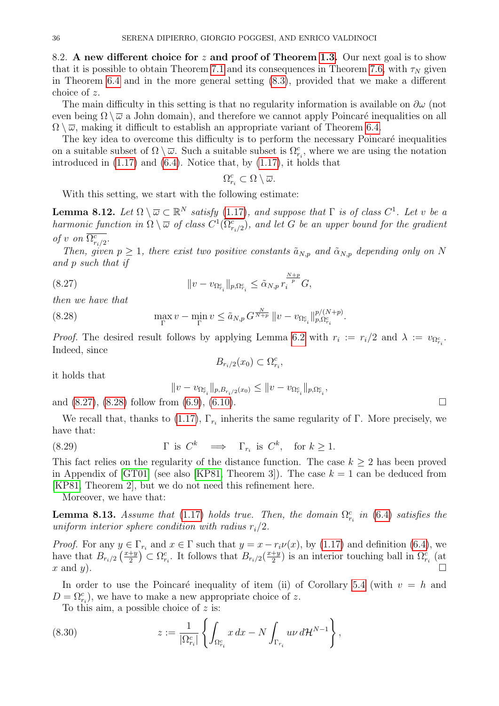<span id="page-35-0"></span>8.2. A new different choice for z and proof of Theorem [1.3.](#page-4-0) Our next goal is to show that it is possible to obtain Theorem [7.1](#page-24-2) and its consequences in Theorem [7.6,](#page-26-0) with  $\tau_N$  given in Theorem [6.4](#page-22-0) and in the more general setting [\(8.3\)](#page-28-2), provided that we make a different choice of z.

The main difficulty in this setting is that no regularity information is available on  $\partial\omega$  (not even being  $\Omega \setminus \overline{\omega}$  a John domain), and therefore we cannot apply Poincaré inequalities on all  $\Omega \setminus \overline{\omega}$ , making it difficult to establish an appropriate variant of Theorem [6.4.](#page-22-0)

The key idea to overcome this difficulty is to perform the necessary Poincaré inequalities on a suitable subset of  $\Omega \setminus \overline{\omega}$ . Such a suitable subset is  $\Omega_{r_i}^c$ , where we are using the notation introduced in  $(1.17)$  and  $(6.4)$ . Notice that, by  $(1.17)$ , it holds that

<span id="page-35-1"></span>
$$
\Omega_{r_i}^c\subset \Omega\setminus \overline{\omega}.
$$

With this setting, we start with the following estimate:

<span id="page-35-4"></span>**Lemma 8.12.** Let  $\Omega \setminus \overline{\omega} \subset \mathbb{R}^N$  satisfy [\(1.17\)](#page-3-0), and suppose that  $\Gamma$  is of class  $C^1$ . Let v be a harmonic function in  $\Omega \setminus \overline{\omega}$  of class  $C^1(\overline{\Omega^c_{r_i/2}})$ , and let G be an upper bound for the gradient of v on  $\overline{\Omega_{r_i/2}^c}$ .

Then, given  $p \geq 1$ , there exist two positive constants  $\tilde{a}_{N,p}$  and  $\tilde{\alpha}_{N,p}$  depending only on N and p such that if

(8.27) 
$$
||v - v_{\Omega_{r_i}^c}||_{p,\Omega_{r_i}^c} \leq \tilde{\alpha}_{N,p} r_i^{\frac{N+p}{p}} G,
$$

then we have that

(8.28) 
$$
\max_{\Gamma} v - \min_{\Gamma} v \leq \tilde{a}_{N,p} G^{\frac{N}{N+p}} \| v - v_{\Omega_{r_i}^c} \|_{p,\Omega_{r_i}^c}^{p/(N+p)}.
$$

*Proof.* The desired result follows by applying Lemma [6.2](#page-19-6) with  $r_i := r_i/2$  and  $\lambda := v_{\Omega_{r_i}^c}$ . Indeed, since  $B_{r_i/2}(x_0) \subset \Omega_{r_i}^c$ 

it holds that

<span id="page-35-6"></span><span id="page-35-2"></span>
$$
||v - v_{\Omega_{r_i}^c}||_{p, B_{r_i/2}(x_0)} \le ||v - v_{\Omega_{r_i}^c}||_{p, \Omega_{r_i}^c},
$$

and  $(8.27)$ ,  $(8.28)$  follow from  $(6.9)$ ,  $(6.10)$ .

We recall that, thanks to [\(1.17\)](#page-3-0),  $\Gamma_{r_i}$  inherits the same regularity of  $\Gamma$ . More precisely, we have that:

(8.29) 
$$
\Gamma \text{ is } C^k \implies \Gamma_{r_i} \text{ is } C^k, \text{ for } k \ge 1.
$$

This fact relies on the regularity of the distance function. The case  $k \geq 2$  has been proved in Appendix of [\[GT01\]](#page-40-17) (see also [\[KP81,](#page-40-24) Theorem 3]). The case  $k = 1$  can be deduced from [\[KP81,](#page-40-24) Theorem 2], but we do not need this refinement here.

Moreover, we have that:

<span id="page-35-5"></span>**Lemma 8.13.** Assume that [\(1.17\)](#page-3-0) holds true. Then, the domain  $\Omega_{r_i}^c$  in [\(6.4\)](#page-19-7) satisfies the uniform interior sphere condition with radius  $r_i/2$ .

*Proof.* For any  $y \in \Gamma_{r_i}$  and  $x \in \Gamma$  such that  $y = x - r_i \nu(x)$ , by [\(1.17\)](#page-3-0) and definition [\(6.4\)](#page-19-7), we have that  $B_{r_i/2} \left(\frac{x+y}{2}\right)$  $\left(\frac{2+y}{2}\right) \subset \Omega_{r_i}^c$ . It follows that  $B_{r_i/2}\left(\frac{x+y_i}{2}\right)$  $\frac{+y}{2}$ ) is an interior touching ball in  $\Omega_{r_i}^c$  (at x and y).

In order to use the Poincaré inequality of item (ii) of Corollary [5.4](#page-16-0) (with  $v = h$  and  $D = \Omega_{r_i}^c$ , we have to make a new appropriate choice of z.

<span id="page-35-3"></span>To this aim, a possible choice of  $z$  is:

(8.30) 
$$
z := \frac{1}{|\Omega_{r_i}^c|} \left\{ \int_{\Omega_{r_i}^c} x \, dx - N \int_{\Gamma_{r_i}} u \nu \, d\mathcal{H}^{N-1} \right\},
$$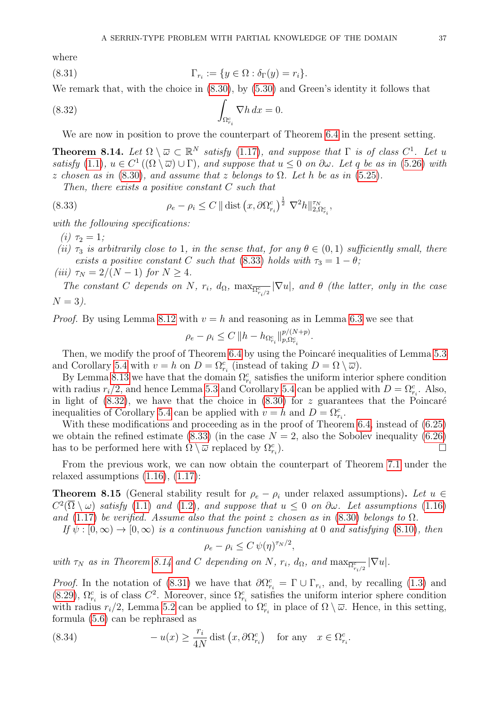where

<span id="page-36-4"></span>(8.31) 
$$
\Gamma_{r_i} := \{ y \in \Omega : \delta_{\Gamma}(y) = r_i \}.
$$

We remark that, with the choice in [\(8.30\)](#page-35-3), by [\(5.30\)](#page-18-3) and Green's identity it follows that

(8.32) 
$$
\int_{\Omega_{r_i}^c} \nabla h \, dx = 0.
$$

<span id="page-36-2"></span>We are now in position to prove the counterpart of Theorem [6.4](#page-22-0) in the present setting.

<span id="page-36-3"></span>**Theorem 8.14.** Let  $\Omega \setminus \overline{\omega} \subset \mathbb{R}^N$  satisfy [\(1.17\)](#page-3-0), and suppose that  $\Gamma$  is of class  $C^1$ . Let u satisfy [\(1.1\)](#page-0-2),  $u \in C^1((\Omega \setminus \overline{\omega}) \cup \Gamma)$ , and suppose that  $u \leq 0$  on  $\partial \omega$ . Let q be as in [\(5.26\)](#page-17-3) with z chosen as in  $(8.30)$ , and assume that z belongs to  $\Omega$ . Let h be as in  $(5.25)$ .

<span id="page-36-1"></span>Then, there exists a positive constant C such that

(8.33) 
$$
\rho_e - \rho_i \leq C \|\text{dist}\left(x, \partial \Omega_{r_i}^c\right)^{\frac{1}{2}} \nabla^2 h\|_{2, \Omega_{r_i}^c}^{\tau_N},
$$

with the following specifications:

(*i*)  $\tau_2 = 1$ ;

(ii)  $\tau_3$  is arbitrarily close to 1, in the sense that, for any  $\theta \in (0,1)$  sufficiently small, there exists a positive constant C such that [\(8.33\)](#page-36-1) holds with  $\tau_3 = 1 - \theta$ ;

(iii)  $\tau_N = 2/(N-1)$  for  $N \geq 4$ .

The constant C depends on N,  $r_i$ ,  $d_{\Omega}$ ,  $\max_{\overline{\Omega_{r_i/2}^c}} |\nabla u|$ , and  $\theta$  (the latter, only in the case  $N = 3$ ).

*Proof.* By using Lemma [8.12](#page-35-4) with  $v = h$  and reasoning as in Lemma [6.3](#page-21-0) we see that

$$
\rho_e - \rho_i \le C \, \|h - h_{\Omega_{r_i}^c}\|_{p,\Omega_{r_i}^c}^{p/(N+p)}.
$$

Then, we modify the proof of Theorem [6.4](#page-22-0) by using the Poincaré inequalities of Lemma [5.3](#page-15-2) and Corollary [5.4](#page-16-0) with  $v = h$  on  $D = \Omega_{r_i}^c$  (instead of taking  $D = \Omega \setminus \overline{\omega}$ ).

By Lemma [8.13](#page-35-5) we have that the domain  $\Omega_{r_i}^c$  satisfies the uniform interior sphere condition with radius  $r_i/2$ , and hence Lemma [5.3](#page-15-2) and Corollary [5.4](#page-16-0) can be applied with  $D = \Omega_{r_i}^c$ . Also, in light of  $(8.32)$ , we have that the choice in  $(8.30)$  for z guarantees that the Poincaré inequalities of Corollary [5.4](#page-16-0) can be applied with  $v = h$  and  $D = \Omega_{r_i}^c$ .

With these modifications and proceeding as in the proof of Theorem [6.4,](#page-22-0) instead of  $(6.25)$ we obtain the refined estimate [\(8.33\)](#page-36-1) (in the case  $N = 2$ , also the Sobolev inequality [\(6.26\)](#page-22-2) has to be performed here with  $\Omega \setminus \overline{\omega}$  replaced by  $\Omega_{r_i}^c$ ).  $\qquad \qquad \Box$ 

From the previous work, we can now obtain the counterpart of Theorem [7.1](#page-24-2) under the relaxed assumptions  $(1.16)$ ,  $(1.17)$ :

<span id="page-36-0"></span>**Theorem 8.15** (General stability result for  $\rho_e - \rho_i$  under relaxed assumptions). Let  $u \in$  $C^2(\overline{\Omega}\setminus\omega)$  satisfy [\(1.1\)](#page-0-2) and [\(1.2\)](#page-0-0), and suppose that  $u \leq 0$  on  $\partial\omega$ . Let assumptions [\(1.16\)](#page-2-1) and [\(1.17\)](#page-3-0) be verified. Assume also that the point z chosen as in [\(8.30\)](#page-35-3) belongs to  $\Omega$ .

If  $\psi : [0, \infty) \to [0, \infty)$  is a continuous function vanishing at 0 and satisfying [\(8.10\)](#page-31-4), then

$$
\rho_e - \rho_i \le C \, \psi(\eta)^{\tau_N/2},
$$

with  $\tau_N$  as in Theorem [8.14](#page-36-3) and C depending on N,  $r_i$ ,  $d_{\Omega}$ , and  $\max_{\overline{\Omega}_{r_i/2}^c} |\nabla u|$ .

*Proof.* In the notation of [\(8.31\)](#page-36-4) we have that  $\partial \Omega_{r_i}^c = \Gamma \cup \Gamma_{r_i}$ , and, by recalling [\(1.3\)](#page-0-4) and [\(8.29\)](#page-35-6),  $\Omega_{r_i}^c$  is of class  $C^2$ . Moreover, since  $\Omega_{r_i}^c$  satisfies the uniform interior sphere condition with radius  $r_i/2$ , Lemma [5.2](#page-14-7) can be applied to  $\Omega_{r_i}^c$  in place of  $\Omega \setminus \overline{\omega}$ . Hence, in this setting, formula [\(5.6\)](#page-14-1) can be rephrased as

<span id="page-36-5"></span>(8.34) 
$$
-u(x) \ge \frac{r_i}{4N} \text{dist} (x, \partial \Omega_{r_i}^c) \text{ for any } x \in \Omega_{r_i}^c.
$$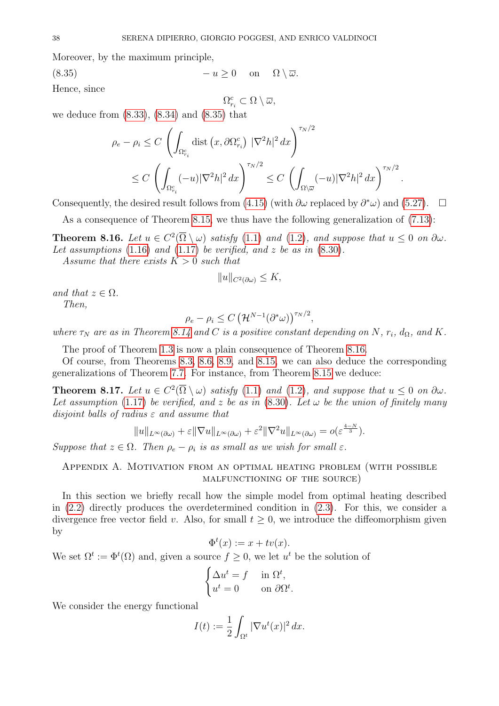Moreover, by the maximum principle,

$$
(8.35) \t\t -u \ge 0 \t on \t \Omega \setminus \overline{\omega}.
$$

Hence, since

<span id="page-37-2"></span>
$$
\Omega_{r_i}^c \subset \Omega \setminus \overline{\omega},
$$

we deduce from [\(8.33\)](#page-36-1), [\(8.34\)](#page-36-5) and [\(8.35\)](#page-37-2) that

$$
\rho_e - \rho_i \le C \left( \int_{\Omega_{r_i}^c} \text{dist}\left(x, \partial \Omega_{r_i}^c\right) |\nabla^2 h|^2 dx \right)^{\tau_N/2}
$$
  

$$
\le C \left( \int_{\Omega_{r_i}^c} (-u) |\nabla^2 h|^2 dx \right)^{\tau_N/2} \le C \left( \int_{\Omega \setminus \overline{\omega}} (-u) |\nabla^2 h|^2 dx \right)^{\tau_N/2}
$$

.

Consequently, the desired result follows from [\(4.15\)](#page-12-3) (with  $\partial \omega$  replaced by  $\partial^* \omega$ ) and [\(5.27\)](#page-17-5).  $\Box$ 

As a consequence of Theorem [8.15,](#page-36-0) we thus have the following generalization of [\(7.13\)](#page-26-4):

<span id="page-37-0"></span>**Theorem 8.16.** Let  $u \in C^2(\overline{\Omega} \setminus \omega)$  satisfy [\(1.1\)](#page-0-2) and [\(1.2\)](#page-0-0), and suppose that  $u \leq 0$  on  $\partial \omega$ . Let assumptions  $(1.16)$  and  $(1.17)$  be verified, and z be as in  $(8.30)$ .

Assume that there exists  $K > 0$  such that

$$
||u||_{C^2(\partial \omega)} \leq K,
$$

and that  $z \in \Omega$ . Then,

$$
\rho_e - \rho_i \leq C \left(\mathcal{H}^{N-1}(\partial^* \omega)\right)^{\tau_N/2},
$$

where  $\tau_N$  are as in Theorem [8.14](#page-36-3) and C is a positive constant depending on N,  $r_i$ ,  $d_{\Omega}$ , and K.

The proof of Theorem [1.3](#page-4-0) is now a plain consequence of Theorem [8.16.](#page-37-0)

Of course, from Theorems [8.3,](#page-30-0) [8.6,](#page-32-0) [8.9,](#page-33-0) and [8.15,](#page-36-0) we can also deduce the corresponding generalizations of Theorem [7.7.](#page-28-4) For instance, from Theorem [8.15](#page-36-0) we deduce:

**Theorem 8.17.** Let  $u \in C^2(\overline{\Omega} \setminus \omega)$  satisfy [\(1.1\)](#page-0-2) and [\(1.2\)](#page-0-0), and suppose that  $u \leq 0$  on  $\partial \omega$ . Let assumption [\(1.17\)](#page-3-0) be verified, and z be as in [\(8.30\)](#page-35-3). Let  $\omega$  be the union of finitely many disjoint balls of radius  $\varepsilon$  and assume that

$$
||u||_{L^{\infty}(\partial\omega)} + \varepsilon ||\nabla u||_{L^{\infty}(\partial\omega)} + \varepsilon^{2} ||\nabla^{2} u||_{L^{\infty}(\partial\omega)} = o(\varepsilon^{\frac{4-N}{3}}).
$$

Suppose that  $z \in \Omega$ . Then  $\rho_e - \rho_i$  is as small as we wish for small  $\varepsilon$ .

<span id="page-37-1"></span>Appendix A. Motivation from an optimal heating problem (with possible malfunctioning of the source)

In this section we briefly recall how the simple model from optimal heating described in [\(2.2\)](#page-5-3) directly produces the overdetermined condition in [\(2.3\)](#page-5-4). For this, we consider a divergence free vector field v. Also, for small  $t > 0$ , we introduce the diffeomorphism given by

$$
\Phi^t(x) := x + tv(x).
$$

We set  $\Omega^t := \Phi^t(\Omega)$  and, given a source  $f \geq 0$ , we let  $u^t$  be the solution of

$$
\begin{cases} \Delta u^t = f & \text{in } \Omega^t, \\ u^t = 0 & \text{on } \partial \Omega^t. \end{cases}
$$

We consider the energy functional

$$
I(t) := \frac{1}{2} \int_{\Omega^t} |\nabla u^t(x)|^2 dx.
$$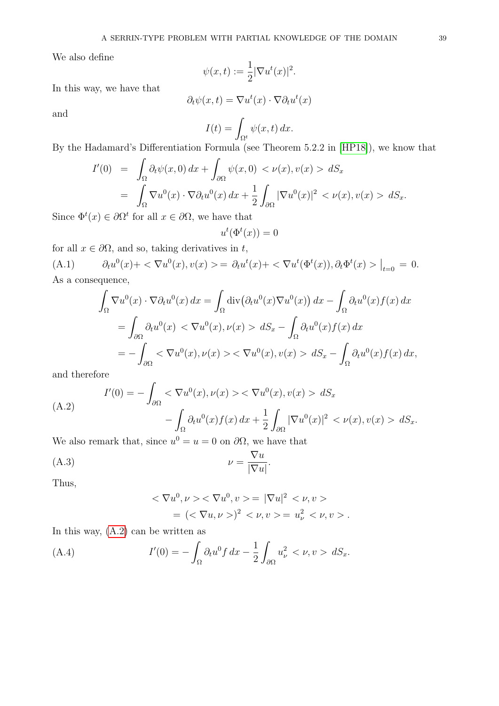We also define

$$
\psi(x,t) := \frac{1}{2} |\nabla u^t(x)|^2.
$$

In this way, we have that

$$
\partial_t \psi(x,t) = \nabla u^t(x) \cdot \nabla \partial_t u^t(x)
$$

and

$$
I(t) = \int_{\Omega_t^t} \psi(x, t) \, dx.
$$

By the Hadamard's Differentiation Formula (see Theorem 5.2.2 in [\[HP18\]](#page-40-14)), we know that

$$
I'(0) = \int_{\Omega} \partial_t \psi(x,0) dx + \int_{\partial \Omega} \psi(x,0) < \nu(x), v(x) > dS_x
$$
  
= 
$$
\int_{\Omega} \nabla u^0(x) \cdot \nabla \partial_t u^0(x) dx + \frac{1}{2} \int_{\partial \Omega} |\nabla u^0(x)|^2 < \nu(x), v(x) > dS_x.
$$

Since  $\Phi^t(x) \in \partial \Omega^t$  for all  $x \in \partial \Omega$ , we have that

$$
u^t(\Phi^t(x)) = 0
$$

for all  $x \in \partial\Omega$ , and so, taking derivatives in t,

 $(A.1)$  $\mathcal{O}(x) + \langle \nabla u^0(x), v(x) \rangle = \partial_t u^t(x) + \langle \nabla u^t(\Phi^t(x)), \partial_t \Phi^t(x) \rangle \Big|_{t=0} = 0.$ As a consequence,

<span id="page-38-1"></span>
$$
\int_{\Omega} \nabla u^{0}(x) \cdot \nabla \partial_{t} u^{0}(x) dx = \int_{\Omega} \operatorname{div} (\partial_{t} u^{0}(x) \nabla u^{0}(x)) dx - \int_{\Omega} \partial_{t} u^{0}(x) f(x) dx
$$

$$
= \int_{\partial \Omega} \partial_{t} u^{0}(x) < \nabla u^{0}(x), \nu(x) > dS_{x} - \int_{\Omega} \partial_{t} u^{0}(x) f(x) dx
$$

$$
= - \int_{\partial \Omega} < \nabla u^{0}(x), \nu(x) > \nabla u^{0}(x), \nu(x) > dS_{x} - \int_{\Omega} \partial_{t} u^{0}(x) f(x) dx,
$$

and therefore

<span id="page-38-0"></span>(A.2)  
\n
$$
I'(0) = -\int_{\partial\Omega} <\nabla u^{0}(x), \nu(x) > \nabla u^{0}(x), v(x) > dS_{x}
$$
\n
$$
-\int_{\Omega} \partial_{t} u^{0}(x) f(x) dx + \frac{1}{2} \int_{\partial\Omega} |\nabla u^{0}(x)|^{2} < \nu(x), v(x) > dS_{x}.
$$

We also remark that, since  $u^0 = u = 0$  on  $\partial\Omega$ , we have that

$$
\nu = \frac{\nabla u}{|\nabla u|}.
$$

Thus,

<span id="page-38-2"></span>
$$
<\nabla u^0, \nu > \nabla u^0, \nu > = |\nabla u|^2 < \nu, \nu >
$$
  
=  $(<\nabla u, \nu>)^2 < \nu, \nu > = u^2_\nu < \nu, \nu >$ .

In this way, [\(A.2\)](#page-38-0) can be written as

<span id="page-38-3"></span>(A.4) 
$$
I'(0) = -\int_{\Omega} \partial_t u^0 f \, dx - \frac{1}{2} \int_{\partial \Omega} u_{\nu}^2 < \nu, v > dS_x.
$$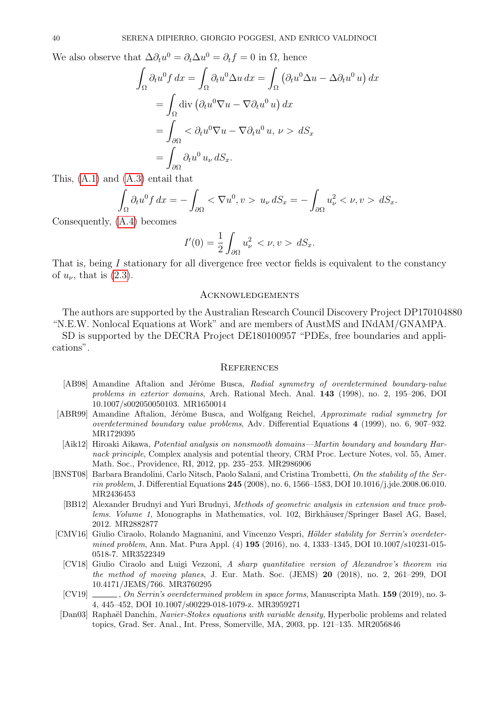We also observe that  $\Delta \partial_t u^0 = \partial_t \Delta u^0 = \partial_t f = 0$  in  $\Omega$ , hence

$$
\int_{\Omega} \partial_t u^0 f \, dx = \int_{\Omega} \partial_t u^0 \Delta u \, dx = \int_{\Omega} \left( \partial_t u^0 \Delta u - \Delta \partial_t u^0 u \right) dx
$$

$$
= \int_{\Omega} \text{div} \left( \partial_t u^0 \nabla u - \nabla \partial_t u^0 u \right) dx
$$

$$
= \int_{\partial \Omega} \langle \partial_t u^0 \nabla u - \nabla \partial_t u^0 u, \nu \rangle dx
$$

$$
= \int_{\partial \Omega} \partial_t u^0 u_\nu \, dS_x.
$$

This, [\(A.1\)](#page-38-1) and [\(A.3\)](#page-38-2) entail that

$$
\int_{\Omega} \partial_t u^0 f \, dx = -\int_{\partial \Omega} < \nabla u^0, v > u_\nu \, dS_x = -\int_{\partial \Omega} u_\nu^2 < \nu, v > dS_x.
$$

Consequently, [\(A.4\)](#page-38-3) becomes

$$
I'(0) = \frac{1}{2} \int_{\partial \Omega} u_{\nu}^2 < \nu, v > dS_x.
$$

That is, being I stationary for all divergence free vector fields is equivalent to the constancy of  $u_{\nu}$ , that is  $(2.3)$ .

# Acknowledgements

The authors are supported by the Australian Research Council Discovery Project DP170104880 "N.E.W. Nonlocal Equations at Work" and are members of AustMS and INdAM/GNAMPA.

SD is supported by the DECRA Project DE180100957 "PDEs, free boundaries and applications".

### **REFERENCES**

- <span id="page-39-4"></span>[AB98] Amandine Aftalion and Jérôme Busca, Radial symmetry of overdetermined boundary-value problems in exterior domains, Arch. Rational Mech. Anal. 143 (1998), no. 2, 195–206, DOI 10.1007/s002050050103. MR1650014
- <span id="page-39-0"></span>[ABR99] Amandine Aftalion, Jérôme Busca, and Wolfgang Reichel, Approximate radial symmetry for overdetermined boundary value problems, Adv. Differential Equations 4 (1999), no. 6, 907–932. MR1729395
- <span id="page-39-8"></span>[Aik12] Hiroaki Aikawa, Potential analysis on nonsmooth domains—Martin boundary and boundary Harnack principle, Complex analysis and potential theory, CRM Proc. Lecture Notes, vol. 55, Amer. Math. Soc., Providence, RI, 2012, pp. 235–253. MR2986906
- <span id="page-39-7"></span><span id="page-39-1"></span>[BNST08] Barbara Brandolini, Carlo Nitsch, Paolo Salani, and Cristina Trombetti, On the stability of the Serrin problem, J. Differential Equations 245 (2008), no. 6, 1566–1583, DOI 10.1016/j.jde.2008.06.010. MR2436453
	- [BB12] Alexander Brudnyi and Yuri Brudnyi, Methods of geometric analysis in extension and trace problems. Volume 1, Monographs in Mathematics, vol. 102, Birkhäuser/Springer Basel AG, Basel, 2012. MR2882877
- <span id="page-39-3"></span><span id="page-39-2"></span>[CMV16] Giulio Ciraolo, Rolando Magnanini, and Vincenzo Vespri, Hölder stability for Serrin's overdetermined problem, Ann. Mat. Pura Appl. (4) **195** (2016), no. 4, 1333–1345, DOI 10.1007/s10231-015-0518-7. MR3522349
	- [CV18] Giulio Ciraolo and Luigi Vezzoni, A sharp quantitative version of Alexandrov's theorem via the method of moving planes, J. Eur. Math. Soc. (JEMS) 20 (2018), no. 2, 261–299, DOI 10.4171/JEMS/766. MR3760295
	- [CV19] , On Serrin's overdetermined problem in space forms, Manuscripta Math. 159 (2019), no. 3-4, 445–452, DOI 10.1007/s00229-018-1079-z. MR3959271
- <span id="page-39-6"></span><span id="page-39-5"></span>[Dan03] Raphaël Danchin, Navier-Stokes equations with variable density, Hyperbolic problems and related topics, Grad. Ser. Anal., Int. Press, Somerville, MA, 2003, pp. 121–135. MR2056846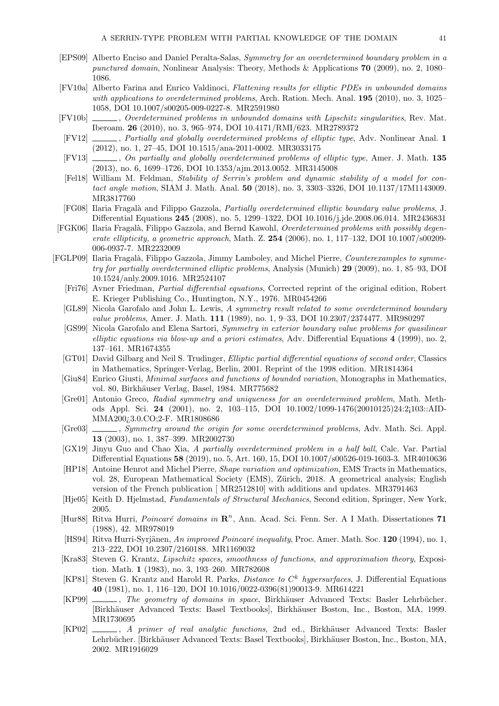- <span id="page-40-1"></span>[EPS09] Alberto Enciso and Daniel Peralta-Salas, Symmetry for an overdetermined boundary problem in a punctured domain, Nonlinear Analysis: Theory, Methods & Applications 70 (2009), no. 2, 1080– 1086.
- <span id="page-40-2"></span>[FV10a] Alberto Farina and Enrico Valdinoci, Flattening results for elliptic PDEs in unbounded domains with applications to overdetermined problems, Arch. Ration. Mech. Anal. **195** (2010), no. 3, 1025– 1058, DOI 10.1007/s00205-009-0227-8. MR2591980
- <span id="page-40-3"></span>[FV10b] , Overdetermined problems in unbounded domains with Lipschitz singularities, Rev. Mat. Iberoam. 26 (2010), no. 3, 965–974, DOI 10.4171/RMI/623. MR2789372
- <span id="page-40-4"></span>[FV12]  $\ldots$ , Partially and globally overdetermined problems of elliptic type, Adv. Nonlinear Anal. 1 (2012), no. 1, 27–45, DOI 10.1515/ana-2011-0002. MR3033175
- <span id="page-40-5"></span>[FV13]  $\_\_\_\_\_$ , On partially and globally overdetermined problems of elliptic type, Amer. J. Math. 135 (2013), no. 6, 1699–1726, DOI 10.1353/ajm.2013.0052. MR3145008
- <span id="page-40-0"></span>[Fel18] William M. Feldman, Stability of Serrin's problem and dynamic stability of a model for contact angle motion, SIAM J. Math. Anal. **50** (2018), no. 3, 3303-3326, DOI 10.1137/17M1143009. MR3817760
- <span id="page-40-6"></span>[FG08] Ilaria Fragalà and Filippo Gazzola, Partially overdetermined elliptic boundary value problems, J. Differential Equations 245 (2008), no. 5, 1299–1322, DOI 10.1016/j.jde.2008.06.014. MR2436831
- <span id="page-40-7"></span>[FGK06] Ilaria Fragalà, Filippo Gazzola, and Bernd Kawohl, Overdetermined problems with possibly degenerate ellipticity, a geometric approach, Math. Z. 254 (2006), no. 1, 117–132, DOI 10.1007/s00209-006-0937-7. MR2232009
- <span id="page-40-24"></span><span id="page-40-23"></span><span id="page-40-22"></span><span id="page-40-21"></span><span id="page-40-20"></span><span id="page-40-19"></span><span id="page-40-18"></span><span id="page-40-17"></span><span id="page-40-16"></span><span id="page-40-15"></span><span id="page-40-14"></span><span id="page-40-13"></span><span id="page-40-12"></span><span id="page-40-11"></span><span id="page-40-10"></span><span id="page-40-9"></span><span id="page-40-8"></span>[FGLP09] Ilaria Fragalà, Filippo Gazzola, Jimmy Lamboley, and Michel Pierre, Counterexamples to symmetry for partially overdetermined elliptic problems, Analysis (Munich) 29 (2009), no. 1, 85–93, DOI 10.1524/anly.2009.1016. MR2524107
	- [Fri76] Avner Friedman, Partial differential equations, Corrected reprint of the original edition, Robert E. Krieger Publishing Co., Huntington, N.Y., 1976. MR0454266
	- [GL89] Nicola Garofalo and John L. Lewis, A symmetry result related to some overdetermined boundary value problems, Amer. J. Math. 111 (1989), no. 1, 9–33, DOI 10.2307/2374477. MR980297
	- [GS99] Nicola Garofalo and Elena Sartori, Symmetry in exterior boundary value problems for quasilinear elliptic equations via blow-up and a priori estimates, Adv. Differential Equations 4 (1999), no. 2, 137–161. MR1674355
	- [GT01] David Gilbarg and Neil S. Trudinger, Elliptic partial differential equations of second order, Classics in Mathematics, Springer-Verlag, Berlin, 2001. Reprint of the 1998 edition. MR1814364
	- [Giu84] Enrico Giusti, Minimal surfaces and functions of bounded variation, Monographs in Mathematics, vol. 80, Birkhäuser Verlag, Basel, 1984. MR775682
	- [Gre01] Antonio Greco, Radial symmetry and uniqueness for an overdetermined problem, Math. Methods Appl. Sci. 24 (2001), no. 2, 103–115, DOI 10.1002/1099-1476(20010125)24:2¡103::AID-MMA200¿3.0.CO;2-F. MR1808686
	- [Gre03]  $\ldots$ , Symmetry around the origin for some overdetermined problems, Adv. Math. Sci. Appl. 13 (2003), no. 1, 387–399. MR2002730
	- [GX19] Jinyu Guo and Chao Xia, A partially overdetermined problem in a half ball, Calc. Var. Partial Differential Equations 58 (2019), no. 5, Art. 160, 15, DOI 10.1007/s00526-019-1603-3. MR4010636
	- [HP18] Antoine Henrot and Michel Pierre, Shape variation and optimization, EMS Tracts in Mathematics, vol. 28, European Mathematical Society (EMS), Zürich, 2018. A geometrical analysis; English version of the French publication [ MR2512810] with additions and updates. MR3791463
	- [Hje05] Keith D. Hjelmstad, Fundamentals of Structural Mechanics, Second edition, Springer, New York, 2005.
	- [Hur88] Ritva Hurri, *Poincaré domains in*  $\mathbb{R}^n$ , Ann. Acad. Sci. Fenn. Ser. A I Math. Dissertationes 71 (1988), 42. MR978019
	- [HS94] Ritva Hurri-Syrjänen, An improved Poincaré inequality, Proc. Amer. Math. Soc. 120 (1994), no. 1, 213–222, DOI 10.2307/2160188. MR1169032
	- [Kra83] Steven G. Krantz, Lipschitz spaces, smoothness of functions, and approximation theory, Exposition. Math. 1 (1983), no. 3, 193–260. MR782608
	- [KP81] Steven G. Krantz and Harold R. Parks, *Distance to C*<sup>k</sup> hypersurfaces, J. Differential Equations 40 (1981), no. 1, 116–120, DOI 10.1016/0022-0396(81)90013-9. MR614221
	- [KP99] , The geometry of domains in space, Birkhäuser Advanced Texts: Basler Lehrbücher. [Birkh¨auser Advanced Texts: Basel Textbooks], Birkh¨auser Boston, Inc., Boston, MA, 1999. MR1730695
	- [KP02] , A primer of real analytic functions, 2nd ed., Birkhäuser Advanced Texts: Basler Lehrbücher. [Birkhäuser Advanced Texts: Basel Textbooks], Birkhäuser Boston, Inc., Boston, MA, 2002. MR1916029